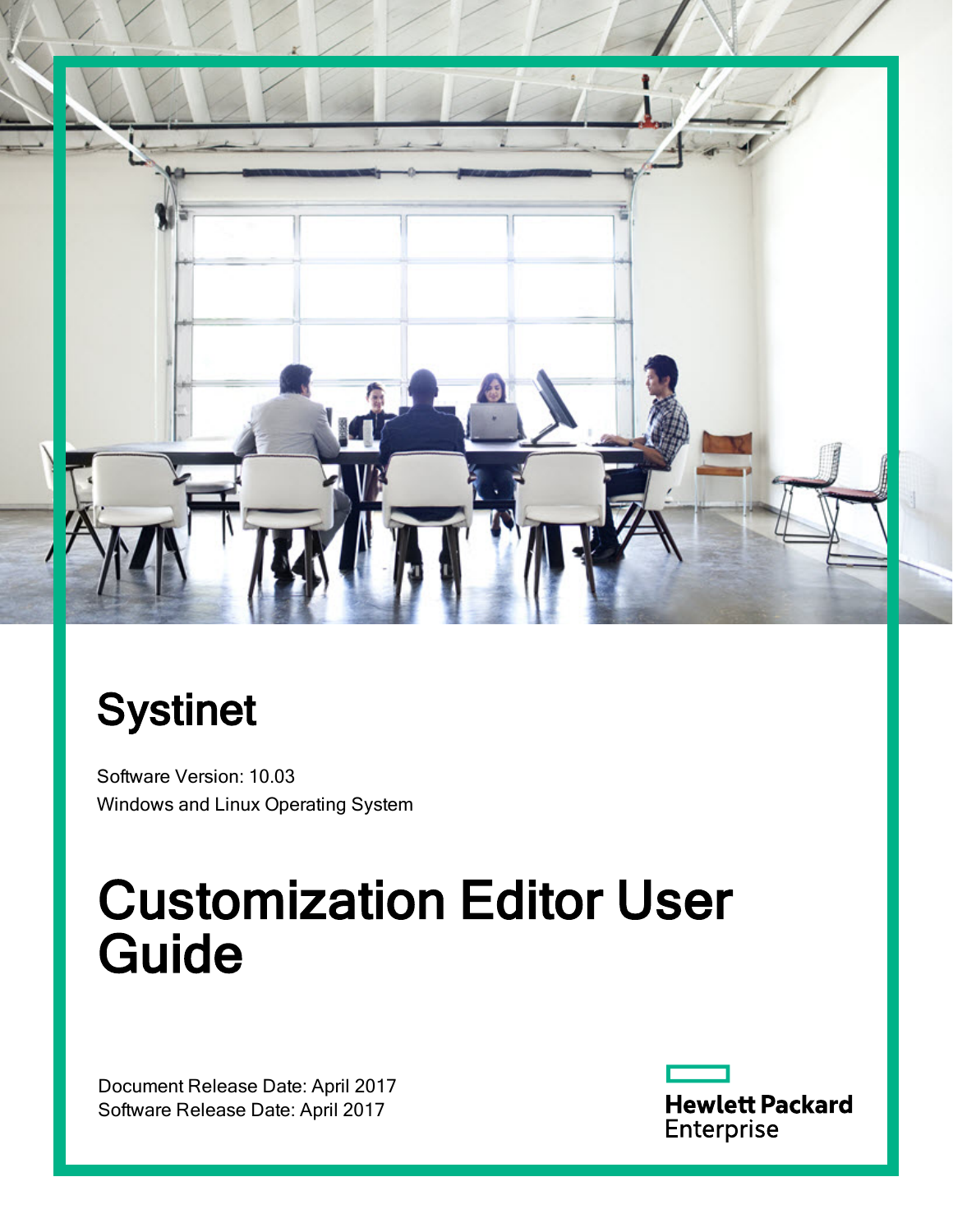

# **Systinet**

Software Version: 10.03 Windows and Linux Operating System

# Customization Editor User Guide

Document Release Date: April 2017 Software Release Date: April 2017

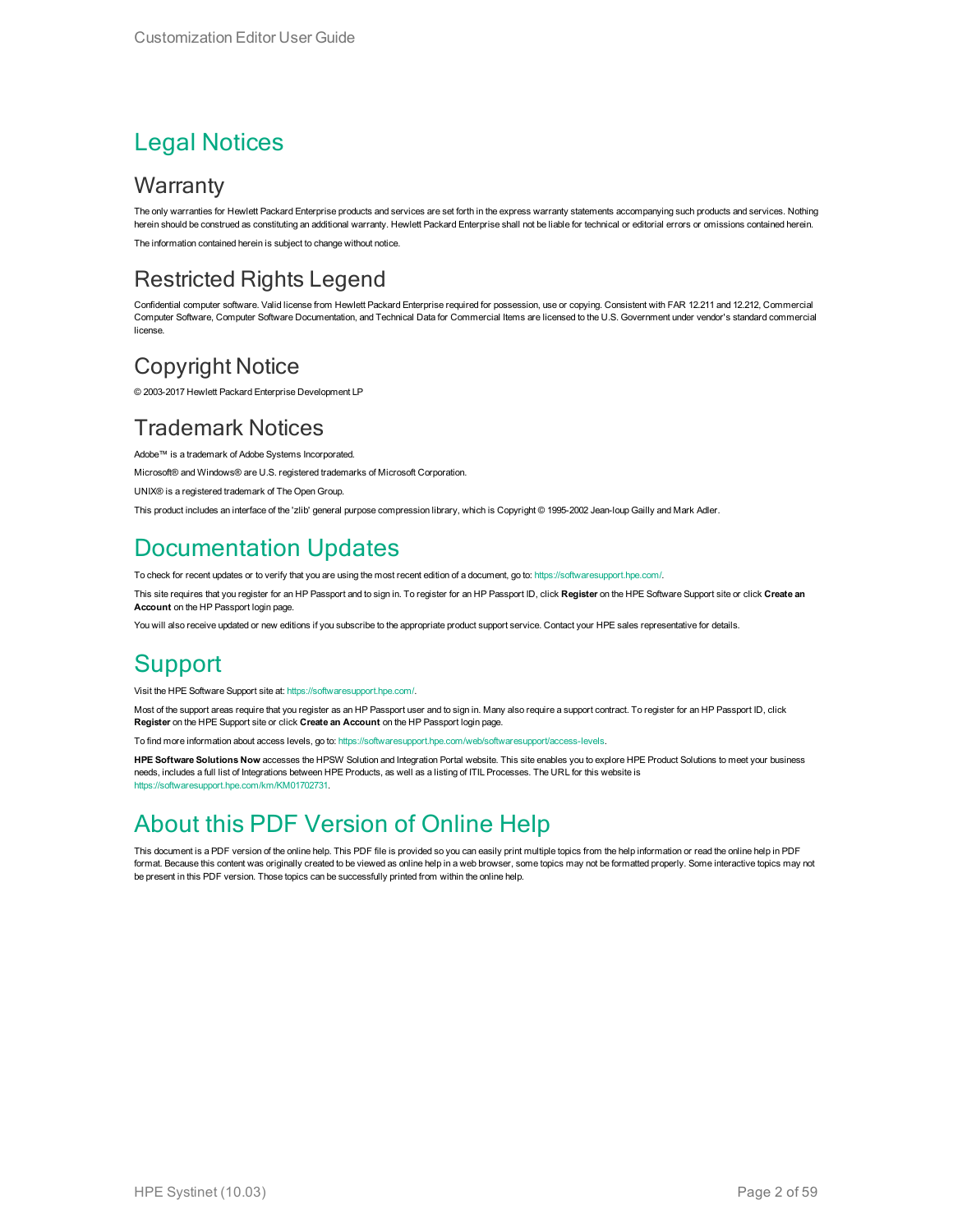#### Legal Notices

#### **Warranty**

The only warranties for Hewlett Packard Enterprise products and services are set forth in the express warranty statements accompanying such products and services. Nothing herein should be construed as constituting an additional warranty. Hewlett Packard Enterprise shall not be liable for technical or editorial errors or omissions contained herein. The information contained herein is subject to change without notice.

#### Restricted Rights Legend

Confidential computer software. Valid license from Hewlett Packard Enterprise required for possession, use or copying. Consistent with FAR 12.211 and 12.212, Commercial Computer Software, Computer Software Documentation, and Technical Data for Commercial Items are licensed to the U.S. Government under vendor's standard commercial license.

#### Copyright Notice

© 2003-2017 Hewlett Packard Enterprise Development LP

#### Trademark Notices

Adobe™ is a trademark of Adobe Systems Incorporated.

Microsoft® and Windows® are U.S. registered trademarks of Microsoft Corporation.

UNIX® is a registered trademark of The Open Group.

This product includes an interface of the 'zlib' general purpose compression library, which is Copyright © 1995-2002 Jean-loup Gailly and Mark Adler.

#### Documentation Updates

To check for recent updates or to verify that you are using the most recent edition of a document, go to: <https://softwaresupport.hpe.com/>.

This site requires that you register for an HP Passport and to sign in. To register for an HP Passport ID, click **Register** on the HPE Software Support site or click **Create an Account** on the HP Passport login page.

You will also receive updated or new editions if you subscribe to the appropriate product support service. Contact your HPE sales representative for details.

#### **Support**

Visit the HPE Software Support site at: <https://softwaresupport.hpe.com/>.

Most of the support areas require that you register as an HP Passport user and to sign in. Many also require a support contract. To register for an HP Passport ID, click **Register** on the HPE Support site or click **Create an Account** on the HP Passport login page.

To find more information about access levels, go to: <https://softwaresupport.hpe.com/web/softwaresupport/access-levels>.

**HPE Software Solutions Now** accesses the HPSW Solution and Integration Portal website. This site enables you to explore HPE Product Solutions to meet your business needs, includes a full list of Integrations between HPE Products, as well as a listing of ITIL Processes. The URL for this website is [https://softwaresupport.hpe.com/km/KM01702731.](https://softwaresupport.hpe.com/km/KM01702731)

#### About this PDF Version of Online Help

This document is a PDF version of the online help. This PDF file is provided so you can easily print multiple topics from the help information or read the online help in PDF format. Because this content was originally created to be viewed as online help in a web browser, some topics may not be formatted properly. Some interactive topics may not be present in this PDF version. Those topics can be successfully printed from within the online help.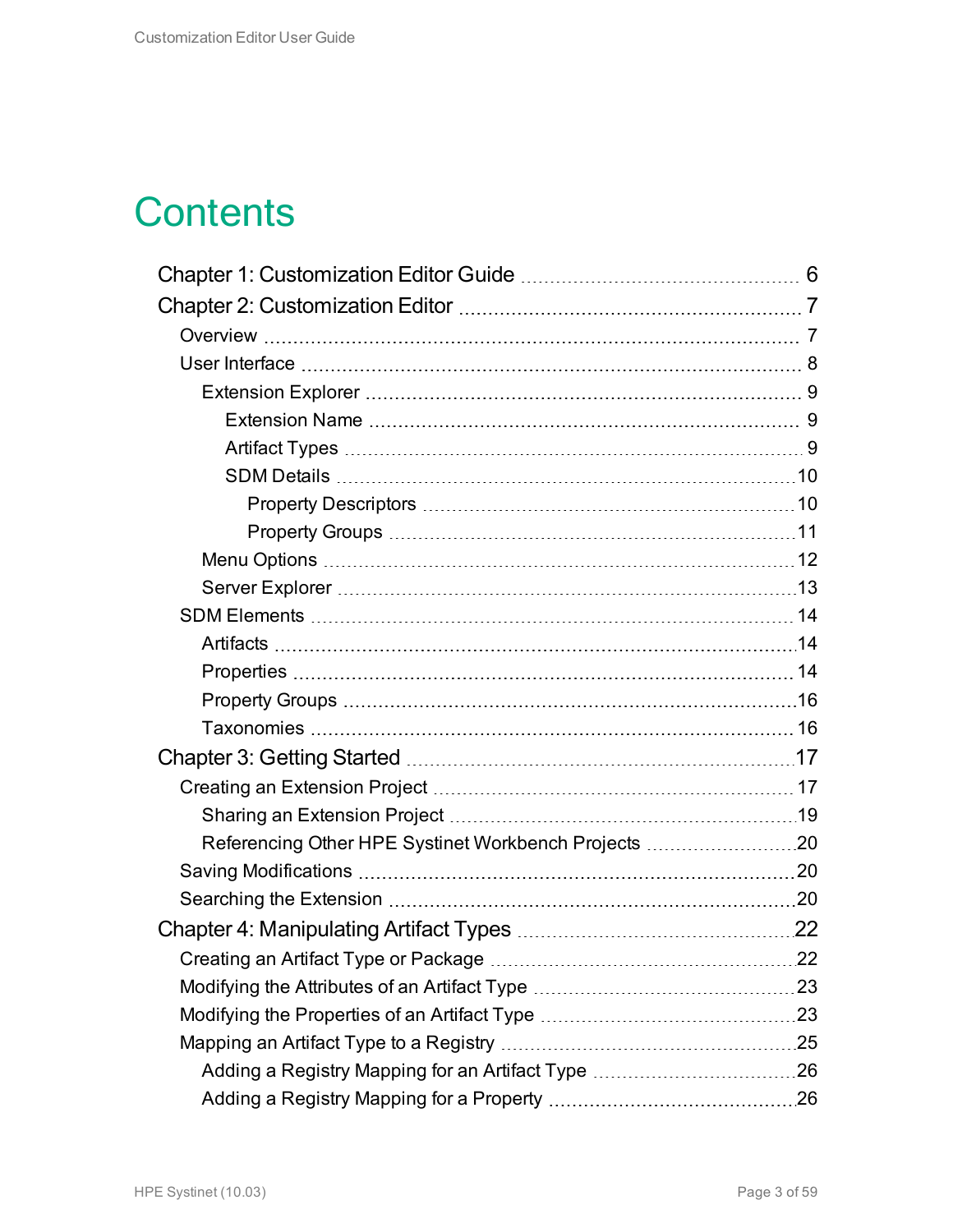## **Contents**

| Referencing Other HPE Systinet Workbench Projects 20 |  |
|------------------------------------------------------|--|
|                                                      |  |
|                                                      |  |
|                                                      |  |
|                                                      |  |
|                                                      |  |
|                                                      |  |
|                                                      |  |
|                                                      |  |
|                                                      |  |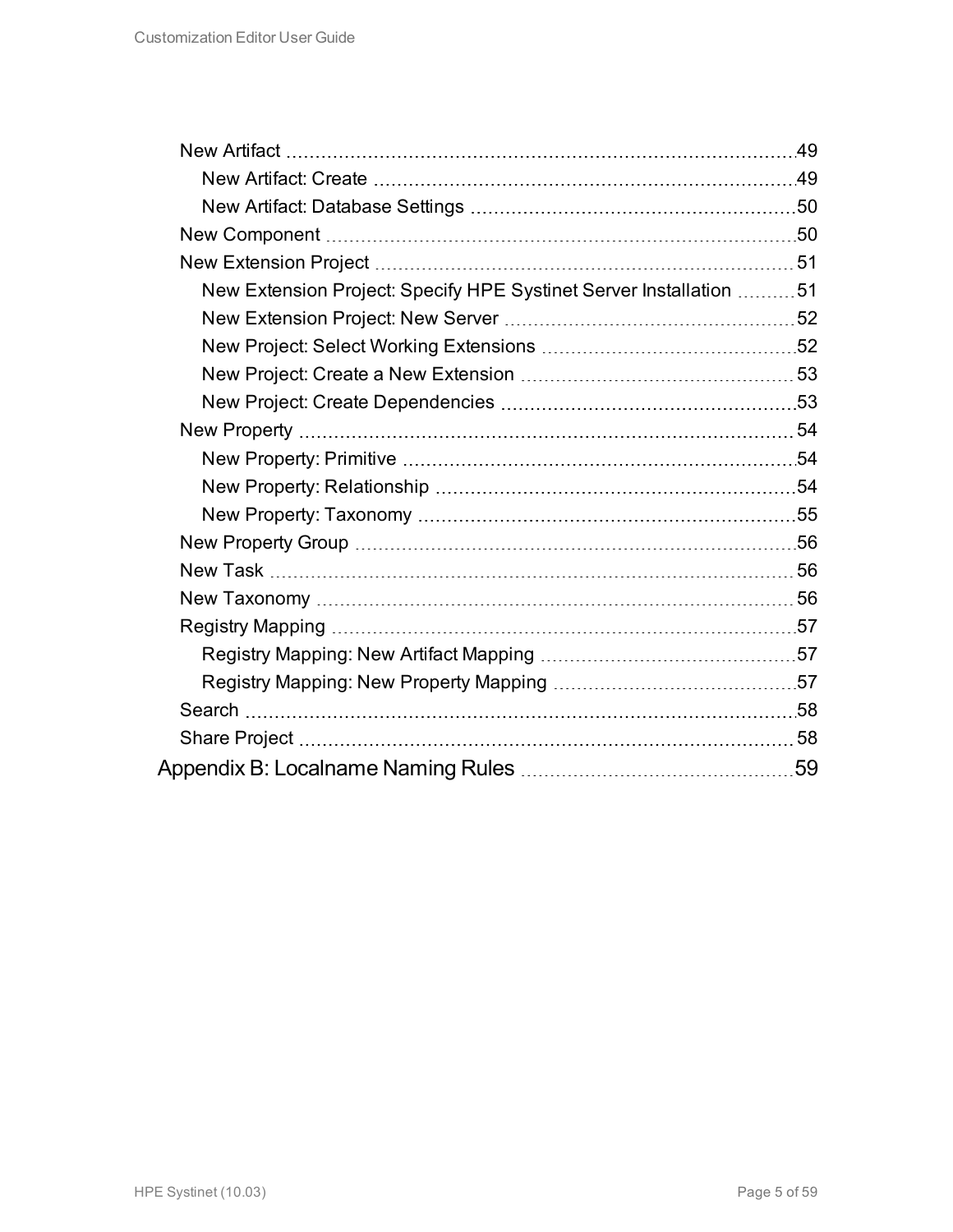| New Extension Project: Specify HPE Systinet Server Installation 51 |  |
|--------------------------------------------------------------------|--|
|                                                                    |  |
|                                                                    |  |
|                                                                    |  |
|                                                                    |  |
|                                                                    |  |
|                                                                    |  |
|                                                                    |  |
|                                                                    |  |
|                                                                    |  |
|                                                                    |  |
|                                                                    |  |
|                                                                    |  |
|                                                                    |  |
|                                                                    |  |
|                                                                    |  |
|                                                                    |  |
|                                                                    |  |
|                                                                    |  |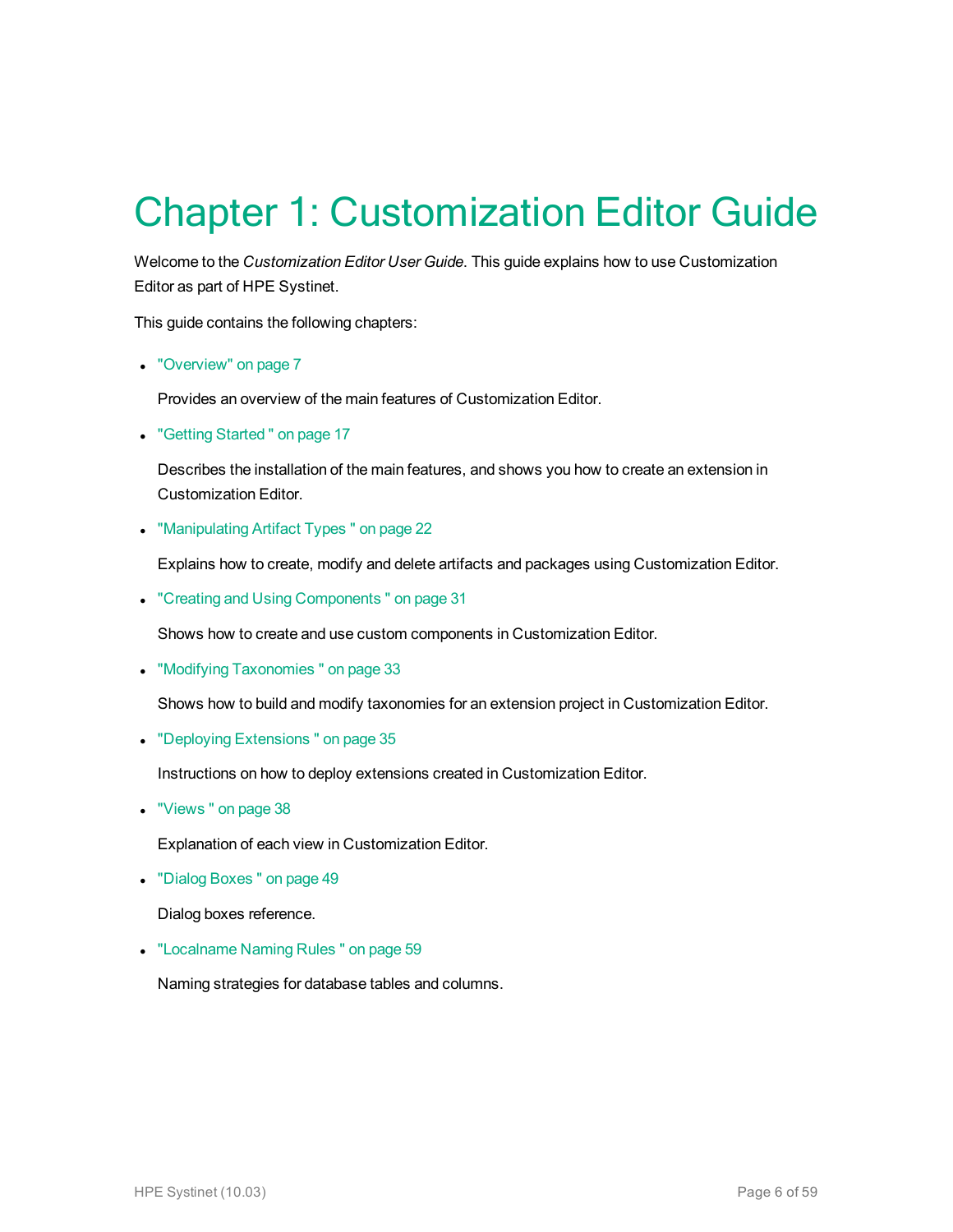## <span id="page-5-0"></span>Chapter 1: Customization Editor Guide

Welcome to the *Customization Editor User Guide*. This guide explains how to use Customization Editor as part of HPE Systinet.

This guide contains the following chapters:

• ["Overview"](#page-6-1) on page 7

Provides an overview of the main features of Customization Editor.

• "Getting Started" on page 17

Describes the installation of the main features, and shows you how to create an extension in Customization Editor.

• ["Manipulating](#page-21-0) Artifact Types" on page 22

Explains how to create, modify and delete artifacts and packages using Customization Editor.

• "Creating and Using Components" on page 31

Shows how to create and use custom components in Customization Editor.

• "Modifying Taxonomies" on page 33

Shows how to build and modify taxonomies for an extension project in Customization Editor.

• "Deploying Extensions" on page 35

Instructions on how to deploy extensions created in Customization Editor.

• "Views" on page 38

Explanation of each view in Customization Editor.

• "Dialog Boxes" on page 49

Dialog boxes reference.

• ["Localname](#page-58-0) Naming Rules " on page 59

Naming strategies for database tables and columns.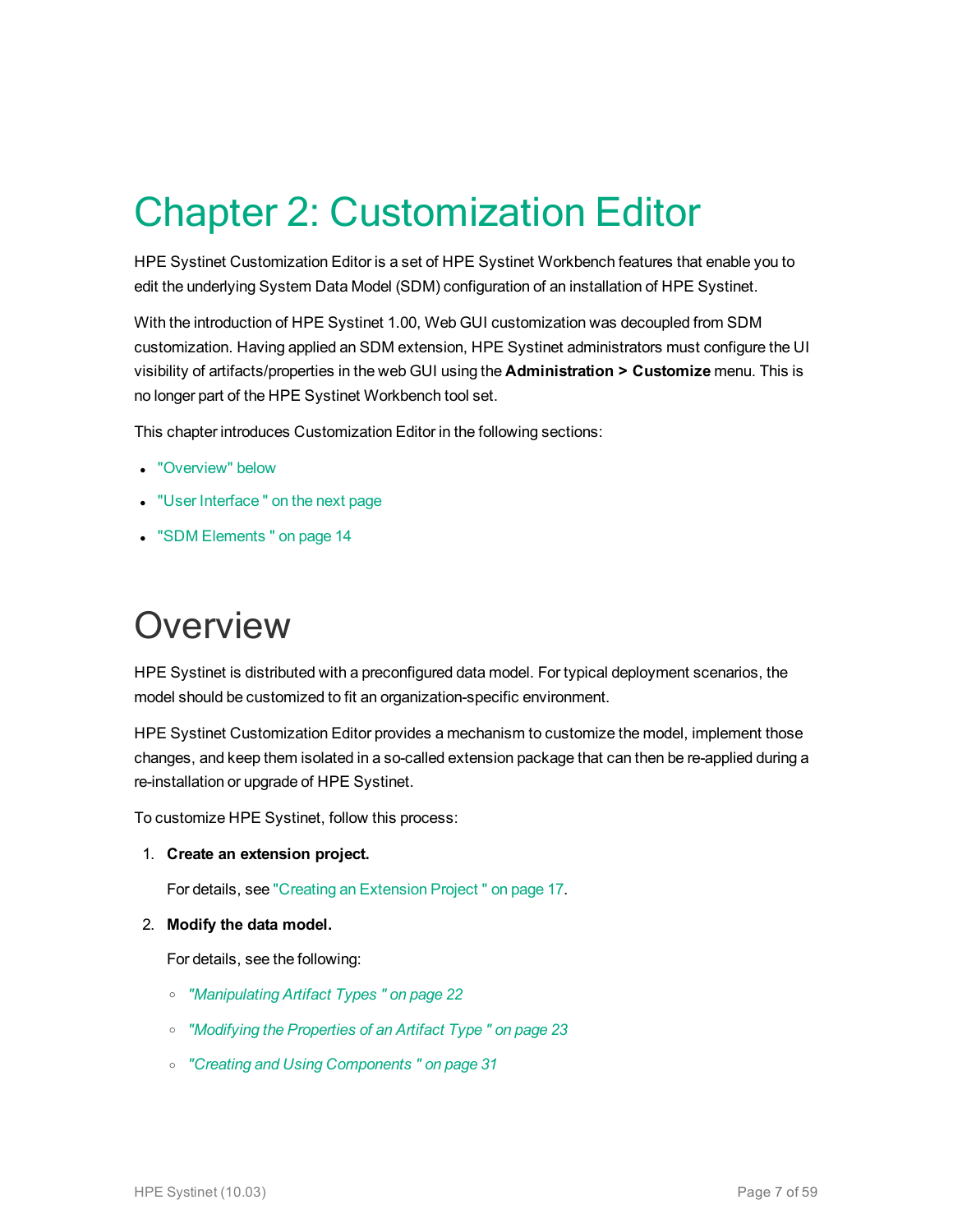## <span id="page-6-0"></span>Chapter 2: Customization Editor

HPE Systinet Customization Editor is a set of HPE Systinet Workbench features that enable you to edit the underlying System Data Model (SDM) configuration of an installation of HPE Systinet.

With the introduction of HPE Systinet 1.00, Web GUI customization was decoupled from SDM customization. Having applied an SDM extension, HPE Systinet administrators must configure the UI visibility of artifacts/properties in the web GUI using the **Administration > Customize** menu. This is no longer part of the HPE Systinet Workbench tool set.

This chapter introduces Customization Editor in the following sections:

- ["Overview"](#page-6-1) below
- "User Interface" on the next page
- <span id="page-6-1"></span>• "SDM [Elements "](#page-13-0) on page 14

### **Overview**

HPE Systinet is distributed with a preconfigured data model. For typical deployment scenarios, the model should be customized to fit an organization-specific environment.

HPE Systinet Customization Editor provides a mechanism to customize the model, implement those changes, and keep them isolated in a so-called extension package that can then be re-applied during a re-installation or upgrade of HPE Systinet.

To customize HPE Systinet, follow this process:

1. **Create an extension project.**

For details, see "Creating an [Extension](#page-16-1) Project " on page 17.

2. **Modify the data model.**

For details, see the following:

- <sup>o</sup> *["Manipulating](#page-21-0) Artifact Types " on page 22*
- <sup>o</sup> *["Modifying](#page-22-1) the Properties of an Artifact Type " on page 23*
- <sup>o</sup> *"Creating and Using [Components "](#page-30-0) on page 31*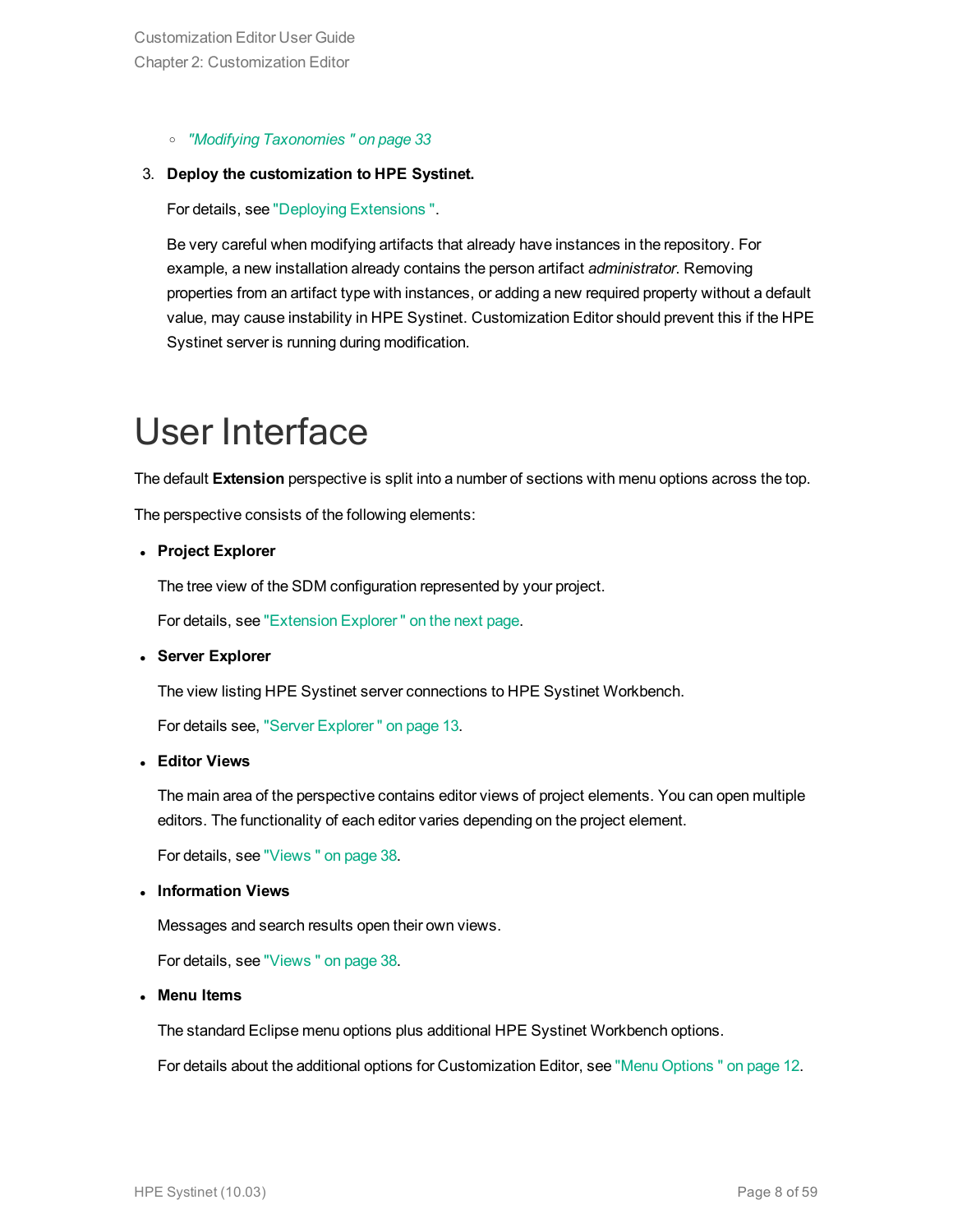<sup>o</sup> *"Modifying [Taxonomies "](#page-32-0) on page 33*

#### 3. **Deploy the customization to HPE Systinet.**

For details, see "Deploying [Extensions ".](#page-34-0)

Be very careful when modifying artifacts that already have instances in the repository. For example, a new installation already contains the person artifact *administrator*. Removing properties from an artifact type with instances, or adding a new required property without a default value, may cause instability in HPE Systinet. Customization Editor should prevent this if the HPE Systinet server is running during modification.

## <span id="page-7-0"></span>User Interface

The default **Extension** perspective is split into a number of sections with menu options across the top.

The perspective consists of the following elements:

<sup>l</sup> **Project Explorer**

The tree view of the SDM configuration represented by your project.

For details, see ["Extension](#page-8-0) Explorer " on the next page.

<sup>l</sup> **Server Explorer**

The view listing HPE Systinet server connections to HPE Systinet Workbench.

For details see, "Server [Explorer "](#page-12-0) on page 13.

<sup>l</sup> **Editor Views**

The main area of the perspective contains editor views of project elements. You can open multiple editors. The functionality of each editor varies depending on the project element.

For details, see ["Views "](#page-37-0) on page 38.

<sup>l</sup> **Information Views**

Messages and search results open their own views.

For details, see ["Views "](#page-37-0) on page 38.

<sup>l</sup> **Menu Items**

The standard Eclipse menu options plus additional HPE Systinet Workbench options.

For details about the additional options for Customization Editor, see "Menu [Options "](#page-11-0) on page 12.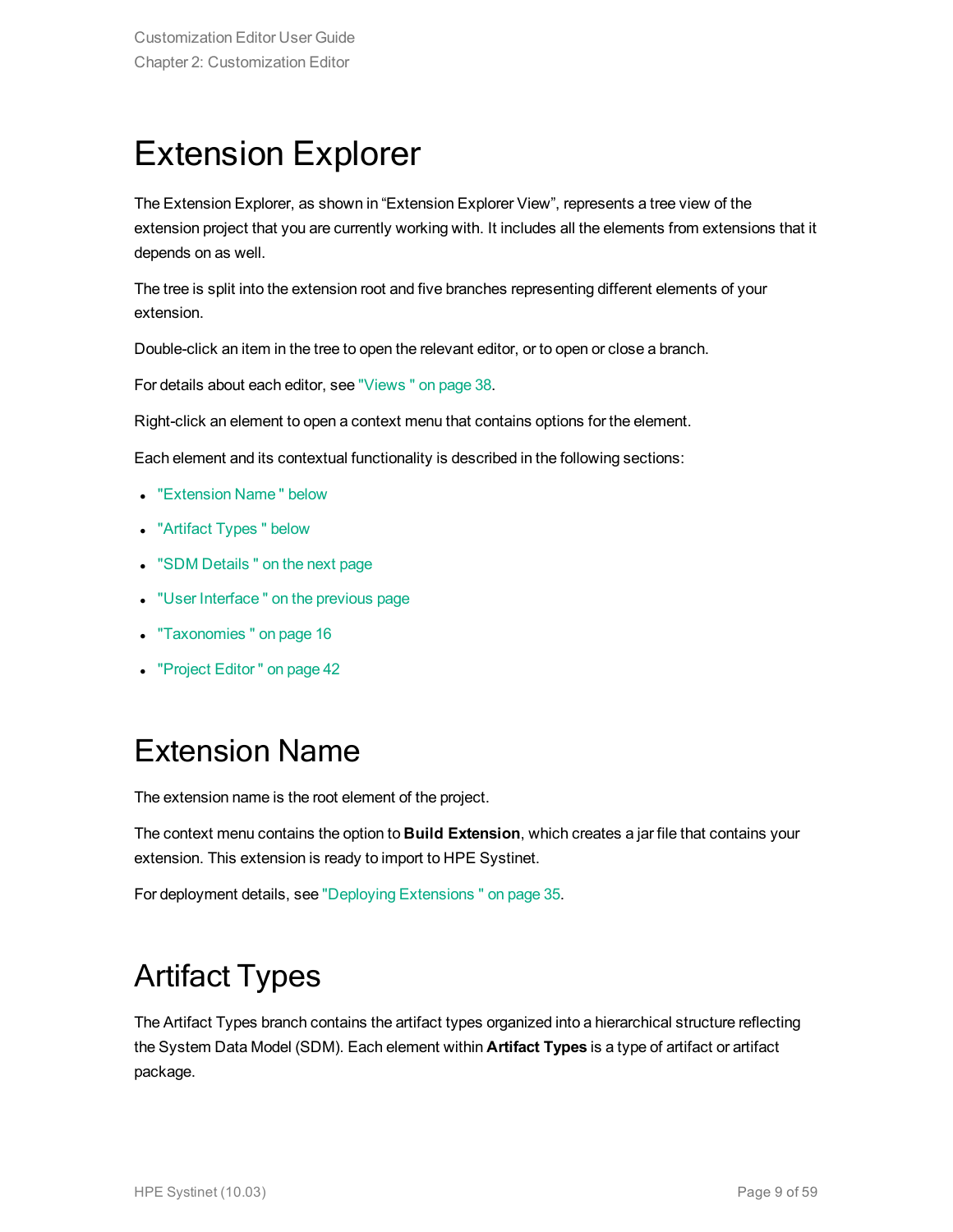### <span id="page-8-0"></span>Extension Explorer

The Extension Explorer, as shown in "Extension Explorer View", represents a tree view of the extension project that you are currently working with. It includes all the elements from extensions that it depends on as well.

The tree is split into the extension root and five branches representing different elements of your extension.

Double-click an item in the tree to open the relevant editor, or to open or close a branch.

For details about each editor, see ["Views "](#page-37-0) on page 38.

Right-click an element to open a context menu that contains options for the element.

Each element and its contextual functionality is described in the following sections:

- ["Extension](#page-8-1) Name" below
- ["Artifact](#page-8-2) Types" below
- "SDM Details" on the next page
- "User Interface" on the previous page
- ["Taxonomies "](#page-15-1) on page 16
- <span id="page-8-1"></span>• ["Project](#page-41-1) Editor" on page 42

### Extension Name

The extension name is the root element of the project.

The context menu contains the option to **Build Extension**, which creates a jar file that contains your extension. This extension is ready to import to HPE Systinet.

<span id="page-8-2"></span>For deployment details, see "Deploying [Extensions "](#page-34-0) on page 35.

### Artifact Types

The Artifact Types branch contains the artifact types organized into a hierarchical structure reflecting the System Data Model (SDM). Each element within **Artifact Types** is a type of artifact or artifact package.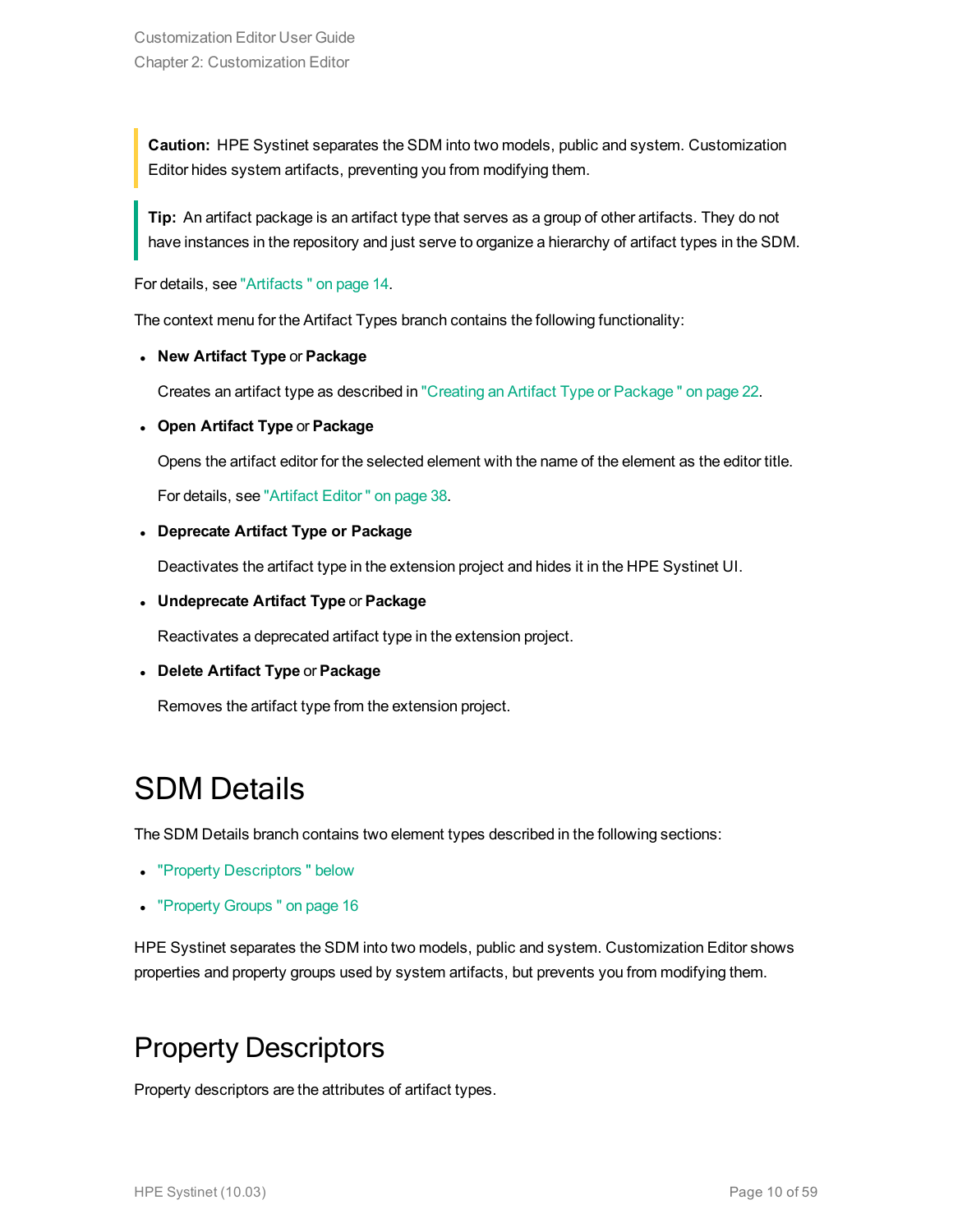**Caution:** HPE Systinet separates the SDM into two models, public and system. Customization Editor hides system artifacts, preventing you from modifying them.

**Tip:** An artifact package is an artifact type that serves as a group of other artifacts. They do not have instances in the repository and just serve to organize a hierarchy of artifact types in the SDM.

For details, see ["Artifacts "](#page-13-1) on page 14.

The context menu for the Artifact Types branch contains the following functionality:

<sup>l</sup> **New Artifact Type** or **Package**

Creates an artifact type as described in "Creating an Artifact Type or [Package "](#page-21-1) on page 22.

#### <sup>l</sup> **Open Artifact Type** or **Package**

Opens the artifact editor for the selected element with the name of the element as the editor title.

For details, see ["Artifact](#page-37-1) Editor " on page 38.

#### <sup>l</sup> **Deprecate Artifact Type or Package**

Deactivates the artifact type in the extension project and hides it in the HPE Systinet UI.

<sup>l</sup> **Undeprecate Artifact Type** or **Package**

Reactivates a deprecated artifact type in the extension project.

#### <sup>l</sup> **Delete Artifact Type** or **Package**

<span id="page-9-0"></span>Removes the artifact type from the extension project.

### SDM Details

The SDM Details branch contains two element types described in the following sections:

- "Property Descriptors" below
- ["Property](#page-15-0) Groups" on page 16

<span id="page-9-1"></span>HPE Systinet separates the SDM into two models, public and system. Customization Editor shows properties and property groups used by system artifacts, but prevents you from modifying them.

### Property Descriptors

Property descriptors are the attributes of artifact types.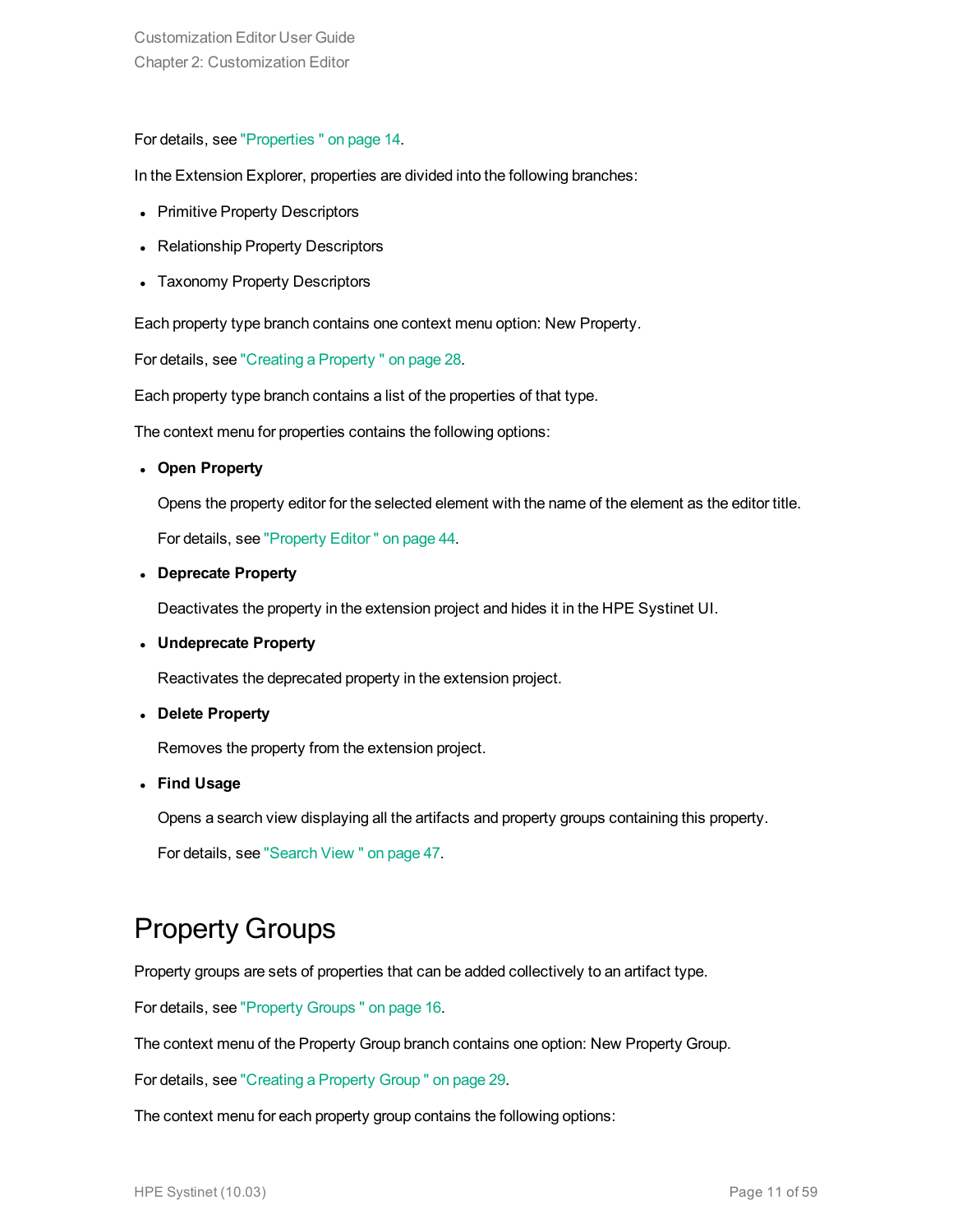#### For details, see ["Properties "](#page-13-2) on page 14.

In the Extension Explorer, properties are divided into the following branches:

- Primitive Property Descriptors
- Relationship Property Descriptors
- Taxonomy Property Descriptors

Each property type branch contains one context menu option: New Property.

For details, see "Creating a [Property "](#page-27-1) on page 28.

Each property type branch contains a list of the properties of that type.

The context menu for properties contains the following options:

<sup>l</sup> **Open Property**

Opens the property editor for the selected element with the name of the element as the editor title.

For details, see ["Property](#page-43-0) Editor " on page 44.

<sup>l</sup> **Deprecate Property**

Deactivates the property in the extension project and hides it in the HPE Systinet UI.

<sup>l</sup> **Undeprecate Property**

Reactivates the deprecated property in the extension project.

<sup>l</sup> **Delete Property**

Removes the property from the extension project.

<sup>l</sup> **Find Usage**

Opens a search view displaying all the artifacts and property groups containing this property.

<span id="page-10-0"></span>For details, see ["Search](#page-46-0) View " on page 47.

#### Property Groups

Property groups are sets of properties that can be added collectively to an artifact type.

For details, see ["Property](#page-15-0) Groups " on page 16.

The context menu of the Property Group branch contains one option: New Property Group.

For details, see ["Creating](#page-28-1) a Property Group " on page 29.

The context menu for each property group contains the following options: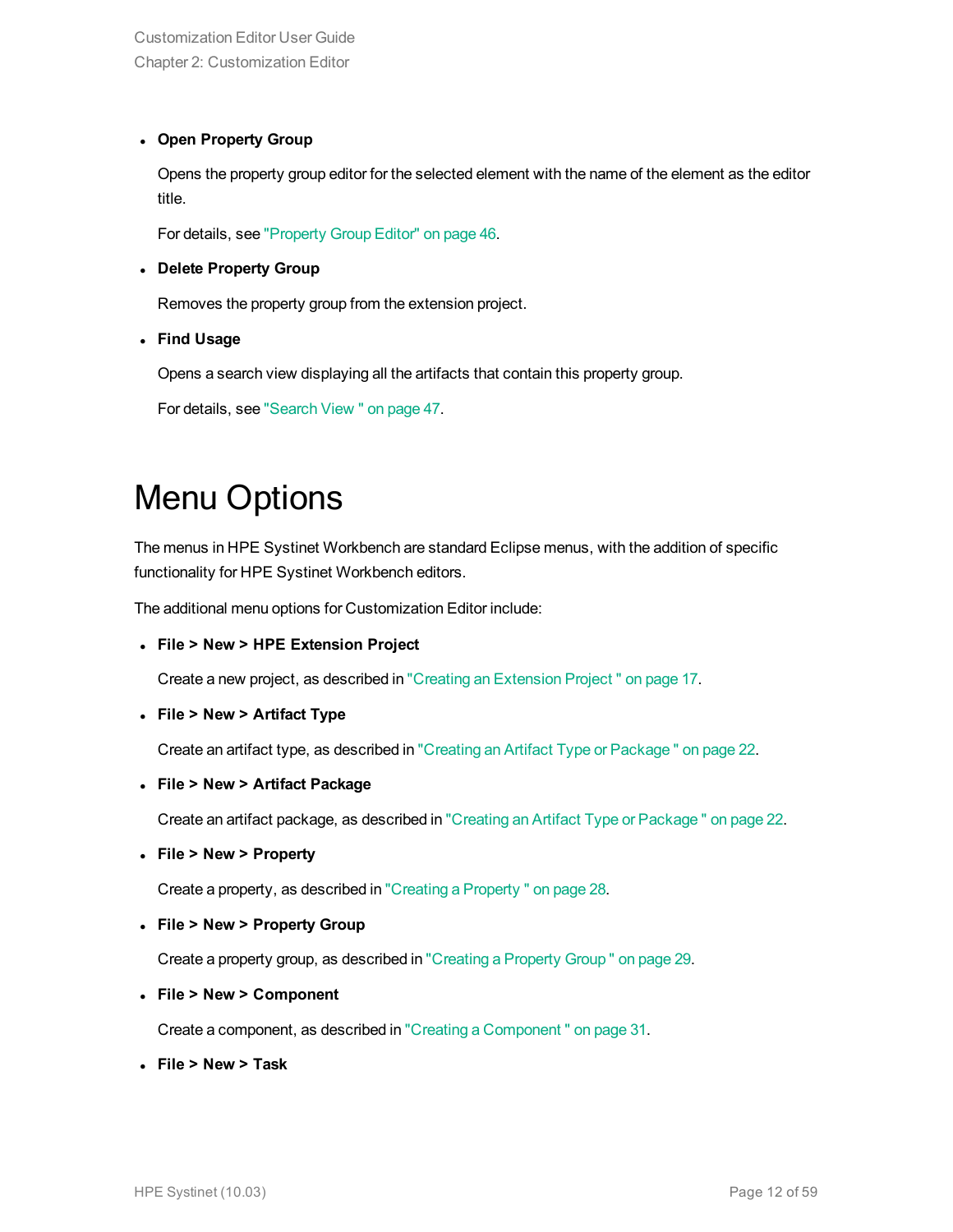#### <sup>l</sup> **Open Property Group**

Opens the property group editor for the selected element with the name of the element as the editor title.

For details, see ["Property](#page-45-0) Group Editor" on page 46.

#### <sup>l</sup> **Delete Property Group**

Removes the property group from the extension project.

<sup>l</sup> **Find Usage**

Opens a search view displaying all the artifacts that contain this property group.

<span id="page-11-0"></span>For details, see ["Search](#page-46-0) View " on page 47.

### Menu Options

The menus in HPE Systinet Workbench are standard Eclipse menus, with the addition of specific functionality for HPE Systinet Workbench editors.

The additional menu options for Customization Editor include:

<sup>l</sup> **File > New > HPE Extension Project**

Create a new project, as described in "Creating an [Extension](#page-16-1) Project " on page 17.

<sup>l</sup> **File > New > Artifact Type**

Create an artifact type, as described in "Creating an Artifact Type or [Package "](#page-21-1) on page 22.

<sup>l</sup> **File > New > Artifact Package**

Create an artifact package, as described in "Creating an Artifact Type or [Package "](#page-21-1) on page 22.

<sup>l</sup> **File > New > Property**

Create a property, as described in "Creating a [Property "](#page-27-1) on page 28.

<sup>l</sup> **File > New > Property Group**

Create a property group, as described in ["Creating](#page-28-1) a Property Group " on page 29.

<sup>l</sup> **File > New > Component**

Create a component, as described in "Creating a [Component "](#page-30-1) on page 31.

<sup>l</sup> **File > New > Task**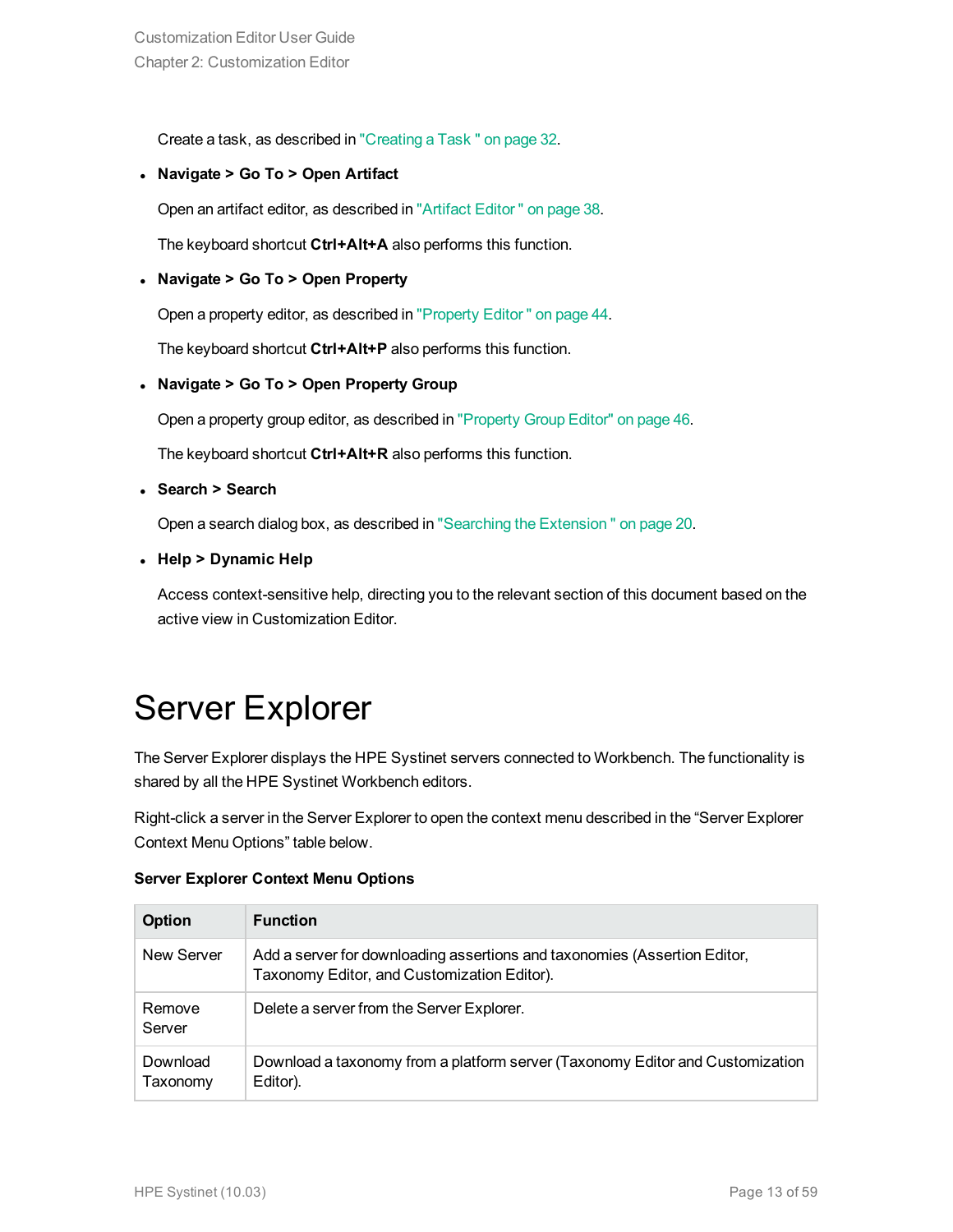Create a task, as described in ["Creating](#page-31-0) a Task " on page 32.

<sup>l</sup> **Navigate > Go To > Open Artifact**

Open an artifact editor, as described in ["Artifact](#page-37-1) Editor " on page 38.

The keyboard shortcut **Ctrl+Alt+A** also performs this function.

#### <sup>l</sup> **Navigate > Go To > Open Property**

Open a property editor, as described in ["Property](#page-43-0) Editor " on page 44.

The keyboard shortcut **Ctrl+Alt+P** also performs this function.

<sup>l</sup> **Navigate > Go To > Open Property Group**

Open a property group editor, as described in ["Property](#page-45-0) Group Editor" on page 46.

The keyboard shortcut **Ctrl+Alt+R** also performs this function.

<sup>l</sup> **Search > Search**

Open a search dialog box, as described in "Searching the [Extension "](#page-19-2) on page 20.

<sup>l</sup> **Help > Dynamic Help**

<span id="page-12-0"></span>Access context-sensitive help, directing you to the relevant section of this document based on the active view in Customization Editor.

### Server Explorer

The Server Explorer displays the HPE Systinet servers connected to Workbench. The functionality is shared by all the HPE Systinet Workbench editors.

Right-click a server in the Server Explorer to open the context menu described in the "Server Explorer Context Menu Options" table below.

|  | <b>Server Explorer Context Menu Options</b> |  |  |  |
|--|---------------------------------------------|--|--|--|
|--|---------------------------------------------|--|--|--|

| <b>Option</b>        | <b>Function</b>                                                                                                          |
|----------------------|--------------------------------------------------------------------------------------------------------------------------|
| New Server           | Add a server for downloading assertions and taxonomies (Assertion Editor,<br>Taxonomy Editor, and Customization Editor). |
| Remove<br>Server     | Delete a server from the Server Explorer.                                                                                |
| Download<br>Taxonomy | Download a taxonomy from a platform server (Taxonomy Editor and Customization<br>Editor).                                |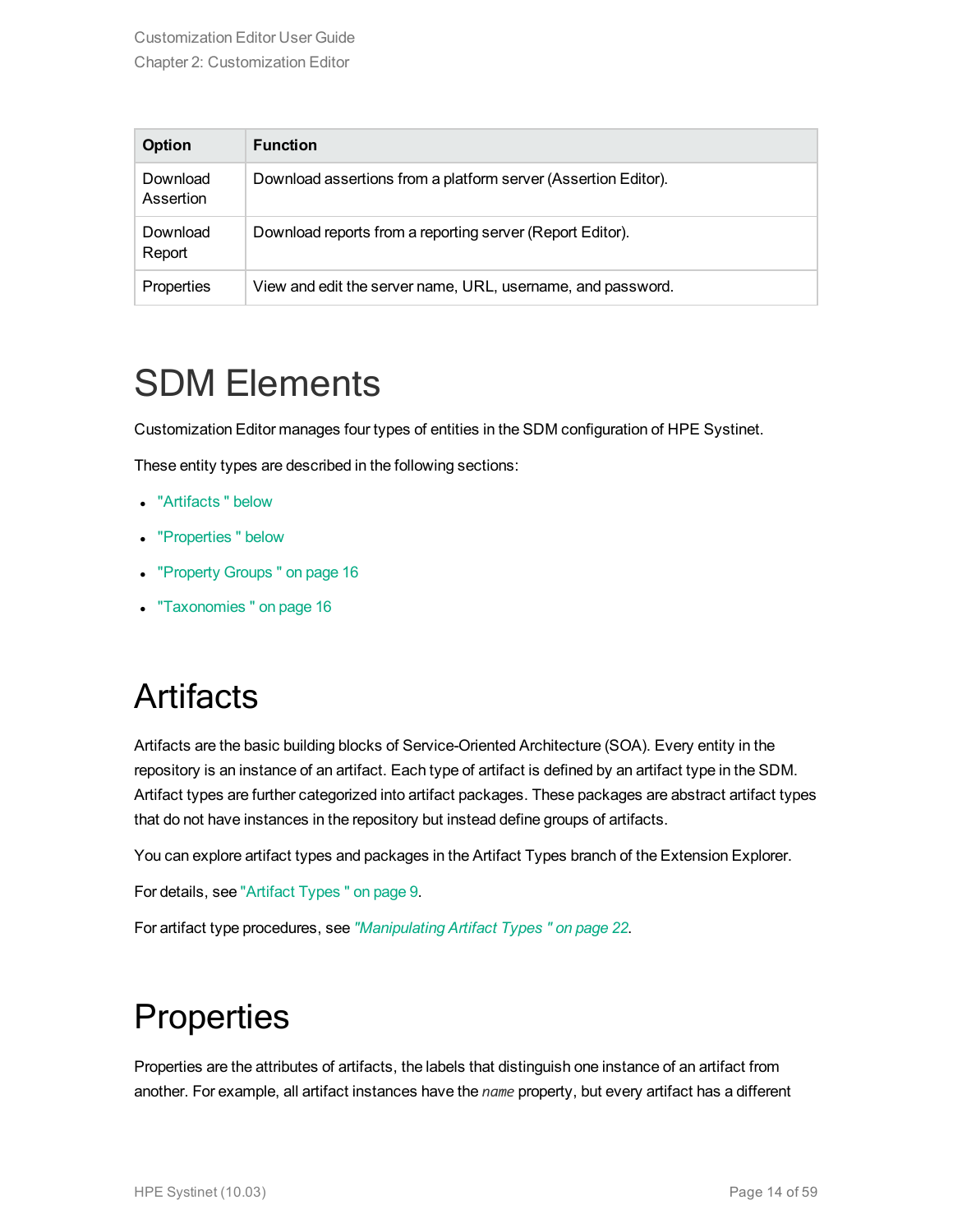| <b>Option</b>         | <b>Function</b>                                                |
|-----------------------|----------------------------------------------------------------|
| Download<br>Assertion | Download assertions from a platform server (Assertion Editor). |
| Download<br>Report    | Download reports from a reporting server (Report Editor).      |
| Properties            | View and edit the server name, URL, username, and password.    |

### <span id="page-13-0"></span>SDM Elements

Customization Editor manages four types of entities in the SDM configuration of HPE Systinet.

These entity types are described in the following sections:

- ["Artifacts "](#page-13-1) below
- ["Properties "](#page-13-2) below
- ["Property](#page-15-0) Groups" on page 16
- <span id="page-13-1"></span>- ["Taxonomies "](#page-15-1) on page 16

### **Artifacts**

Artifacts are the basic building blocks of Service-Oriented Architecture (SOA). Every entity in the repository is an instance of an artifact. Each type of artifact is defined by an artifact type in the SDM. Artifact types are further categorized into artifact packages. These packages are abstract artifact types that do not have instances in the repository but instead define groups of artifacts.

You can explore artifact types and packages in the Artifact Types branch of the Extension Explorer.

For details, see ["Artifact](#page-8-2) Types " on page 9.

<span id="page-13-2"></span>For artifact type procedures, see *["Manipulating](#page-21-0) Artifact Types " on page 22*.

### **Properties**

Properties are the attributes of artifacts, the labels that distinguish one instance of an artifact from another. For example, all artifact instances have the *name* property, but every artifact has a different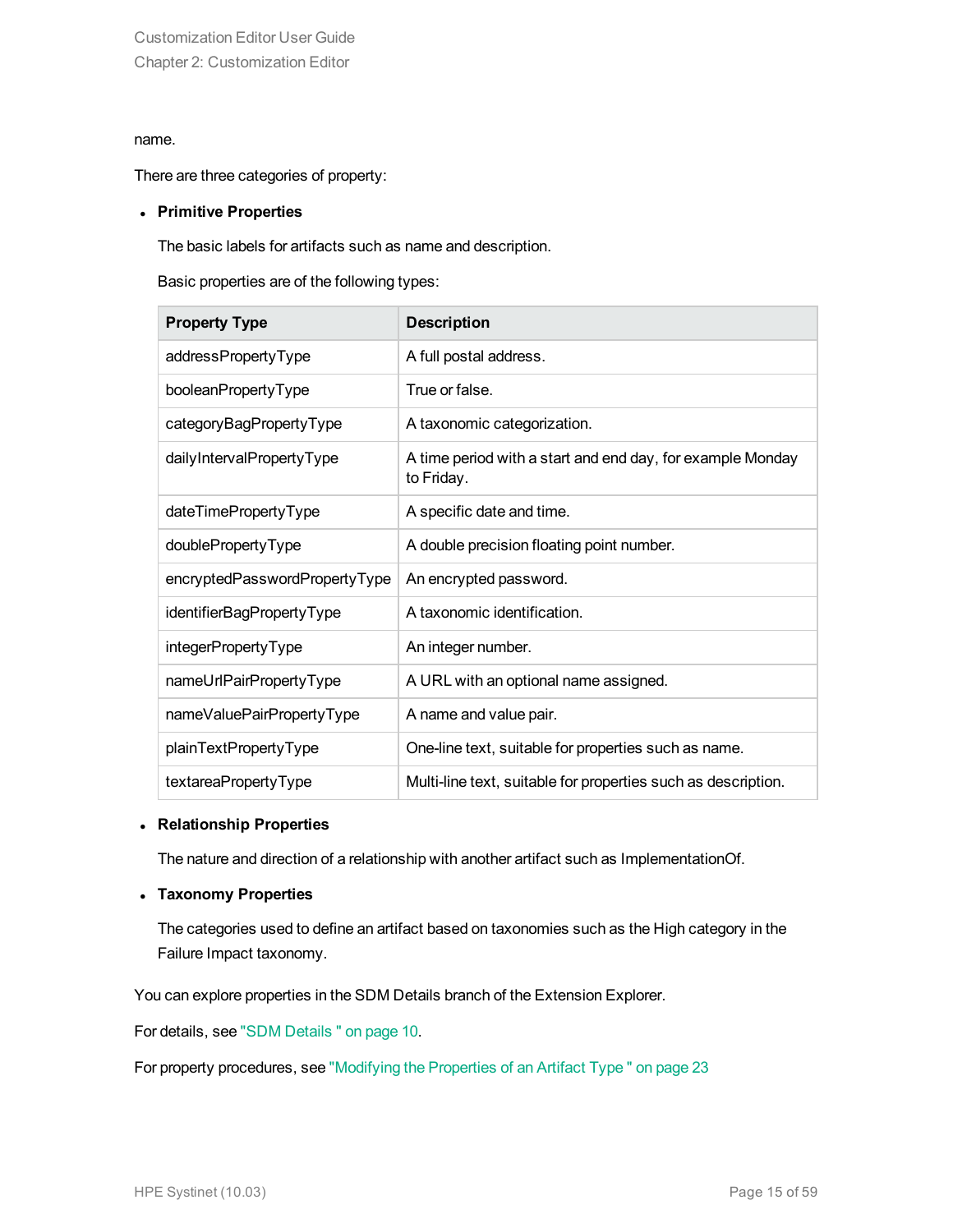#### name.

There are three categories of property:

#### <sup>l</sup> **Primitive Properties**

The basic labels for artifacts such as name and description.

Basic properties are of the following types:

| <b>Property Type</b>          | <b>Description</b>                                                       |
|-------------------------------|--------------------------------------------------------------------------|
| addressPropertyType           | A full postal address.                                                   |
| booleanPropertyType           | True or false.                                                           |
| categoryBagPropertyType       | A taxonomic categorization.                                              |
| dailyIntervalPropertyType     | A time period with a start and end day, for example Monday<br>to Friday. |
| dateTimePropertyType          | A specific date and time.                                                |
| doublePropertyType            | A double precision floating point number.                                |
| encryptedPasswordPropertyType | An encrypted password.                                                   |
| identifierBagPropertyType     | A taxonomic identification.                                              |
| integerPropertyType           | An integer number.                                                       |
| nameUrlPairPropertyType       | A URL with an optional name assigned.                                    |
| nameValuePairPropertyType     | A name and value pair.                                                   |
| plainTextPropertyType         | One-line text, suitable for properties such as name.                     |
| textareaPropertyType          | Multi-line text, suitable for properties such as description.            |

#### <sup>l</sup> **Relationship Properties**

The nature and direction of a relationship with another artifact such as ImplementationOf.

#### <sup>l</sup> **Taxonomy Properties**

The categories used to define an artifact based on taxonomies such as the High category in the Failure Impact taxonomy.

You can explore properties in the SDM Details branch of the Extension Explorer.

For details, see "SDM [Details "](#page-9-0) on page 10.

For property procedures, see ["Modifying](#page-22-1) the Properties of an Artifact Type " on page 23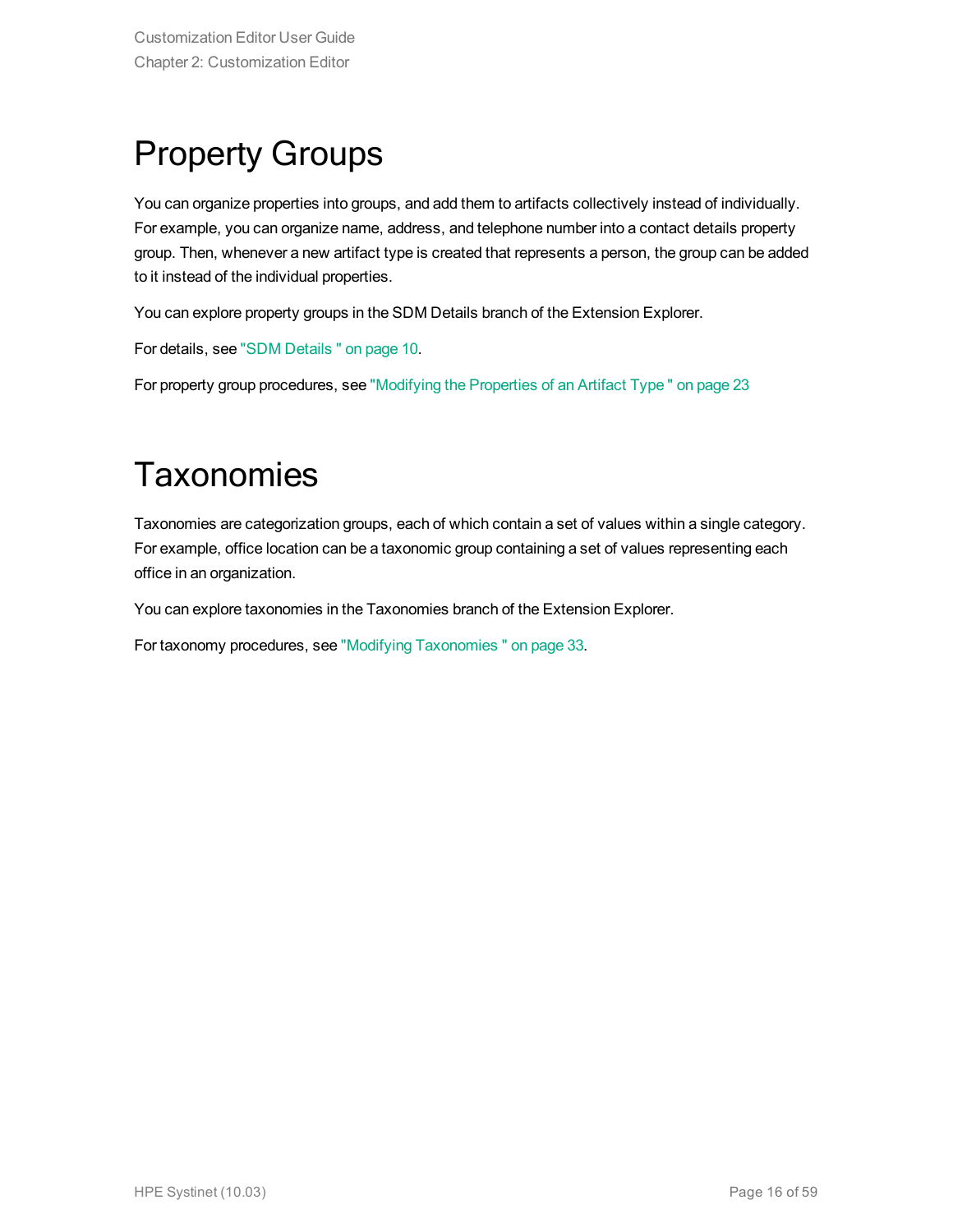## <span id="page-15-0"></span>Property Groups

You can organize properties into groups, and add them to artifacts collectively instead of individually. For example, you can organize name, address, and telephone number into a contact details property group. Then, whenever a new artifact type is created that represents a person, the group can be added to it instead of the individual properties.

You can explore property groups in the SDM Details branch of the Extension Explorer.

For details, see "SDM [Details "](#page-9-0) on page 10.

<span id="page-15-1"></span>For property group procedures, see ["Modifying](#page-22-1) the Properties of an Artifact Type " on page 23

### **Taxonomies**

Taxonomies are categorization groups, each of which contain a set of values within a single category. For example, office location can be a taxonomic group containing a set of values representing each office in an organization.

You can explore taxonomies in the Taxonomies branch of the Extension Explorer.

For taxonomy procedures, see "Modifying [Taxonomies "](#page-32-0) on page 33.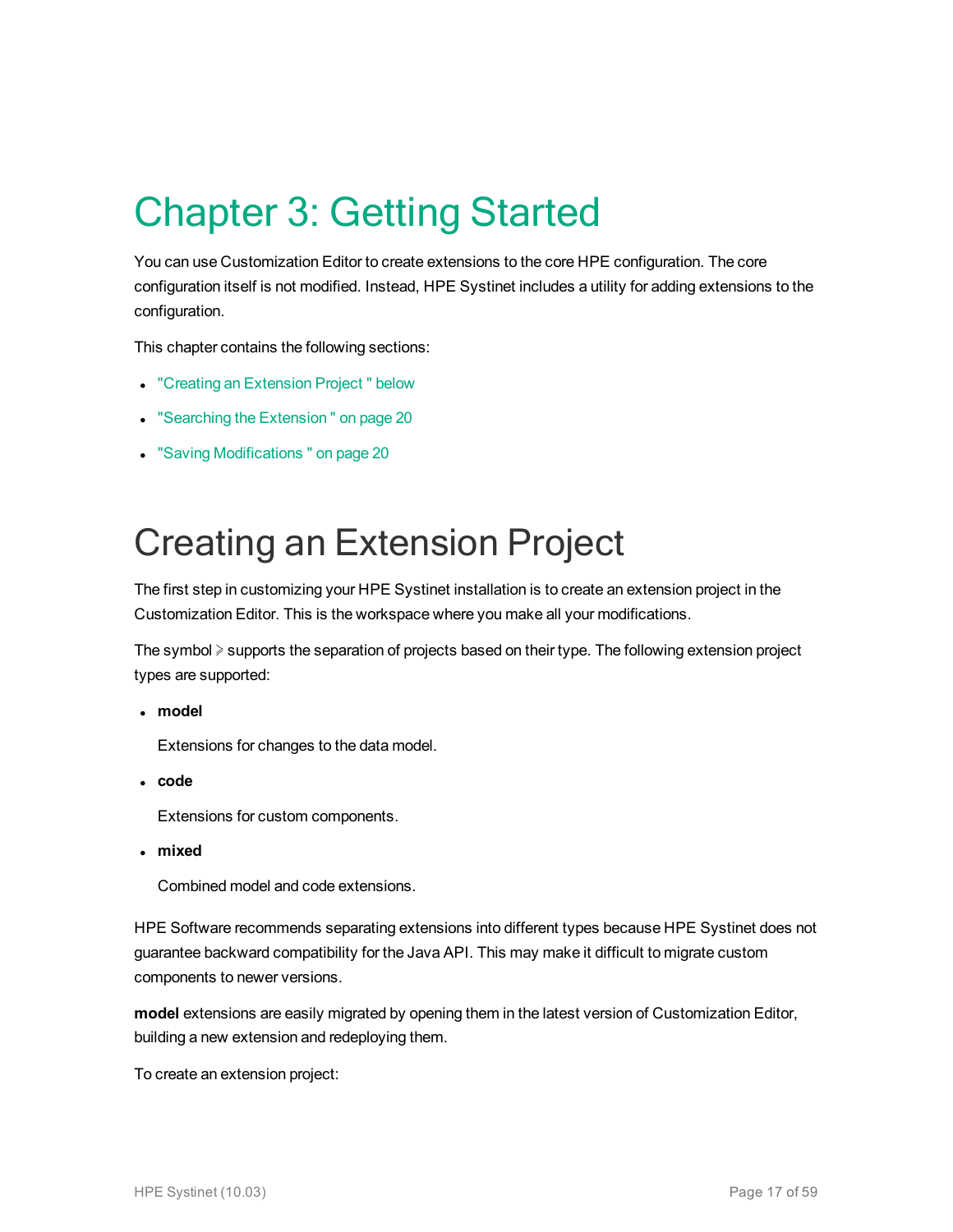# <span id="page-16-0"></span>Chapter 3: Getting Started

You can use Customization Editor to create extensions to the core HPE configuration. The core configuration itself is not modified. Instead, HPE Systinet includes a utility for adding extensions to the configuration.

This chapter contains the following sections:

- "Creating an [Extension](#page-16-1) Project" below
- "Searching the Extension" on page 20
- <span id="page-16-1"></span>• "Saving Modifications" on page 20

## Creating an Extension Project

The first step in customizing your HPE Systinet installation is to create an extension project in the Customization Editor. This is the workspace where you make all your modifications.

The symbol ≽ supports the separation of projects based on their type. The following extension project types are supported:

<sup>l</sup> **model**

Extensions for changes to the data model.

<sup>l</sup> **code**

Extensions for custom components.

<sup>l</sup> **mixed**

Combined model and code extensions.

HPE Software recommends separating extensions into different types because HPE Systinet does not guarantee backward compatibility for the Java API. This may make it difficult to migrate custom components to newer versions.

**model** extensions are easily migrated by opening them in the latest version of Customization Editor, building a new extension and redeploying them.

To create an extension project: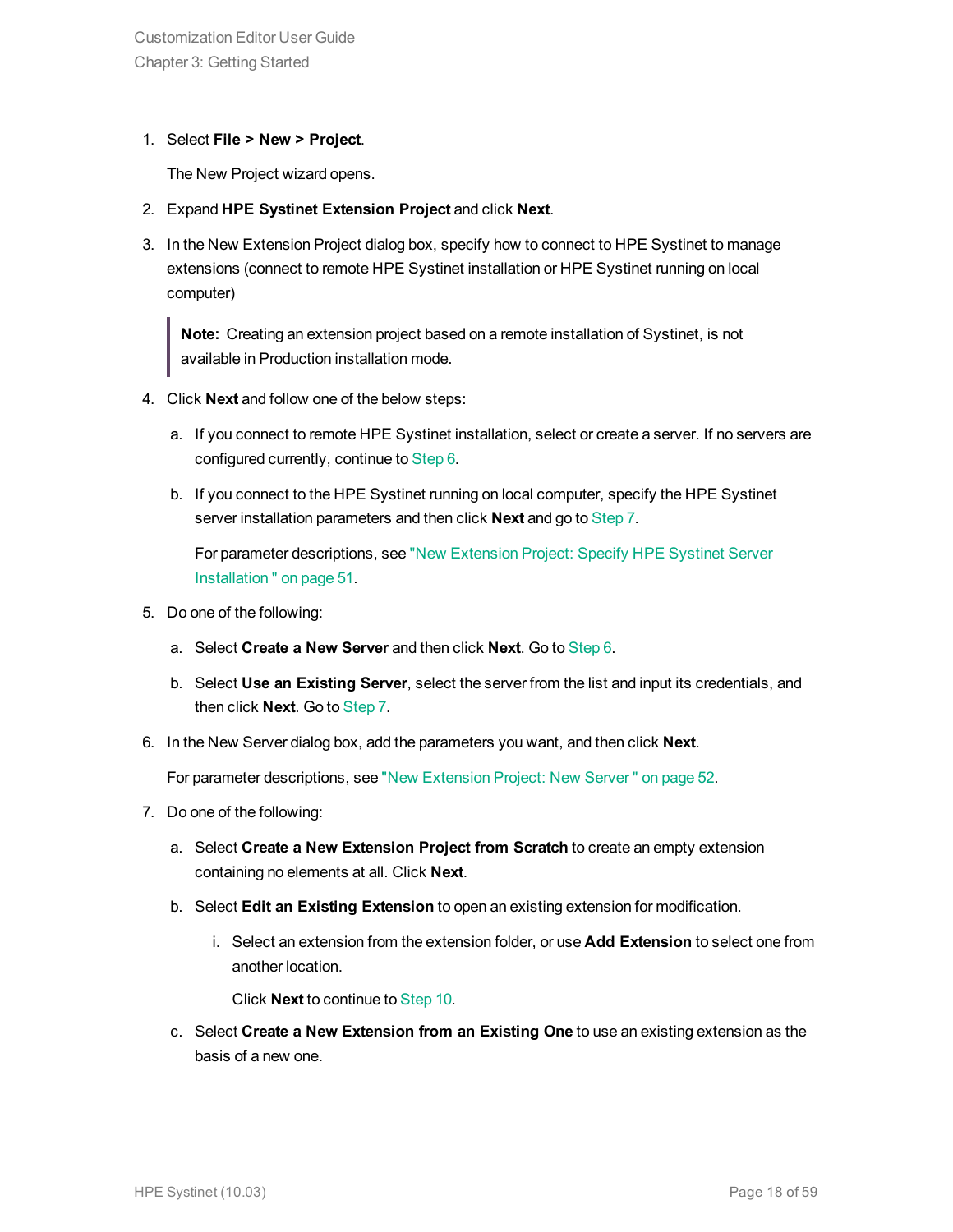#### 1. Select **File > New > Project**.

The New Project wizard opens.

- 2. Expand **HPE Systinet Extension Project** and click **Next**.
- 3. In the New Extension Project dialog box, specify how to connect to HPE Systinet to manage extensions (connect to remote HPE Systinet installation or HPE Systinet running on local computer)

**Note:** Creating an extension project based on a remote installation of Systinet, is not available in Production installation mode.

- 4. Click **Next** and follow one of the below steps:
	- a. If you connect to remote HPE Systinet installation, select or create a server. If no servers are configured currently, continue to [Step](#page-17-0) 6.
	- b. If you connect to the HPE Systinet running on local computer, specify the HPE Systinet server installation parameters and then click **Next** and go to [Step](#page-17-1) 7.

For parameter descriptions, see "New [Extension](#page-50-1) Project: Specify HPE Systinet Server [Installation "](#page-50-1) on page 51.

- 5. Do one of the following:
	- a. Select **Create a New Server** and then click **Next**. Go to [Step](#page-17-0) 6.
	- b. Select **Use an Existing Server**, select the server from the list and input its credentials, and then click **Next**. Go to [Step](#page-17-1) 7.
- <span id="page-17-0"></span>6. In the New Server dialog box, add the parameters you want, and then click **Next**.

<span id="page-17-1"></span>For parameter descriptions, see "New [Extension](#page-51-0) Project: New Server " on page 52.

- 7. Do one of the following:
	- a. Select **Create a New Extension Project from Scratch** to create an empty extension containing no elements at all. Click **Next**.
	- b. Select **Edit an Existing Extension** to open an existing extension for modification.
		- i. Select an extension from the extension folder, or use **Add Extension** to select one from another location.

Click **Next** to continue to [Step](#page-18-1) 10.

c. Select **Create a New Extension from an Existing One** to use an existing extension as the basis of a new one.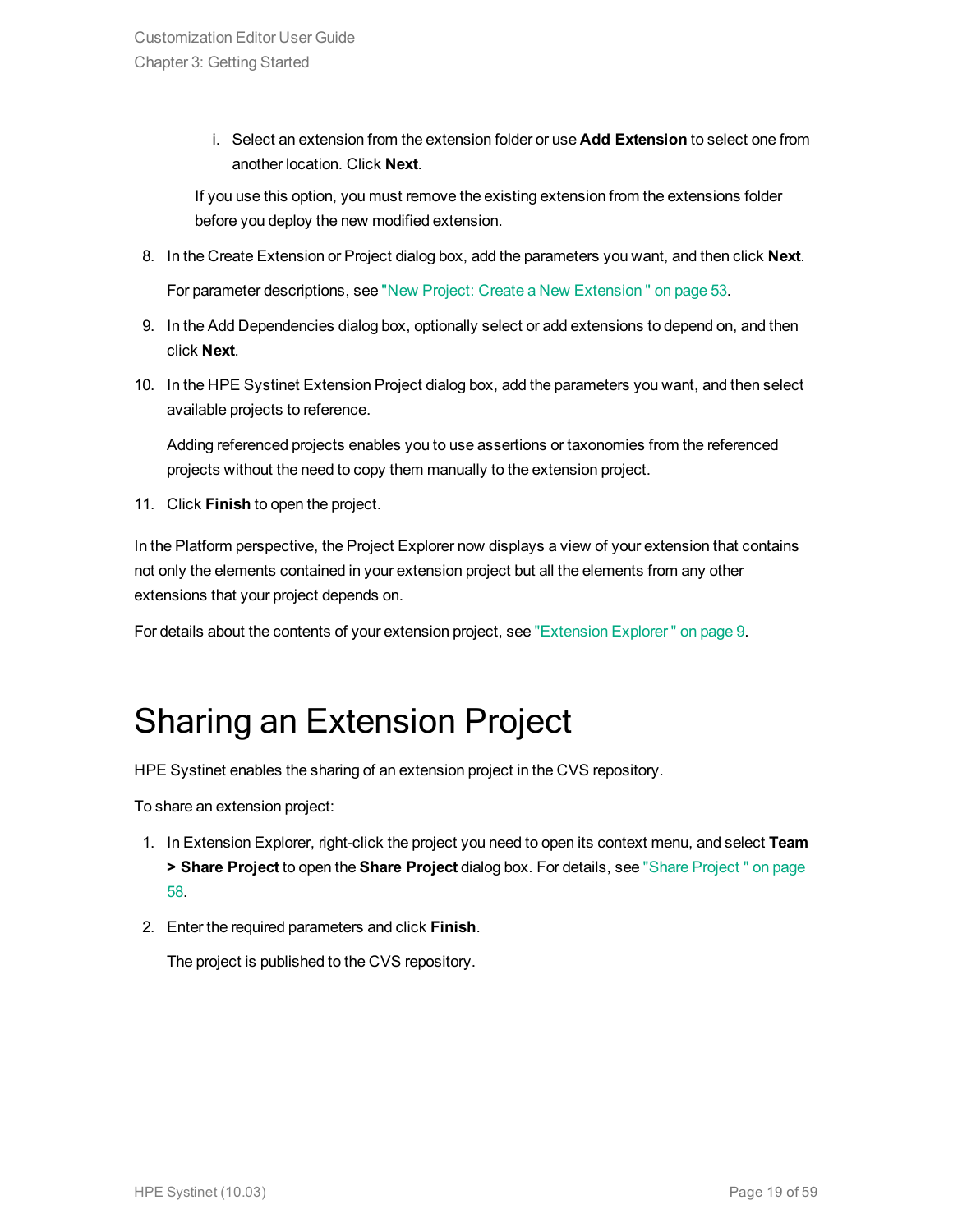i. Select an extension from the extension folder or use **Add Extension** to select one from another location. Click **Next**.

If you use this option, you must remove the existing extension from the extensions folder before you deploy the new modified extension.

8. In the Create Extension or Project dialog box, add the parameters you want, and then click **Next**.

For parameter descriptions, see "New Project: Create a New [Extension "](#page-52-0) on page 53.

- 9. In the Add Dependencies dialog box, optionally select or add extensions to depend on, and then click **Next**.
- <span id="page-18-1"></span>10. In the HPE Systinet Extension Project dialog box, add the parameters you want, and then select available projects to reference.

Adding referenced projects enables you to use assertions or taxonomies from the referenced projects without the need to copy them manually to the extension project.

11. Click **Finish** to open the project.

In the Platform perspective, the Project Explorer now displays a view of your extension that contains not only the elements contained in your extension project but all the elements from any other extensions that your project depends on.

<span id="page-18-0"></span>For details about the contents of your extension project, see ["Extension](#page-8-0) Explorer" on page 9.

## Sharing an Extension Project

HPE Systinet enables the sharing of an extension project in the CVS repository.

To share an extension project:

- 1. In Extension Explorer, right-click the project you need to open its context menu, and select **Team > Share Project** to open the **Share Project** dialog box. For details, see "Share [Project "](#page-57-1) on page [58.](#page-57-1)
- 2. Enter the required parameters and click **Finish**.

The project is published to the CVS repository.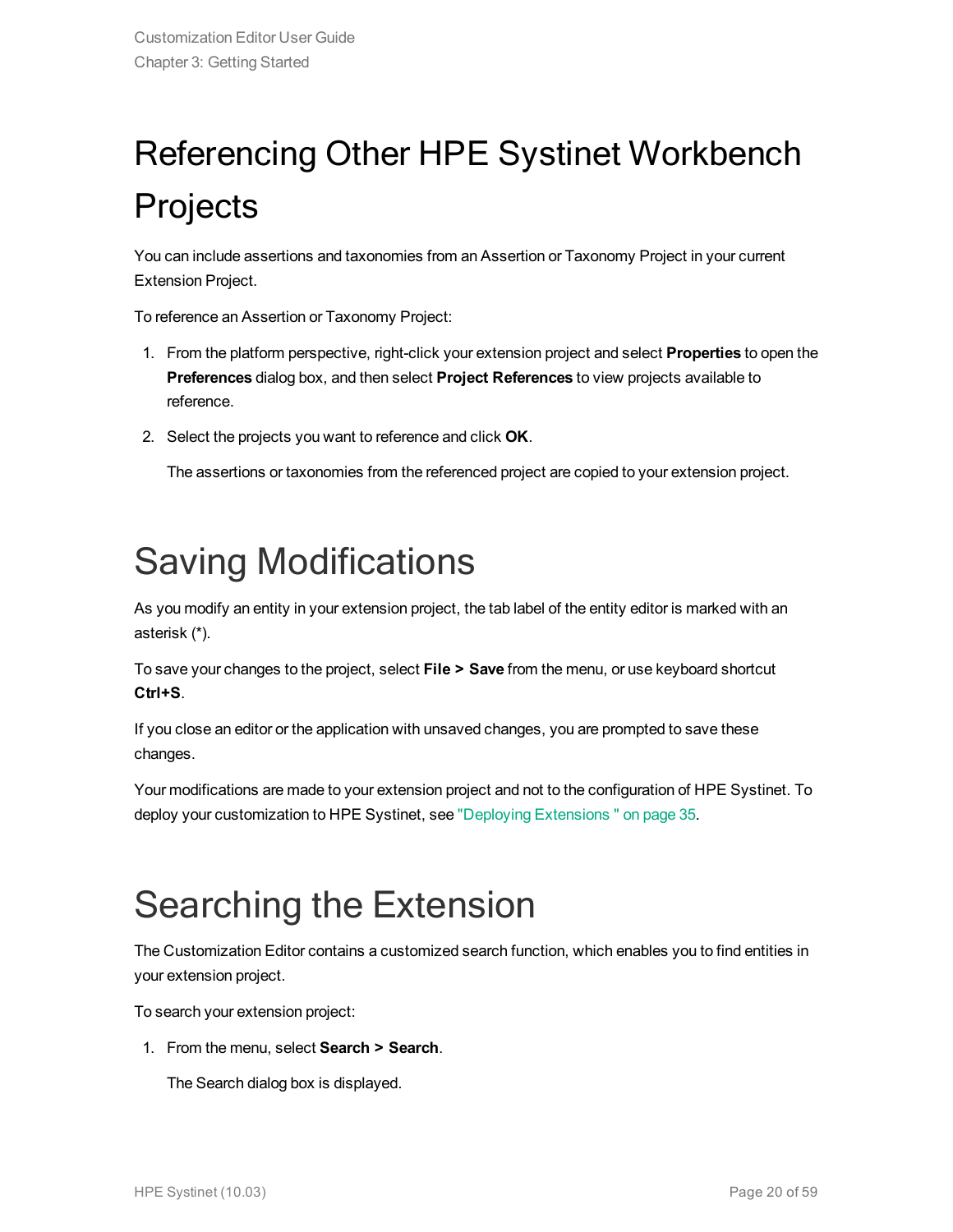# <span id="page-19-0"></span>Referencing Other HPE Systinet Workbench Projects

You can include assertions and taxonomies from an Assertion or Taxonomy Project in your current Extension Project.

To reference an Assertion or Taxonomy Project:

- 1. From the platform perspective, right-click your extension project and select **Properties** to open the **Preferences** dialog box, and then select **Project References** to view projects available to reference.
- 2. Select the projects you want to reference and click **OK**.

The assertions or taxonomies from the referenced project are copied to your extension project.

## <span id="page-19-1"></span>Saving Modifications

As you modify an entity in your extension project, the tab label of the entity editor is marked with an asterisk (\*).

To save your changes to the project, select **File > Save** from the menu, or use keyboard shortcut **Ctrl+S**.

If you close an editor or the application with unsaved changes, you are prompted to save these changes.

Your modifications are made to your extension project and not to the configuration of HPE Systinet. To deploy your customization to HPE Systinet, see "Deploying [Extensions "](#page-34-0) on page 35.

## <span id="page-19-2"></span>Searching the Extension

The Customization Editor contains a customized search function, which enables you to find entities in your extension project.

To search your extension project:

1. From the menu, select **Search > Search**.

The Search dialog box is displayed.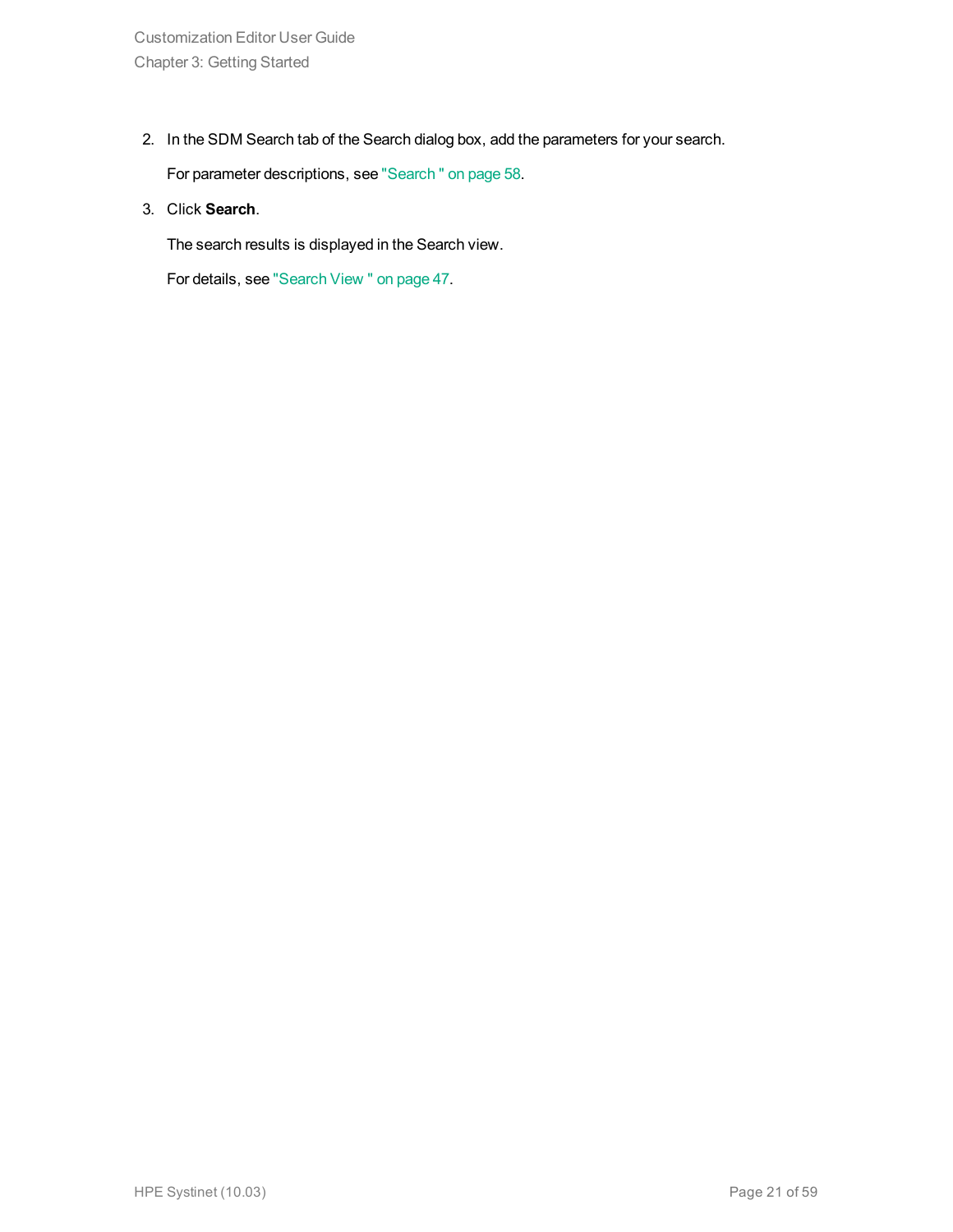2. In the SDM Search tab of the Search dialog box, add the parameters for your search.

For parameter descriptions, see ["Search "](#page-57-0) on page 58.

3. Click **Search**.

The search results is displayed in the Search view.

For details, see ["Search](#page-46-0) View " on page 47.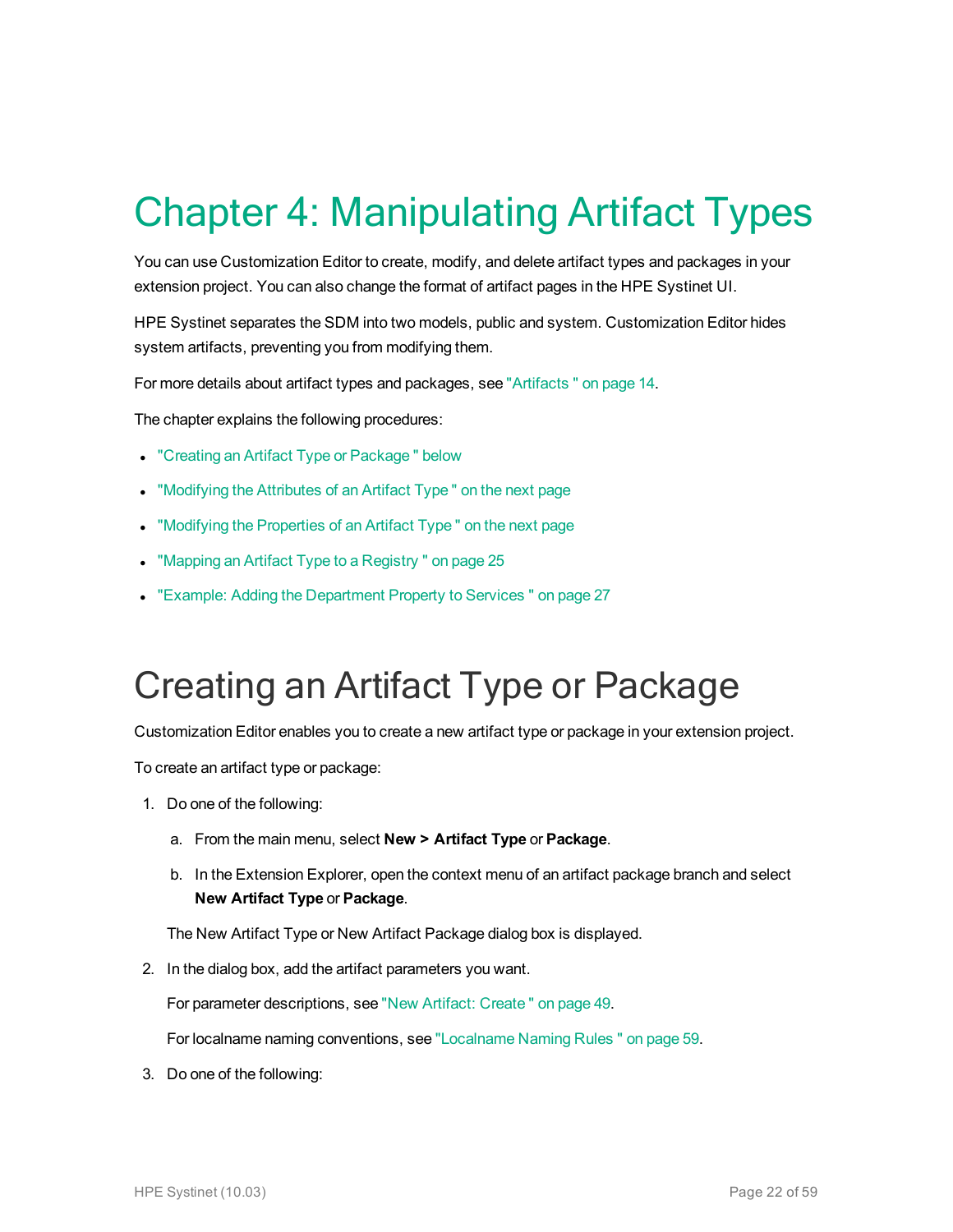# <span id="page-21-0"></span>Chapter 4: Manipulating Artifact Types

You can use Customization Editor to create, modify, and delete artifact types and packages in your extension project. You can also change the format of artifact pages in the HPE Systinet UI.

HPE Systinet separates the SDM into two models, public and system. Customization Editor hides system artifacts, preventing you from modifying them.

For more details about artifact types and packages, see ["Artifacts "](#page-13-1) on page 14.

The chapter explains the following procedures:

- "Creating an Artifact Type or Package" below
- ["Modifying](#page-22-0) the Attributes of an Artifact Type" on the next page
- ["Modifying](#page-22-1) the Properties of an Artifact Type" on the next page
- "Mapping an Artifact Type to a Registry" on page 25
- <span id="page-21-1"></span>• "Example: Adding the [Department](#page-26-0) Property to Services" on page 27

## Creating an Artifact Type or Package

Customization Editor enables you to create a new artifact type or package in your extension project.

To create an artifact type or package:

- 1. Do one of the following:
	- a. From the main menu, select **New > Artifact Type** or **Package**.
	- b. In the Extension Explorer, open the context menu of an artifact package branch and select **New Artifact Type** or **Package**.

The New Artifact Type or New Artifact Package dialog box is displayed.

2. In the dialog box, add the artifact parameters you want.

For parameter descriptions, see "New Artifact: [Create "](#page-48-2) on page 49.

For localname naming conventions, see ["Localname](#page-58-0) Naming Rules " on page 59.

3. Do one of the following: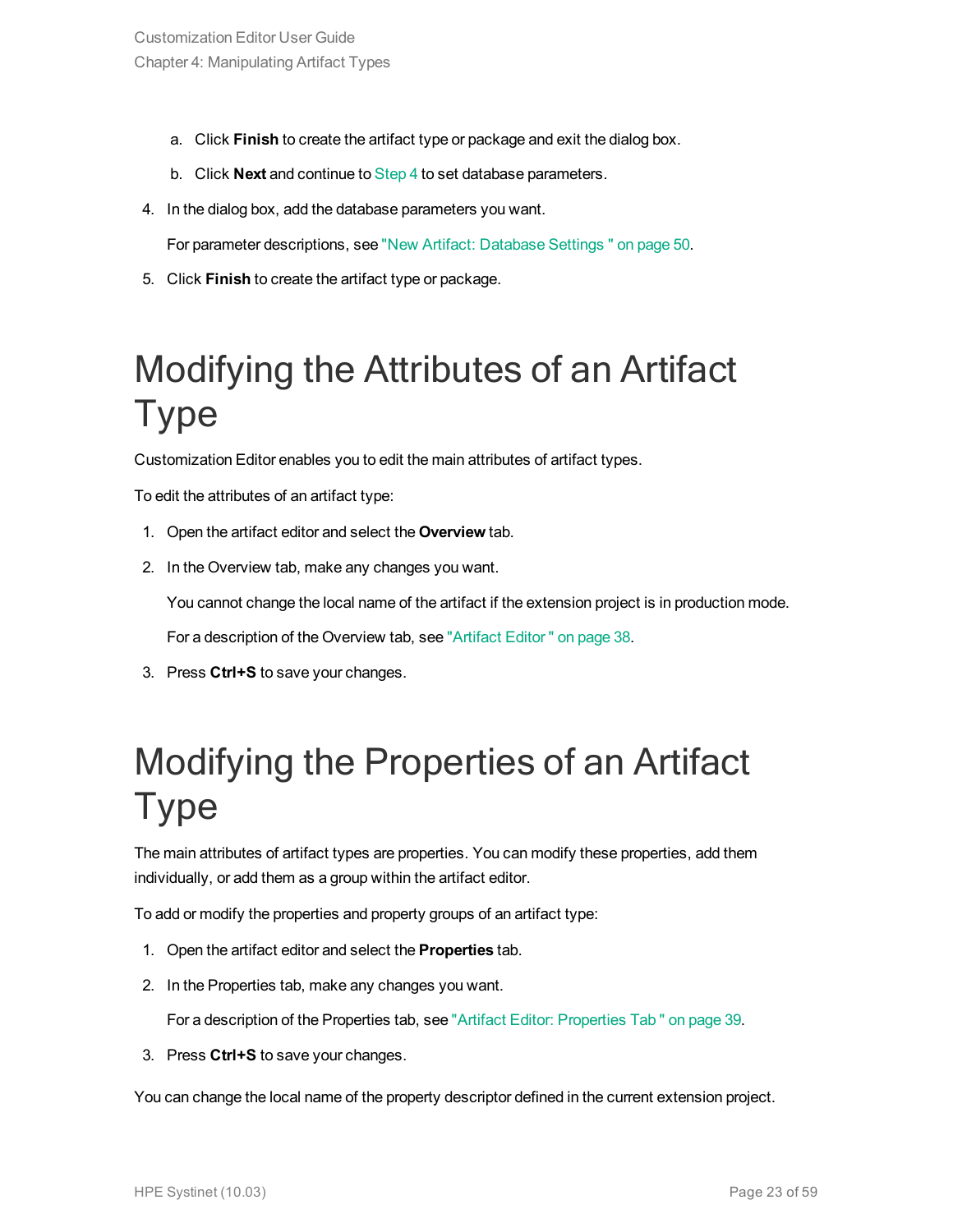- a. Click **Finish** to create the artifact type or package and exit the dialog box.
- <span id="page-22-2"></span>b. Click **Next** and continue to [Step](#page-22-2) 4 to set database parameters.
- 4. In the dialog box, add the database parameters you want.

For parameter descriptions, see "New Artifact: [Database](#page-49-0) Settings " on page 50.

<span id="page-22-0"></span>5. Click **Finish** to create the artifact type or package.

## Modifying the Attributes of an Artifact Type

Customization Editor enables you to edit the main attributes of artifact types.

To edit the attributes of an artifact type:

- 1. Open the artifact editor and select the **Overview** tab.
- 2. In the Overview tab, make any changes you want.

You cannot change the local name of the artifact if the extension project is in production mode.

For a description of the Overview tab, see ["Artifact](#page-37-1) Editor " on page 38.

<span id="page-22-1"></span>3. Press **Ctrl+S** to save your changes.

## Modifying the Properties of an Artifact Type

The main attributes of artifact types are properties. You can modify these properties, add them individually, or add them as a group within the artifact editor.

To add or modify the properties and property groups of an artifact type:

- 1. Open the artifact editor and select the **Properties** tab.
- 2. In the Properties tab, make any changes you want.

For a description of the Properties tab, see "Artifact Editor: [Properties](#page-38-1) Tab " on page 39.

3. Press **Ctrl+S** to save your changes.

You can change the local name of the property descriptor defined in the current extension project.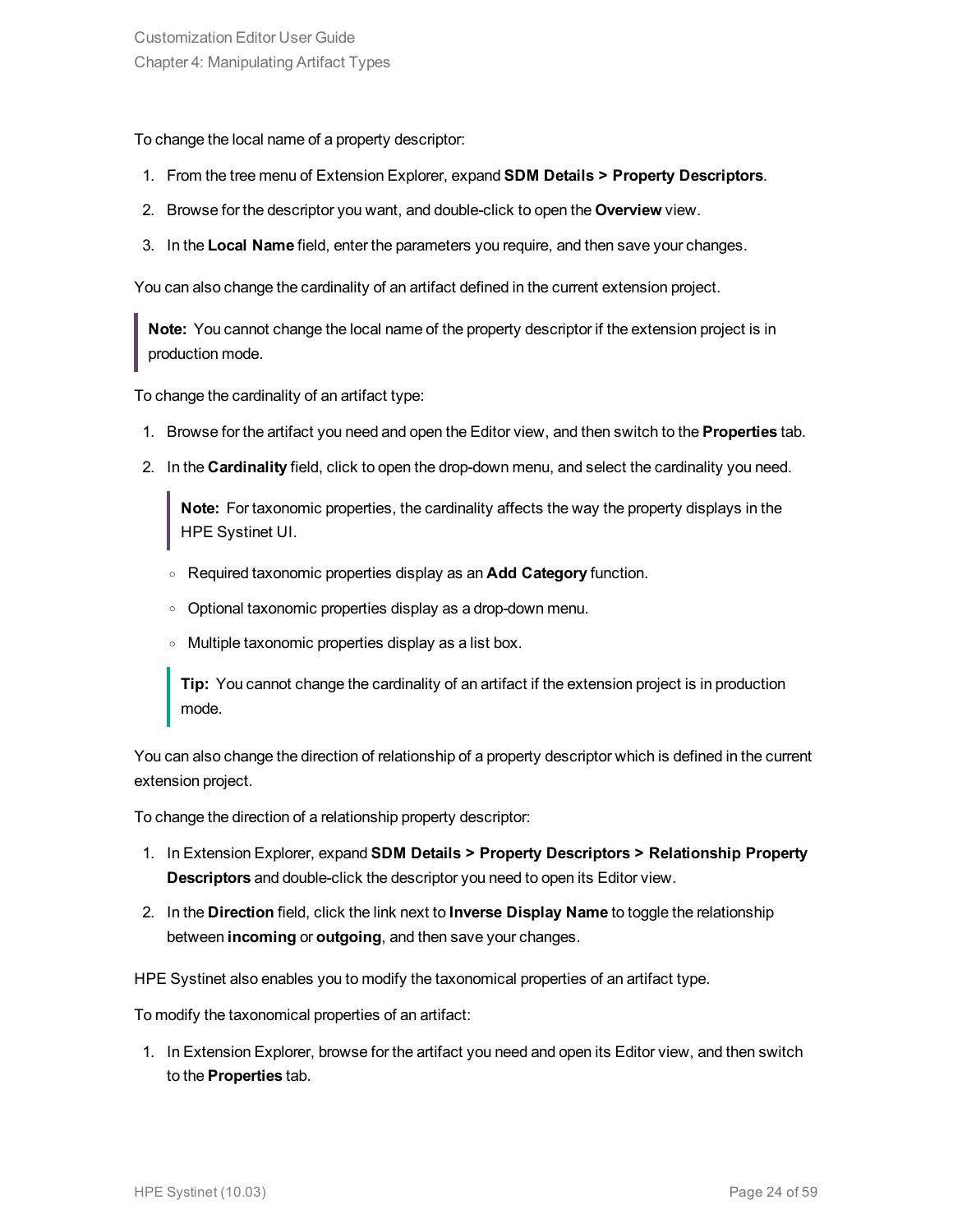To change the local name of a property descriptor:

- 1. From the tree menu of Extension Explorer, expand **SDM Details > Property Descriptors**.
- 2. Browse for the descriptor you want, and double-click to open the **Overview** view.
- 3. In the **Local Name** field, enter the parameters you require, and then save your changes.

You can also change the cardinality of an artifact defined in the current extension project.

**Note:** You cannot change the local name of the property descriptor if the extension project is in production mode.

To change the cardinality of an artifact type:

- 1. Browse for the artifact you need and open the Editor view, and then switch to the **Properties** tab.
- 2. In the **Cardinality** field, click to open the drop-down menu, and select the cardinality you need.

**Note:** For taxonomic properties, the cardinality affects the way the property displays in the HPE Systinet UI.

- <sup>o</sup> Required taxonomic properties display as an **Add Category** function.
- <sup>o</sup> Optional taxonomic properties display as a drop-down menu.
- <sup>o</sup> Multiple taxonomic properties display as a list box.

**Tip:** You cannot change the cardinality of an artifact if the extension project is in production mode.

You can also change the direction of relationship of a property descriptor which is defined in the current extension project.

To change the direction of a relationship property descriptor:

- 1. In Extension Explorer, expand **SDM Details > Property Descriptors > Relationship Property Descriptors** and double-click the descriptor you need to open its Editor view.
- 2. In the **Direction** field, click the link next to **Inverse Display Name** to toggle the relationship between **incoming** or **outgoing**, and then save your changes.

HPE Systinet also enables you to modify the taxonomical properties of an artifact type.

To modify the taxonomical properties of an artifact:

1. In Extension Explorer, browse for the artifact you need and open its Editor view, and then switch to the **Properties** tab.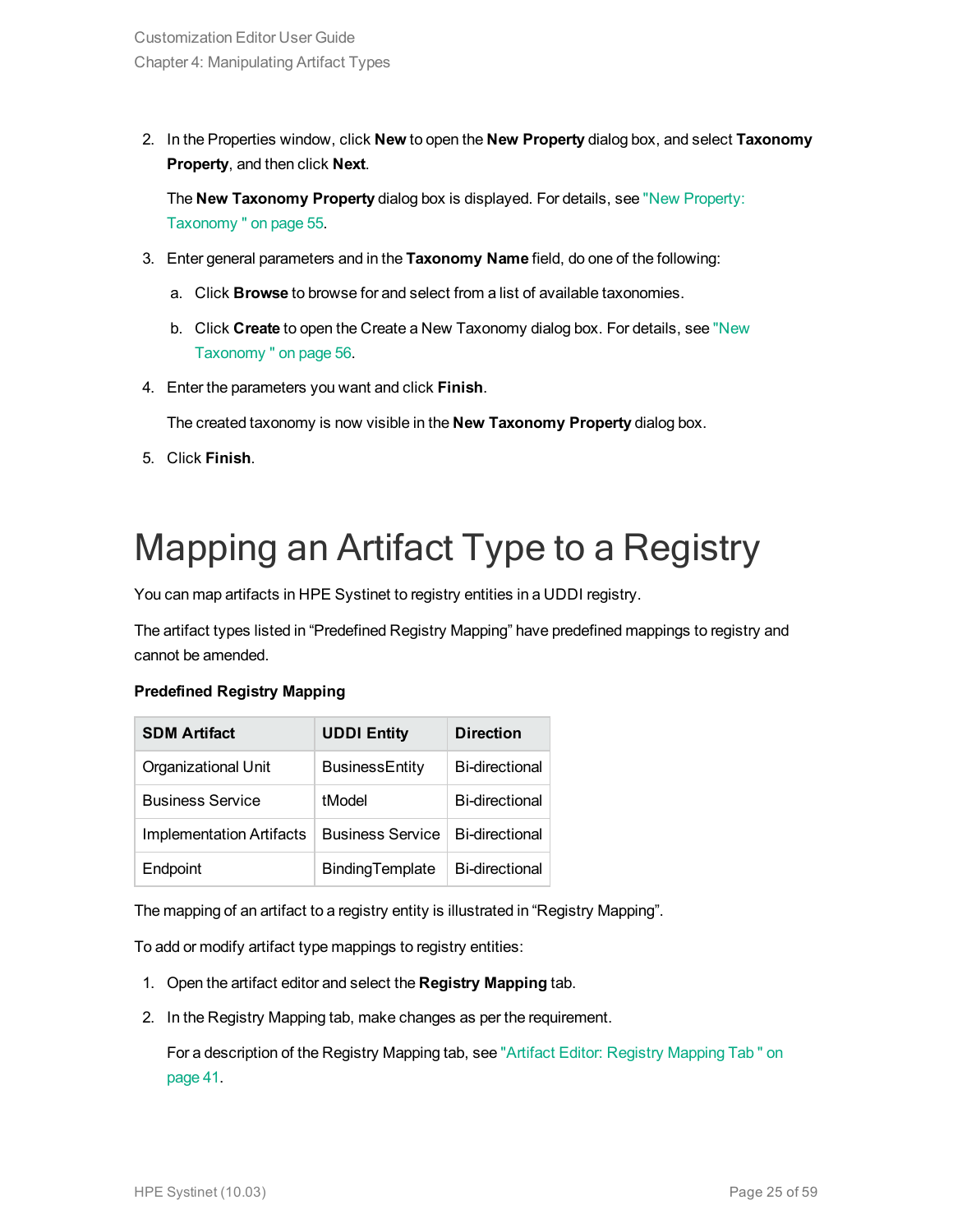2. In the Properties window, click **New** to open the **New Property** dialog box, and select **Taxonomy Property**, and then click **Next**.

The **New Taxonomy Property** dialog box is displayed. For details, see "New [Property:](#page-54-0) [Taxonomy "](#page-54-0) on page 55.

- 3. Enter general parameters and in the **Taxonomy Name** field, do one of the following:
	- a. Click **Browse** to browse for and select from a list of available taxonomies.
	- b. Click **Create** to open the Create a New Taxonomy dialog box. For details, see ["New](#page-55-2) [Taxonomy "](#page-55-2) on page 56.
- 4. Enter the parameters you want and click **Finish**.

The created taxonomy is now visible in the **New Taxonomy Property** dialog box.

<span id="page-24-0"></span>5. Click **Finish**.

## Mapping an Artifact Type to a Registry

You can map artifacts in HPE Systinet to registry entities in a UDDI registry.

The artifact types listed in "Predefined Registry Mapping" have predefined mappings to registry and cannot be amended.

#### **Predefined Registry Mapping**

| <b>SDM Artifact</b>      | <b>UDDI Entity</b>      | <b>Direction</b>      |
|--------------------------|-------------------------|-----------------------|
| Organizational Unit      | <b>BusinessEntity</b>   | <b>Bi-directional</b> |
| <b>Business Service</b>  | tModel                  | <b>Bi-directional</b> |
| Implementation Artifacts | <b>Business Service</b> | <b>Bi-directional</b> |
| Endpoint                 | BindingTemplate         | <b>Bi-directional</b> |

The mapping of an artifact to a registry entity is illustrated in "Registry Mapping".

To add or modify artifact type mappings to registry entities:

- 1. Open the artifact editor and select the **Registry Mapping** tab.
- 2. In the Registry Mapping tab, make changes as per the requirement.

For a description of the Registry Mapping tab, see "Artifact Editor: Registry [Mapping](#page-40-0) Tab " on [page](#page-40-0) 41.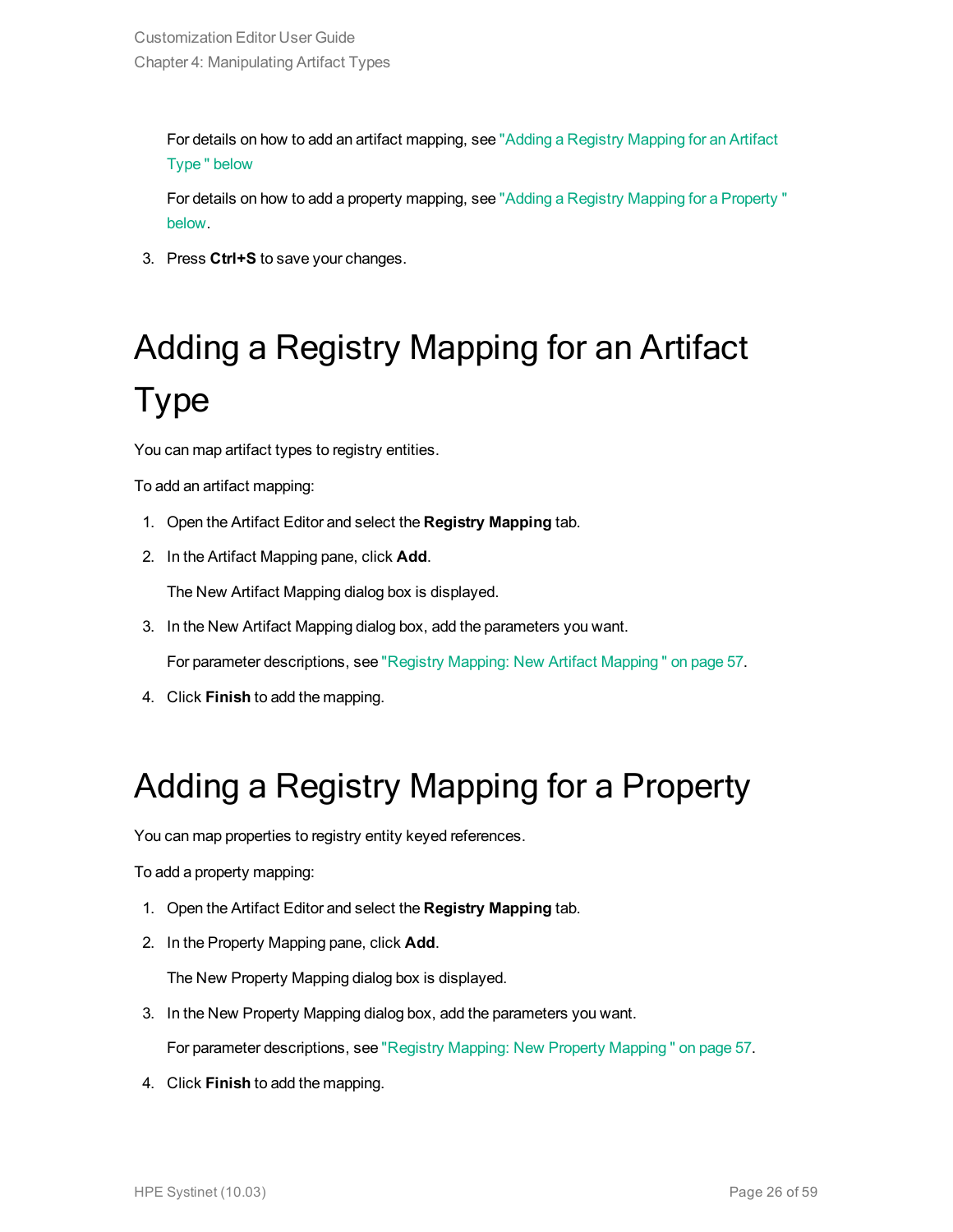For details on how to add an artifact mapping, see "Adding a Registry [Mapping](#page-25-0) for an Artifact [Type "](#page-25-0) below

For details on how to add a property mapping, see "Adding a Registry Mapping for a [Property "](#page-25-1) [below.](#page-25-1)

<span id="page-25-0"></span>3. Press **Ctrl+S** to save your changes.

# Adding a Registry Mapping for an Artifact Type

You can map artifact types to registry entities.

To add an artifact mapping:

- 1. Open the Artifact Editor and select the **Registry Mapping** tab.
- 2. In the Artifact Mapping pane, click **Add**.

The New Artifact Mapping dialog box is displayed.

3. In the New Artifact Mapping dialog box, add the parameters you want.

For parameter descriptions, see "Registry Mapping: New Artifact [Mapping "](#page-56-1) on page 57.

<span id="page-25-1"></span>4. Click **Finish** to add the mapping.

### Adding a Registry Mapping for a Property

You can map properties to registry entity keyed references.

To add a property mapping:

- 1. Open the Artifact Editor and select the **Registry Mapping** tab.
- 2. In the Property Mapping pane, click **Add**.

The New Property Mapping dialog box is displayed.

3. In the New Property Mapping dialog box, add the parameters you want.

For parameter descriptions, see "Registry Mapping: New Property [Mapping "](#page-56-2) on page 57.

4. Click **Finish** to add the mapping.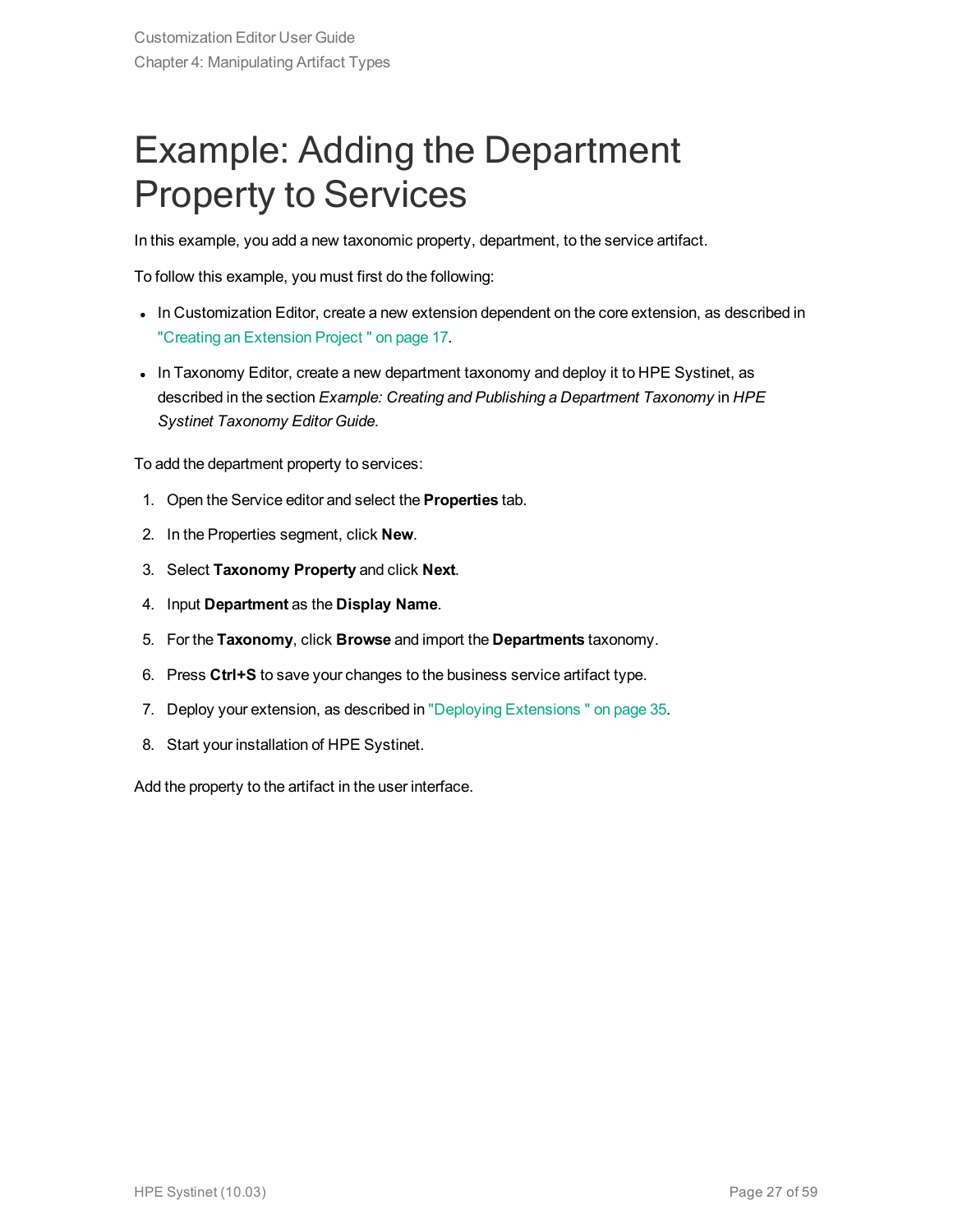## <span id="page-26-0"></span>Example: Adding the Department Property to Services

In this example, you add a new taxonomic property, department, to the service artifact.

To follow this example, you must first do the following:

- In Customization Editor, create a new extension dependent on the core extension, as described in "Creating an [Extension](#page-16-1) Project " on page 17.
- In Taxonomy Editor, create a new department taxonomy and deploy it to HPE Systinet, as described in the section *Example: Creating and Publishing a Department Taxonomy* in *HPE Systinet Taxonomy Editor Guide*.

To add the department property to services:

- 1. Open the Service editor and select the **Properties** tab.
- 2. In the Properties segment, click **New**.
- 3. Select **Taxonomy Property** and click **Next**.
- 4. Input **Department** as the **Display Name**.
- 5. For the **Taxonomy**, click **Browse** and import the **Departments** taxonomy.
- 6. Press **Ctrl+S** to save your changes to the business service artifact type.
- 7. Deploy your extension, as described in "Deploying [Extensions "](#page-34-0) on page 35.
- 8. Start your installation of HPE Systinet.

Add the property to the artifact in the user interface.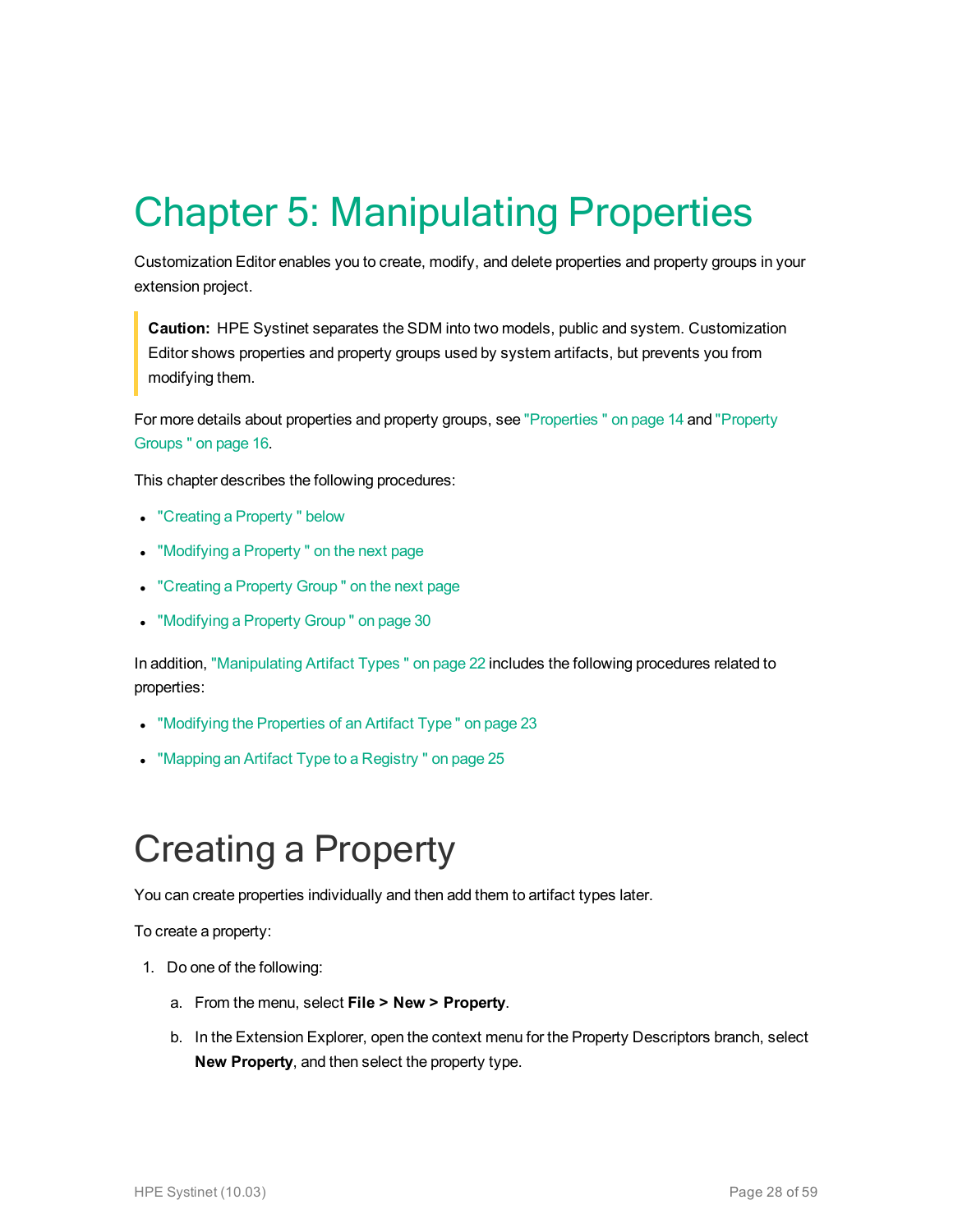# <span id="page-27-0"></span>Chapter 5: Manipulating Properties

Customization Editor enables you to create, modify, and delete properties and property groups in your extension project.

**Caution:** HPE Systinet separates the SDM into two models, public and system. Customization Editor shows properties and property groups used by system artifacts, but prevents you from modifying them.

For more details about properties and property groups, see ["Properties "](#page-13-2) on page 14 and ["Property](#page-15-0) [Groups "](#page-15-0) on page 16.

This chapter describes the following procedures:

- "Creating a Property" below
- ["Modifying](#page-28-0) a Property" on the next page
- ["Creating](#page-28-1) a Property Group" on the next page
- ["Modifying](#page-29-0) a Property Group" on page 30

In addition, ["Manipulating](#page-21-0) Artifact Types " on page 22 includes the following procedures related to properties:

- ["Modifying](#page-22-1) the Properties of an Artifact Type" on page 23
- <span id="page-27-1"></span>• "Mapping an Artifact Type to a Registry" on page 25

## Creating a Property

You can create properties individually and then add them to artifact types later.

To create a property:

- 1. Do one of the following:
	- a. From the menu, select **File > New > Property**.
	- b. In the Extension Explorer, open the context menu for the Property Descriptors branch, select **New Property**, and then select the property type.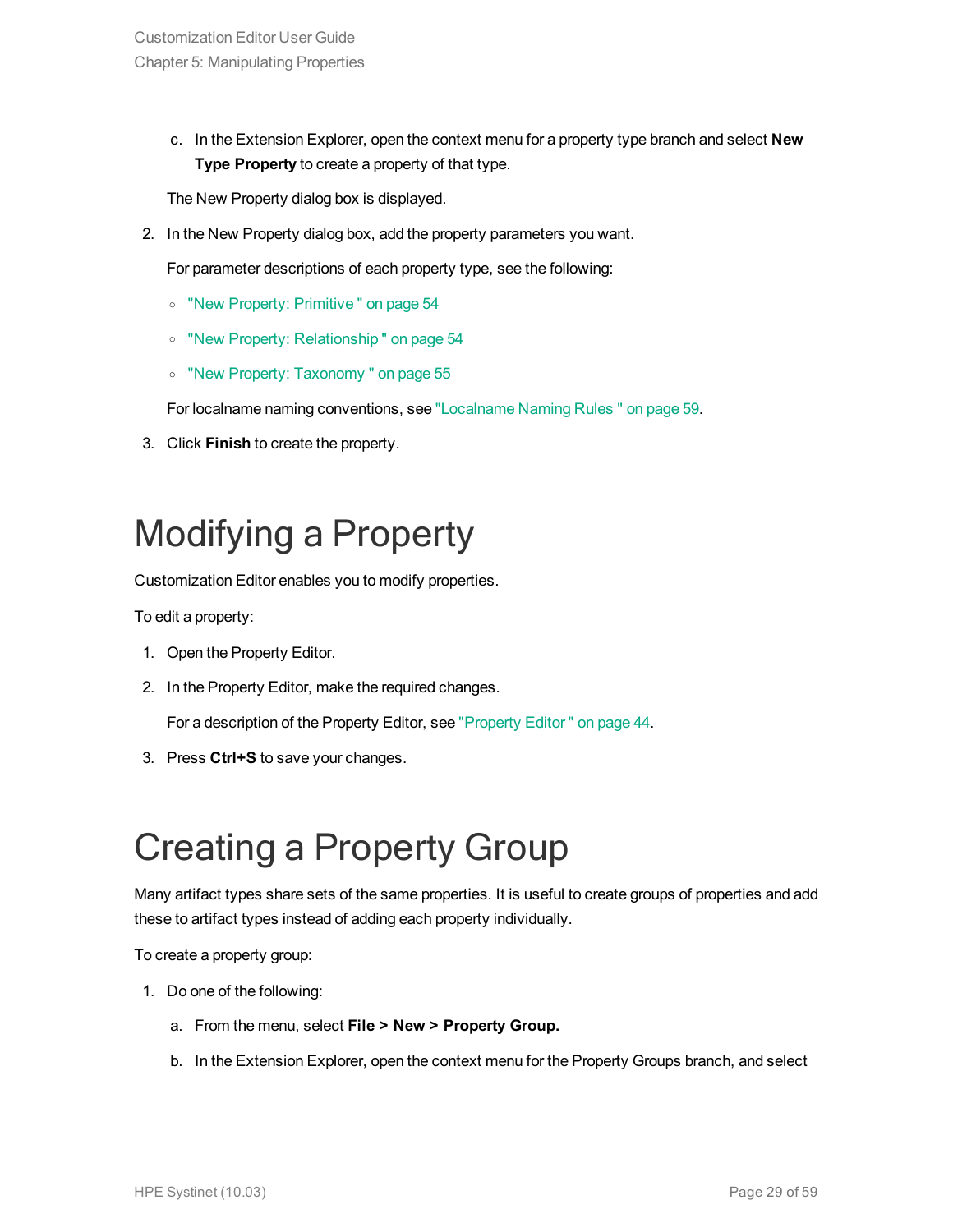c. In the Extension Explorer, open the context menu for a property type branch and select **New Type Property** to create a property of that type.

The New Property dialog box is displayed.

2. In the New Property dialog box, add the property parameters you want.

For parameter descriptions of each property type, see the following:

- <sup>o</sup> "New Property: [Primitive "](#page-53-1) on page 54
- <sup>o</sup> "New Property: [Relationship "](#page-53-2) on page 54
- <sup>o</sup> "New Property: [Taxonomy "](#page-54-0) on page 55

For localname naming conventions, see ["Localname](#page-58-0) Naming Rules " on page 59.

<span id="page-28-0"></span>3. Click **Finish** to create the property.

## Modifying a Property

Customization Editor enables you to modify properties.

To edit a property:

- 1. Open the Property Editor.
- 2. In the Property Editor, make the required changes.

For a description of the Property Editor, see ["Property](#page-43-0) Editor " on page 44.

<span id="page-28-1"></span>3. Press **Ctrl+S** to save your changes.

## Creating a Property Group

Many artifact types share sets of the same properties. It is useful to create groups of properties and add these to artifact types instead of adding each property individually.

To create a property group:

- 1. Do one of the following:
	- a. From the menu, select **File > New > Property Group.**
	- b. In the Extension Explorer, open the context menu for the Property Groups branch, and select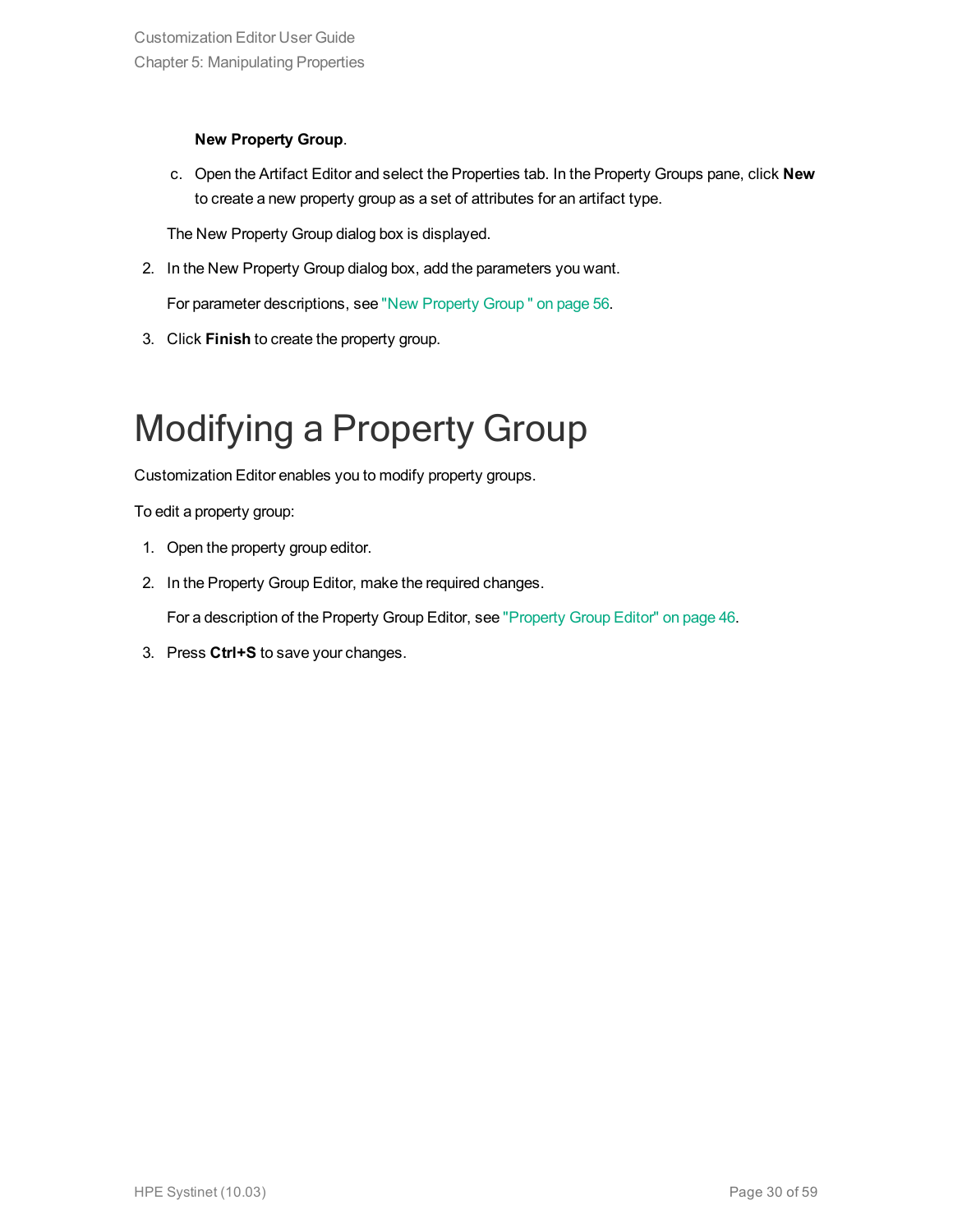#### **New Property Group**.

c. Open the Artifact Editor and select the Properties tab. In the Property Groups pane, click **New** to create a new property group as a set of attributes for an artifact type.

The New Property Group dialog box is displayed.

2. In the New Property Group dialog box, add the parameters you want.

For parameter descriptions, see "New [Property](#page-55-0) Group " on page 56.

<span id="page-29-0"></span>3. Click **Finish** to create the property group.

## Modifying a Property Group

Customization Editor enables you to modify property groups.

To edit a property group:

- 1. Open the property group editor.
- 2. In the Property Group Editor, make the required changes.

For a description of the Property Group Editor, see ["Property](#page-45-0) Group Editor" on page 46.

3. Press **Ctrl+S** to save your changes.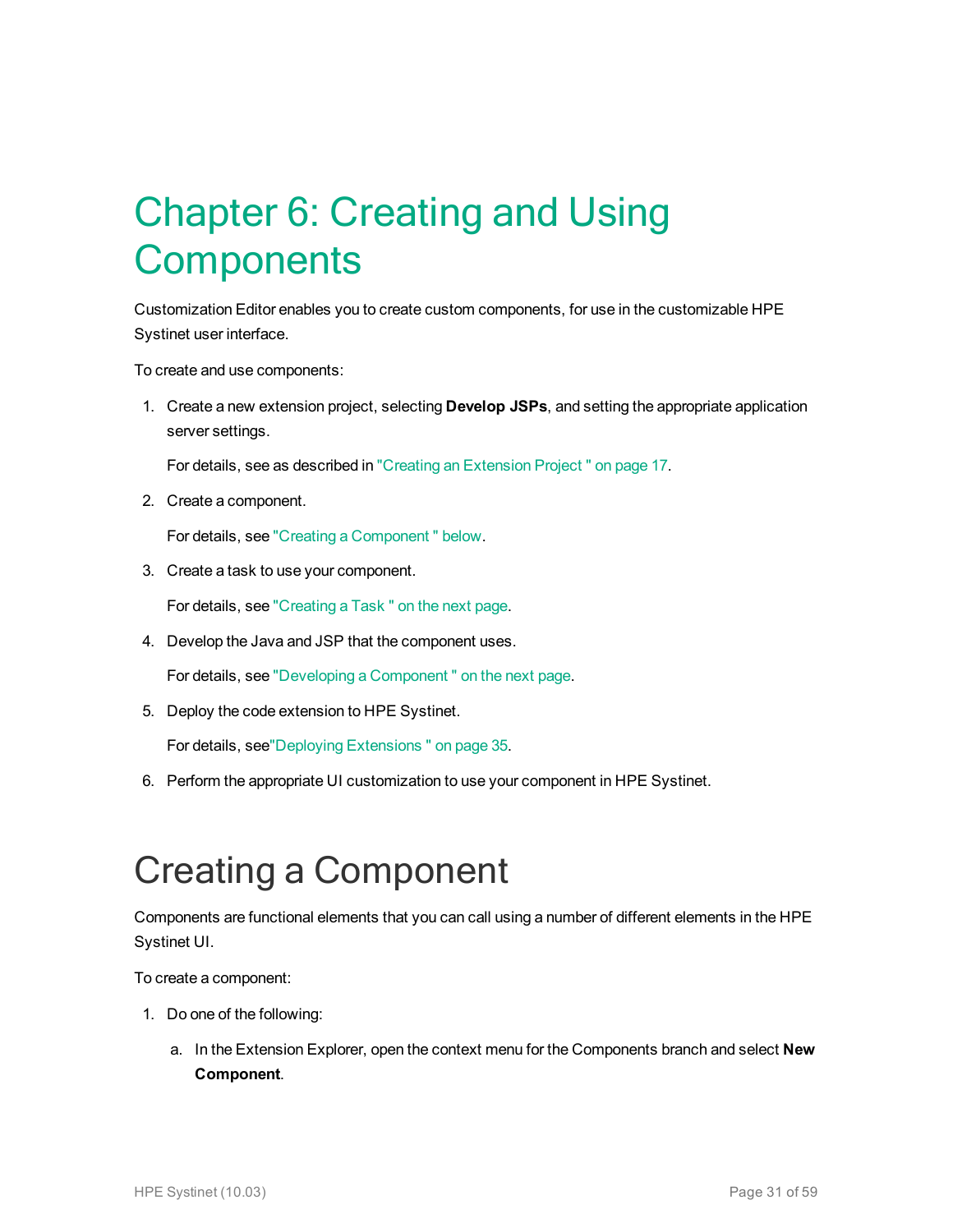# <span id="page-30-0"></span>Chapter 6: Creating and Using **Components**

Customization Editor enables you to create custom components, for use in the customizable HPE Systinet user interface.

To create and use components:

1. Create a new extension project, selecting **Develop JSPs**, and setting the appropriate application server settings.

For details, see as described in "Creating an [Extension](#page-16-1) Project " on page 17.

2. Create a component.

For details, see "Creating a [Component "](#page-30-1) below.

3. Create a task to use your component.

For details, see ["Creating](#page-31-0) a Task " on the next page.

4. Develop the Java and JSP that the component uses.

For details, see "Developing a [Component "](#page-31-1) on the next page.

5. Deploy the code extension to HPE Systinet.

For details, see"Deploying [Extensions "](#page-34-0) on page 35.

<span id="page-30-1"></span>6. Perform the appropriate UI customization to use your component in HPE Systinet.

## Creating a Component

Components are functional elements that you can call using a number of different elements in the HPE Systinet UI.

To create a component:

- 1. Do one of the following:
	- a. In the Extension Explorer, open the context menu for the Components branch and select **New Component**.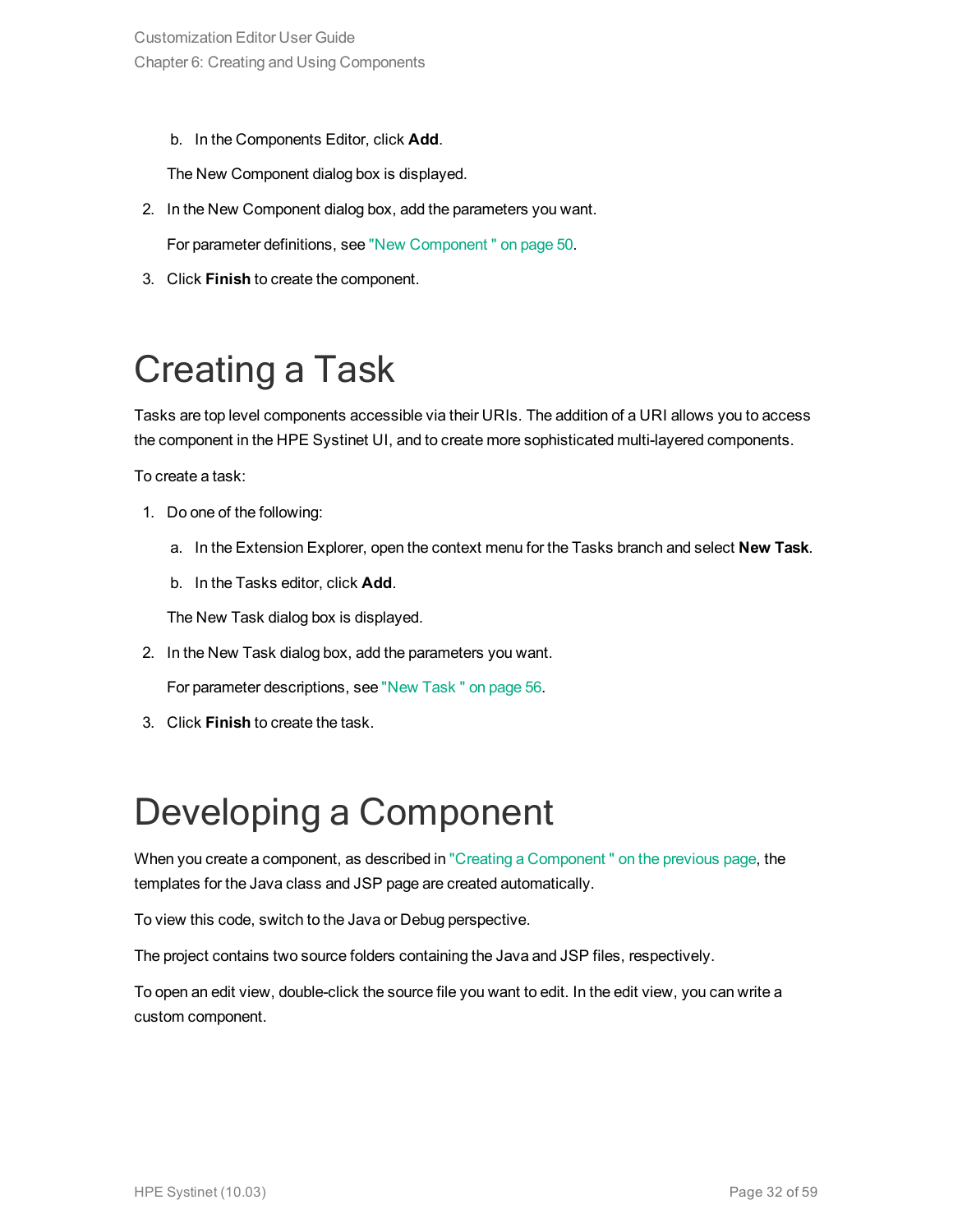b. In the Components Editor, click **Add**.

The New Component dialog box is displayed.

- 2. In the New Component dialog box, add the parameters you want. For parameter definitions, see "New [Component "](#page-49-1) on page 50.
- <span id="page-31-0"></span>3. Click **Finish** to create the component.

## Creating a Task

Tasks are top level components accessible via their URIs. The addition of a URI allows you to access the component in the HPE Systinet UI, and to create more sophisticated multi-layered components.

To create a task:

- 1. Do one of the following:
	- a. In the Extension Explorer, open the context menu for the Tasks branch and select **New Task**.
	- b. In the Tasks editor, click **Add**.

The New Task dialog box is displayed.

2. In the New Task dialog box, add the parameters you want.

For parameter descriptions, see "New [Task "](#page-55-1) on page 56.

<span id="page-31-1"></span>3. Click **Finish** to create the task.

## Developing a Component

When you create a component, as described in "Creating a Component" on the previous page, the templates for the Java class and JSP page are created automatically.

To view this code, switch to the Java or Debug perspective.

The project contains two source folders containing the Java and JSP files, respectively.

To open an edit view, double-click the source file you want to edit. In the edit view, you can write a custom component.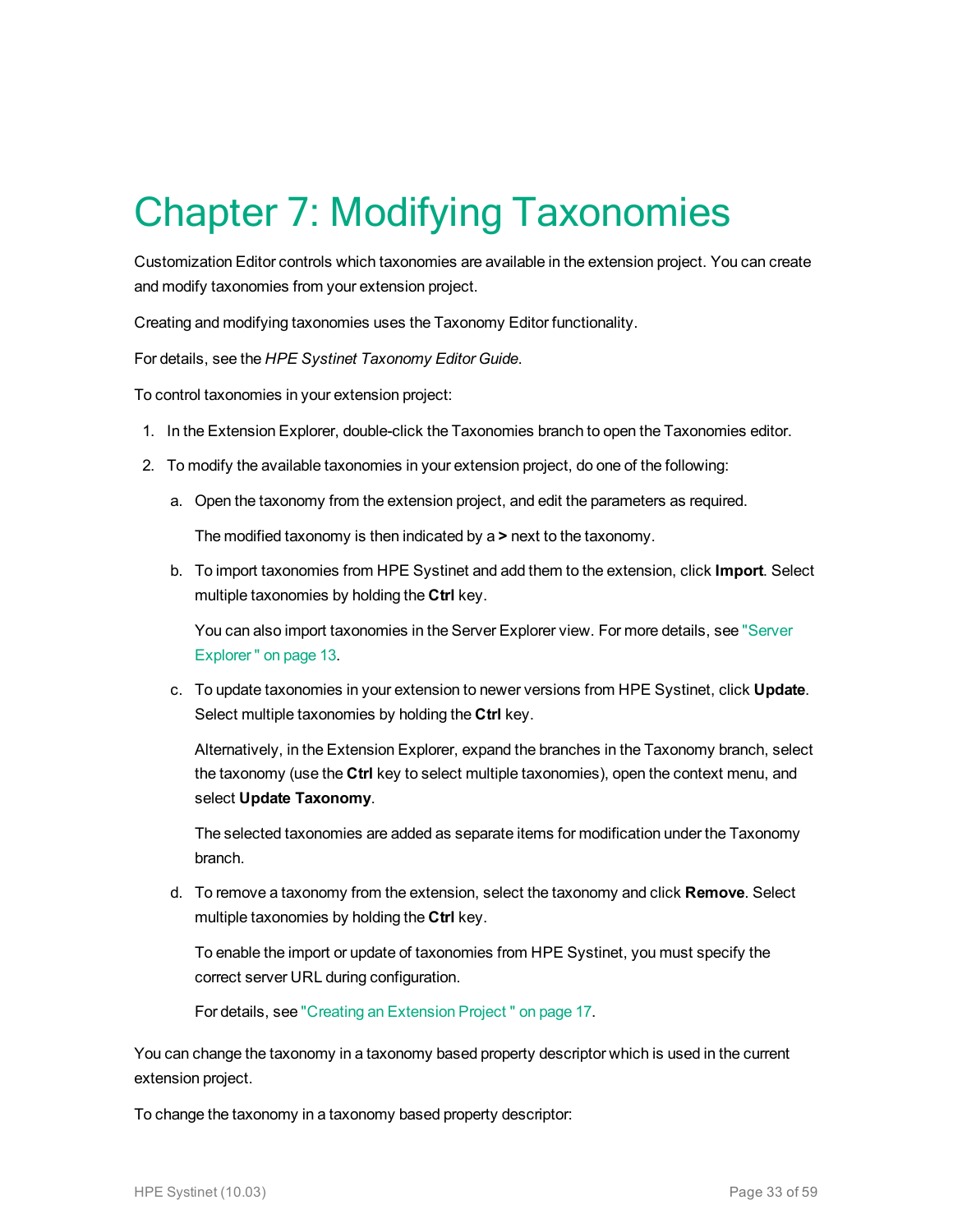# <span id="page-32-0"></span>Chapter 7: Modifying Taxonomies

Customization Editor controls which taxonomies are available in the extension project. You can create and modify taxonomies from your extension project.

Creating and modifying taxonomies uses the Taxonomy Editor functionality.

For details, see the *HPE Systinet Taxonomy Editor Guide*.

To control taxonomies in your extension project:

- 1. In the Extension Explorer, double-click the Taxonomies branch to open the Taxonomies editor.
- 2. To modify the available taxonomies in your extension project, do one of the following:
	- a. Open the taxonomy from the extension project, and edit the parameters as required.

The modified taxonomy is then indicated by a **>** next to the taxonomy.

b. To import taxonomies from HPE Systinet and add them to the extension, click **Import**. Select multiple taxonomies by holding the **Ctrl** key.

You can also import taxonomies in the Server Explorer view. For more details, see ["Server](#page-12-0) [Explorer "](#page-12-0) on page 13.

c. To update taxonomies in your extension to newer versions from HPE Systinet, click **Update**. Select multiple taxonomies by holding the **Ctrl** key.

Alternatively, in the Extension Explorer, expand the branches in the Taxonomy branch, select the taxonomy (use the **Ctrl** key to select multiple taxonomies), open the context menu, and select **Update Taxonomy**.

The selected taxonomies are added as separate items for modification under the Taxonomy branch.

d. To remove a taxonomy from the extension, select the taxonomy and click **Remove**. Select multiple taxonomies by holding the **Ctrl** key.

To enable the import or update of taxonomies from HPE Systinet, you must specify the correct server URL during configuration.

For details, see "Creating an [Extension](#page-16-1) Project " on page 17.

You can change the taxonomy in a taxonomy based property descriptor which is used in the current extension project.

To change the taxonomy in a taxonomy based property descriptor: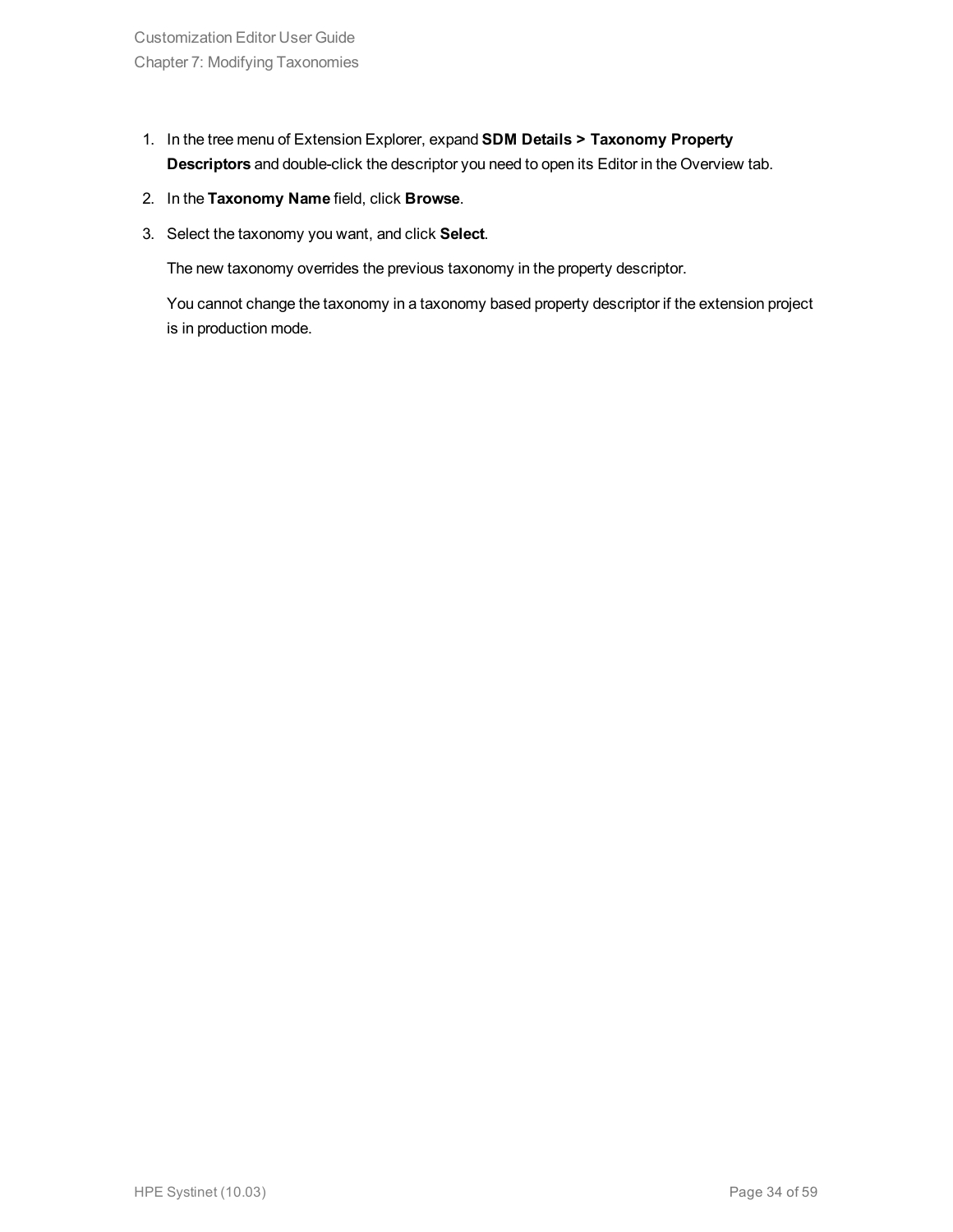- 1. In the tree menu of Extension Explorer, expand **SDM Details > Taxonomy Property Descriptors** and double-click the descriptor you need to open its Editor in the Overview tab.
- 2. In the **Taxonomy Name** field, click **Browse**.
- 3. Select the taxonomy you want, and click **Select**.

The new taxonomy overrides the previous taxonomy in the property descriptor.

You cannot change the taxonomy in a taxonomy based property descriptor if the extension project is in production mode.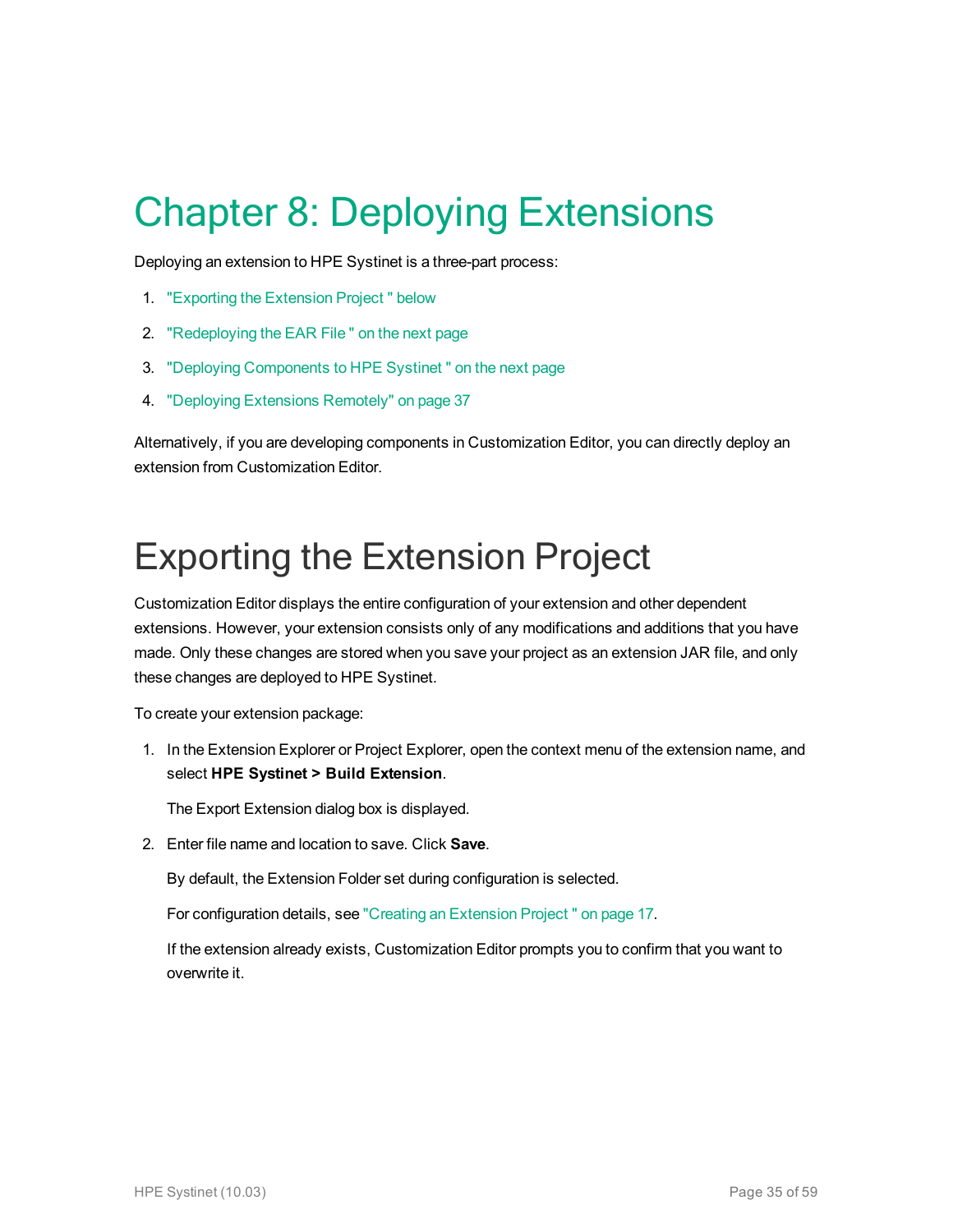# <span id="page-34-0"></span>Chapter 8: Deploying Extensions

Deploying an extension to HPE Systinet is a three-part process:

- 1. ["Exporting](#page-34-1) the Extension Project " below
- 2. ["Redeploying](#page-35-0) the EAR File " on the next page
- 3. "Deploying [Components](#page-35-1) to HPE Systinet " on the next page
- 4. "Deploying [Extensions](#page-36-0) Remotely" on page 37

Alternatively, if you are developing components in Customization Editor, you can directly deploy an extension from Customization Editor.

## <span id="page-34-1"></span>Exporting the Extension Project

Customization Editor displays the entire configuration of your extension and other dependent extensions. However, your extension consists only of any modifications and additions that you have made. Only these changes are stored when you save your project as an extension JAR file, and only these changes are deployed to HPE Systinet.

To create your extension package:

1. In the Extension Explorer or Project Explorer, open the context menu of the extension name, and select **HPE Systinet > Build Extension**.

The Export Extension dialog box is displayed.

2. Enter file name and location to save. Click **Save**.

By default, the Extension Folder set during configuration is selected.

For configuration details, see "Creating an [Extension](#page-16-1) Project " on page 17.

If the extension already exists, Customization Editor prompts you to confirm that you want to overwrite it.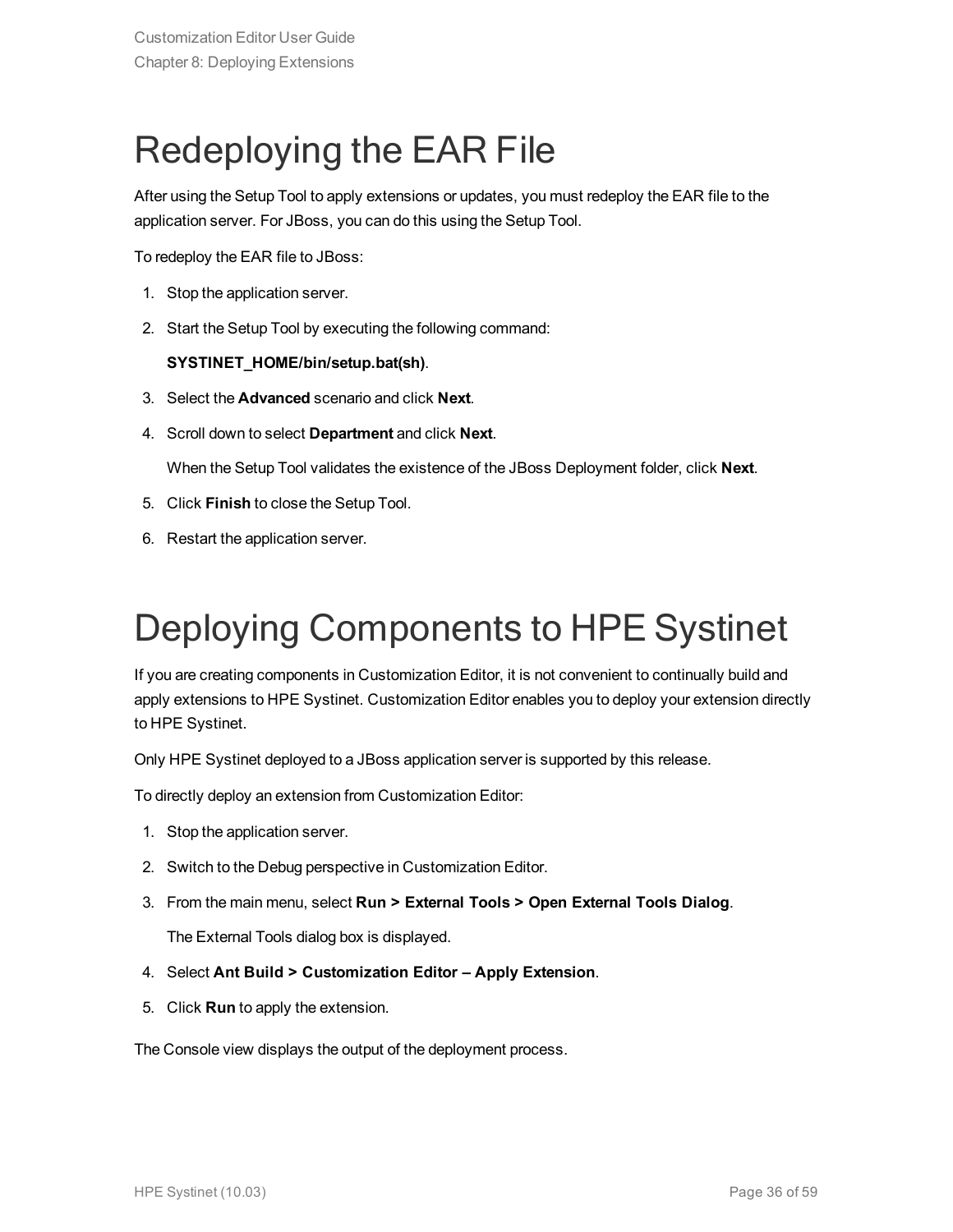## <span id="page-35-0"></span>Redeploying the EAR File

After using the Setup Tool to apply extensions or updates, you must redeploy the EAR file to the application server. For JBoss, you can do this using the Setup Tool.

To redeploy the EAR file to JBoss:

- 1. Stop the application server.
- 2. Start the Setup Tool by executing the following command:

#### **SYSTINET\_HOME/bin/setup.bat(sh)**.

- 3. Select the **Advanced** scenario and click **Next**.
- 4. Scroll down to select **Department** and click **Next**.

When the Setup Tool validates the existence of the JBoss Deployment folder, click **Next**.

- 5. Click **Finish** to close the Setup Tool.
- <span id="page-35-1"></span>6. Restart the application server.

## Deploying Components to HPE Systinet

If you are creating components in Customization Editor, it is not convenient to continually build and apply extensions to HPE Systinet. Customization Editor enables you to deploy your extension directly to HPE Systinet.

Only HPE Systinet deployed to a JBoss application server is supported by this release.

To directly deploy an extension from Customization Editor:

- 1. Stop the application server.
- 2. Switch to the Debug perspective in Customization Editor.
- 3. From the main menu, select **Run > External Tools > Open External Tools Dialog**.

The External Tools dialog box is displayed.

- 4. Select **Ant Build > Customization Editor – Apply Extension**.
- 5. Click **Run** to apply the extension.

The Console view displays the output of the deployment process.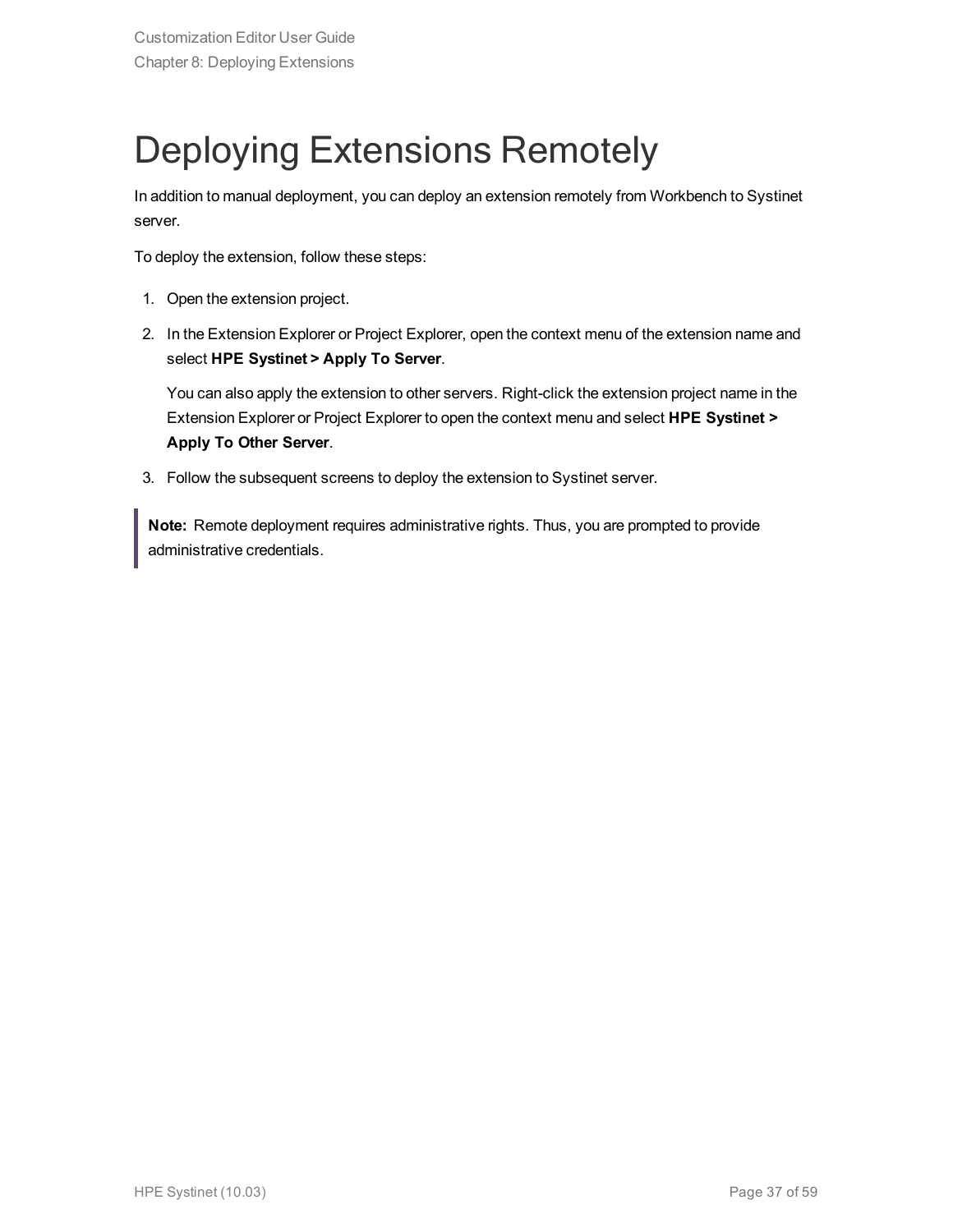## <span id="page-36-0"></span>Deploying Extensions Remotely

In addition to manual deployment, you can deploy an extension remotely from Workbench to Systinet server.

To deploy the extension, follow these steps:

- 1. Open the extension project.
- 2. In the Extension Explorer or Project Explorer, open the context menu of the extension name and select **HPE Systinet > Apply To Server**.

You can also apply the extension to other servers. Right-click the extension project name in the Extension Explorer or Project Explorer to open the context menu and select **HPE Systinet > Apply To Other Server**.

3. Follow the subsequent screens to deploy the extension to Systinet server.

**Note:** Remote deployment requires administrative rights. Thus, you are prompted to provide administrative credentials.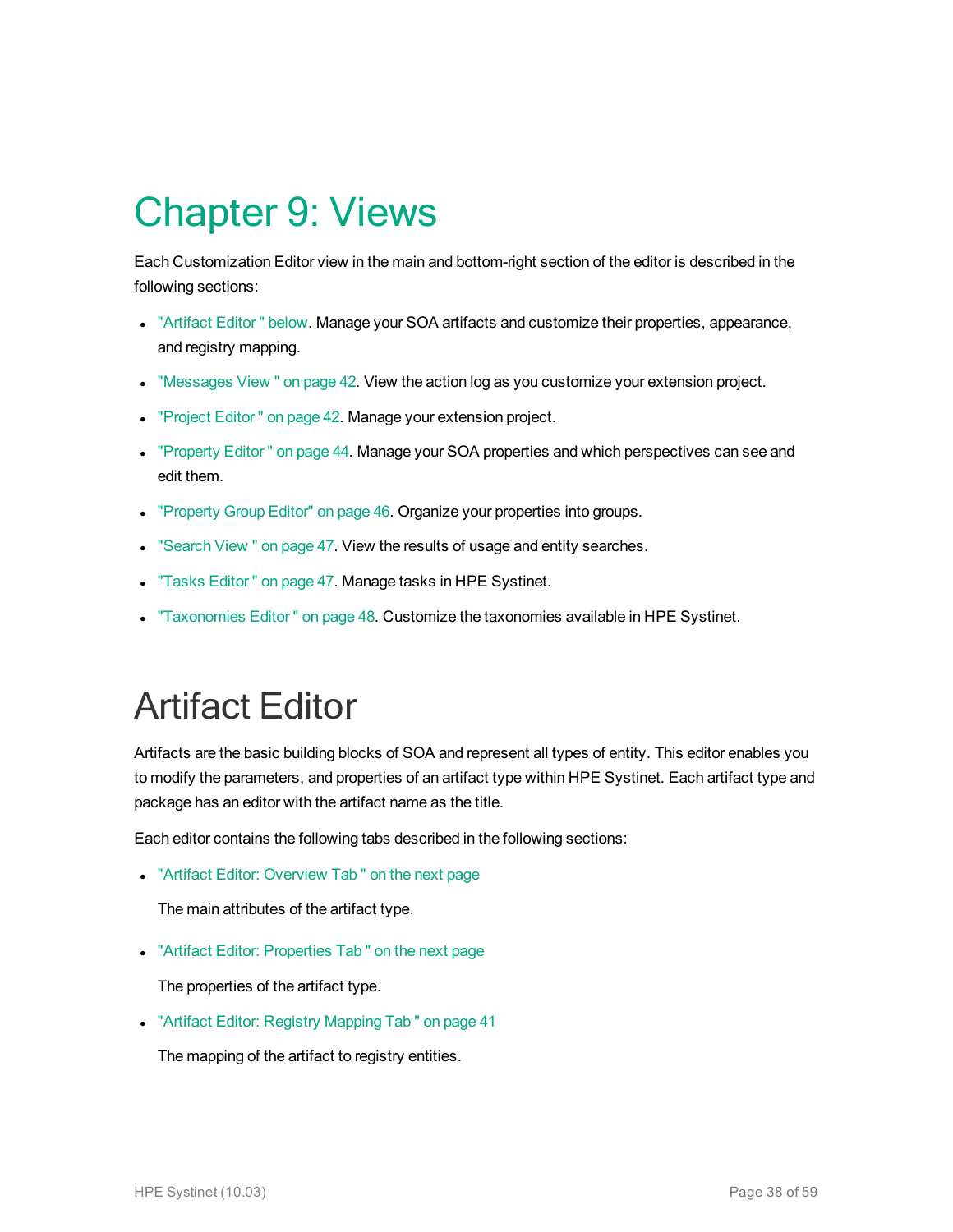## <span id="page-37-0"></span>Chapter 9: Views

Each Customization Editor view in the main and bottom-right section of the editor is described in the following sections:

- <sup>l</sup> ["Artifact](#page-37-1) Editor " below. Manage your SOA artifacts and customize their properties, appearance, and registry mapping.
- . ["Messages](#page-41-0) View " on page 42. View the action log as you customize your extension project.
- ["Project](#page-41-1) Editor" on page 42. Manage your extension project.
- ["Property](#page-43-0) Editor" on page 44. Manage your SOA properties and which perspectives can see and edit them.
- ["Property](#page-45-0) Group Editor" on page 46. Organize your properties into groups.
- ["Search](#page-46-0) View " on page 47. View the results of usage and entity searches.
- "Tasks Editor" on page 47. Manage tasks in HPE Systinet.
- <span id="page-37-1"></span><sup>l</sup> ["Taxonomies](#page-47-0) Editor " on page 48. Customize the taxonomies available in HPE Systinet.

## Artifact Editor

Artifacts are the basic building blocks of SOA and represent all types of entity. This editor enables you to modify the parameters, and properties of an artifact type within HPE Systinet. Each artifact type and package has an editor with the artifact name as the title.

Each editor contains the following tabs described in the following sections:

• "Artifact Editor: [Overview](#page-38-0) Tab" on the next page

The main attributes of the artifact type.

• "Artifact Editor: [Properties](#page-38-1) Tab" on the next page

The properties of the artifact type.

• "Artifact Editor: Registry [Mapping](#page-40-0) Tab" on page 41

The mapping of the artifact to registry entities.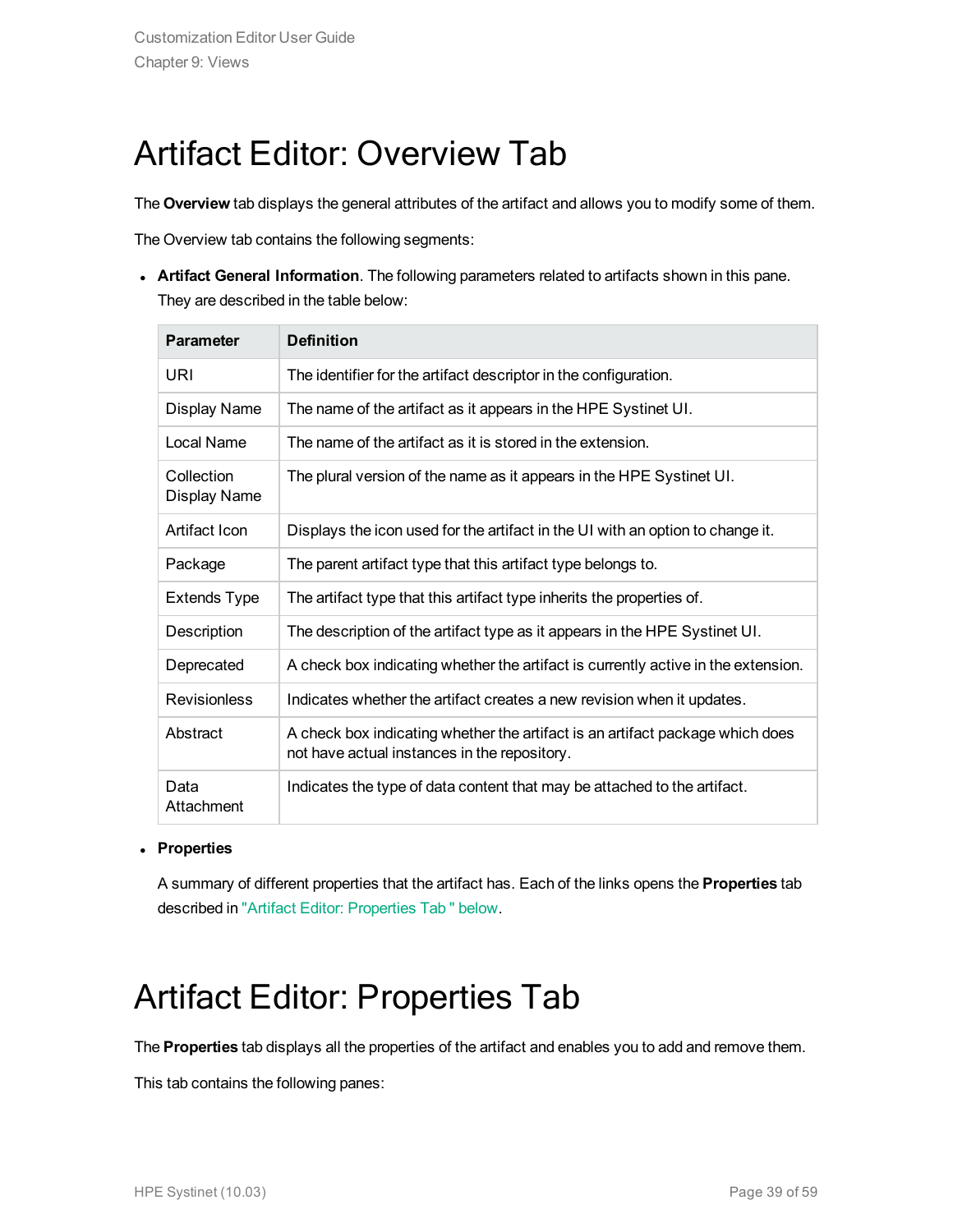### <span id="page-38-0"></span>Artifact Editor: Overview Tab

The **Overview** tab displays the general attributes of the artifact and allows you to modify some of them.

The Overview tab contains the following segments:

**Artifact General Information**. The following parameters related to artifacts shown in this pane. They are described in the table below:

| <b>Parameter</b>                  | <b>Definition</b>                                                                                                             |
|-----------------------------------|-------------------------------------------------------------------------------------------------------------------------------|
| URI                               | The identifier for the artifact descriptor in the configuration.                                                              |
| Display Name                      | The name of the artifact as it appears in the HPE Systinet UI.                                                                |
| Local Name                        | The name of the artifact as it is stored in the extension.                                                                    |
| Collection<br><b>Display Name</b> | The plural version of the name as it appears in the HPE Systinet UI.                                                          |
| Artifact Icon                     | Displays the icon used for the artifact in the UI with an option to change it.                                                |
| Package                           | The parent artifact type that this artifact type belongs to.                                                                  |
| <b>Extends Type</b>               | The artifact type that this artifact type inherits the properties of.                                                         |
| Description                       | The description of the artifact type as it appears in the HPE Systinet UI.                                                    |
| Deprecated                        | A check box indicating whether the artifact is currently active in the extension.                                             |
| <b>Revisionless</b>               | Indicates whether the artifact creates a new revision when it updates.                                                        |
| Abstract                          | A check box indicating whether the artifact is an artifact package which does<br>not have actual instances in the repository. |
| Data<br>Attachment                | Indicates the type of data content that may be attached to the artifact.                                                      |

#### <sup>l</sup> **Properties**

<span id="page-38-1"></span>A summary of different properties that the artifact has. Each of the links opens the **Properties** tab described in "Artifact Editor: [Properties](#page-38-1) Tab " below.

### Artifact Editor: Properties Tab

The **Properties** tab displays all the properties of the artifact and enables you to add and remove them.

This tab contains the following panes: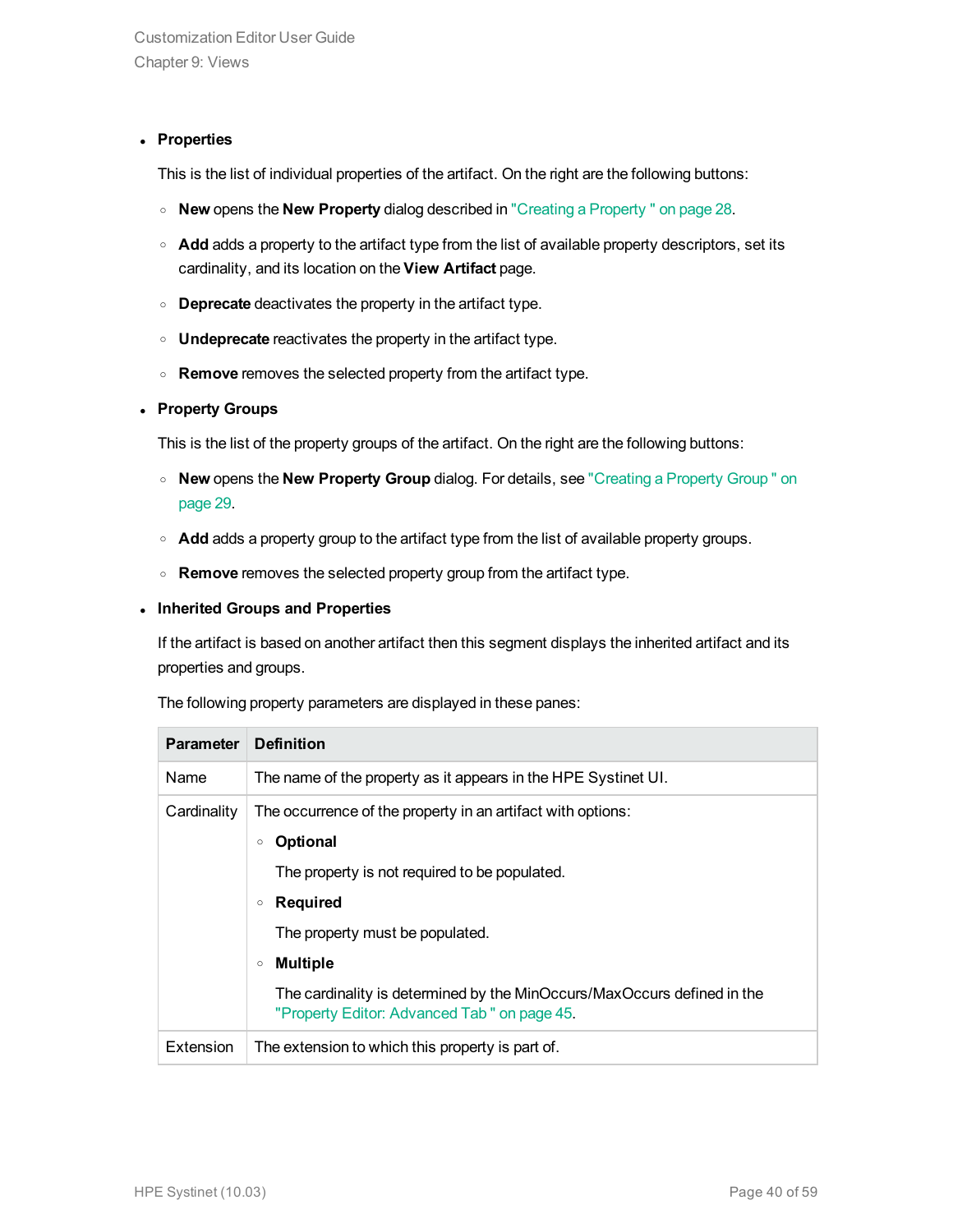#### **• Properties**

This is the list of individual properties of the artifact. On the right are the following buttons:

- <sup>o</sup> **New** opens the **New Property** dialog described in "Creating a [Property "](#page-27-1) on page 28.
- o **Add** adds a property to the artifact type from the list of available property descriptors, set its cardinality, and its location on the **View Artifact** page.
- <sup>o</sup> **Deprecate** deactivates the property in the artifact type.
- <sup>o</sup> **Undeprecate** reactivates the property in the artifact type.
- <sup>o</sup> **Remove** removes the selected property from the artifact type.

#### <sup>l</sup> **Property Groups**

This is the list of the property groups of the artifact. On the right are the following buttons:

- <sup>o</sup> **New** opens the **New Property Group** dialog. For details, see ["Creating](#page-28-1) a Property Group " on [page](#page-28-1) 29.
- $\circ$  **Add** adds a property group to the artifact type from the list of available property groups.
- <sup>o</sup> **Remove** removes the selected property group from the artifact type.

#### <sup>l</sup> **Inherited Groups and Properties**

If the artifact is based on another artifact then this segment displays the inherited artifact and its properties and groups.

The following property parameters are displayed in these panes:

| <b>Parameter</b> | <b>Definition</b>                                                                                                                                                                                                                                                                                                                                                   |
|------------------|---------------------------------------------------------------------------------------------------------------------------------------------------------------------------------------------------------------------------------------------------------------------------------------------------------------------------------------------------------------------|
| Name             | The name of the property as it appears in the HPE Systinet UI.                                                                                                                                                                                                                                                                                                      |
| Cardinality      | The occurrence of the property in an artifact with options:<br><b>Optional</b><br>$\circ$<br>The property is not required to be populated.<br><b>Required</b><br>$\circ$<br>The property must be populated.<br><b>Multiple</b><br>$\circ$<br>The cardinality is determined by the MinOccurs/MaxOccurs defined in the<br>"Property Editor: Advanced Tab" on page 45. |
| Extension        | The extension to which this property is part of.                                                                                                                                                                                                                                                                                                                    |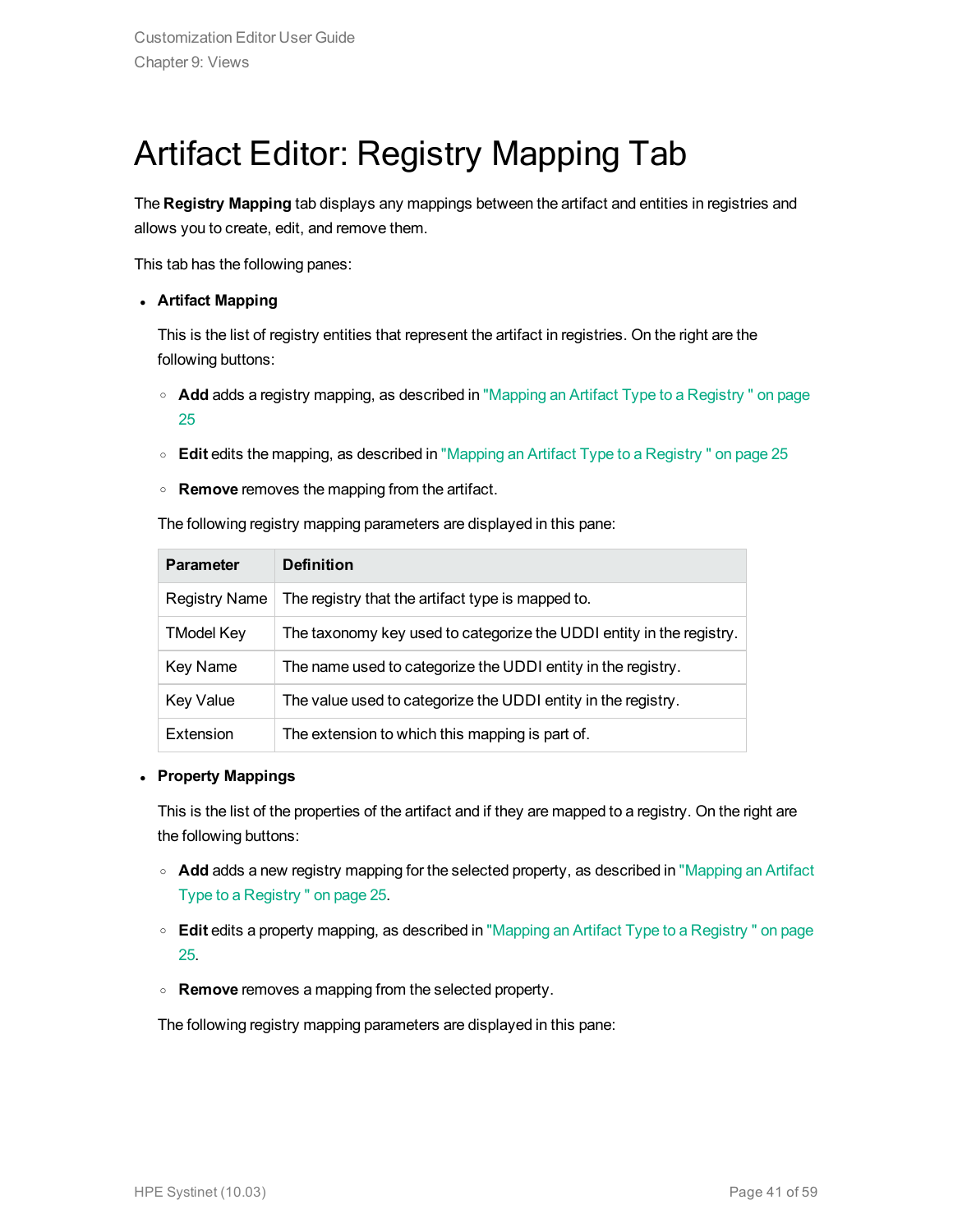## <span id="page-40-0"></span>Artifact Editor: Registry Mapping Tab

The **Registry Mapping** tab displays any mappings between the artifact and entities in registries and allows you to create, edit, and remove them.

This tab has the following panes:

#### <sup>l</sup> **Artifact Mapping**

This is the list of registry entities that represent the artifact in registries. On the right are the following buttons:

- <sup>o</sup> **Add** adds a registry mapping, as described in "Mapping an Artifact Type to a [Registry "](#page-24-0) on page [25](#page-24-0)
- <sup>o</sup> **Edit** edits the mapping, as described in "Mapping an Artifact Type to a [Registry "](#page-24-0) on page 25
- <sup>o</sup> **Remove** removes the mapping from the artifact.

The following registry mapping parameters are displayed in this pane:

| <b>Parameter</b>  | <b>Definition</b>                                                    |
|-------------------|----------------------------------------------------------------------|
| Registry Name     | The registry that the artifact type is mapped to.                    |
| <b>TModel Key</b> | The taxonomy key used to categorize the UDDI entity in the registry. |
| Key Name          | The name used to categorize the UDDI entity in the registry.         |
| <b>Key Value</b>  | The value used to categorize the UDDI entity in the registry.        |
| Extension         | The extension to which this mapping is part of.                      |

#### <sup>l</sup> **Property Mappings**

This is the list of the properties of the artifact and if they are mapped to a registry. On the right are the following buttons:

- **Add** adds a new registry mapping for the selected property, as described in ["Mapping](#page-24-0) an Artifact Type to a [Registry "](#page-24-0) on page 25.
- <sup>o</sup> **Edit** edits a property mapping, as described in "Mapping an Artifact Type to a [Registry "](#page-24-0) on page [25](#page-24-0).
- <sup>o</sup> **Remove** removes a mapping from the selected property.

The following registry mapping parameters are displayed in this pane: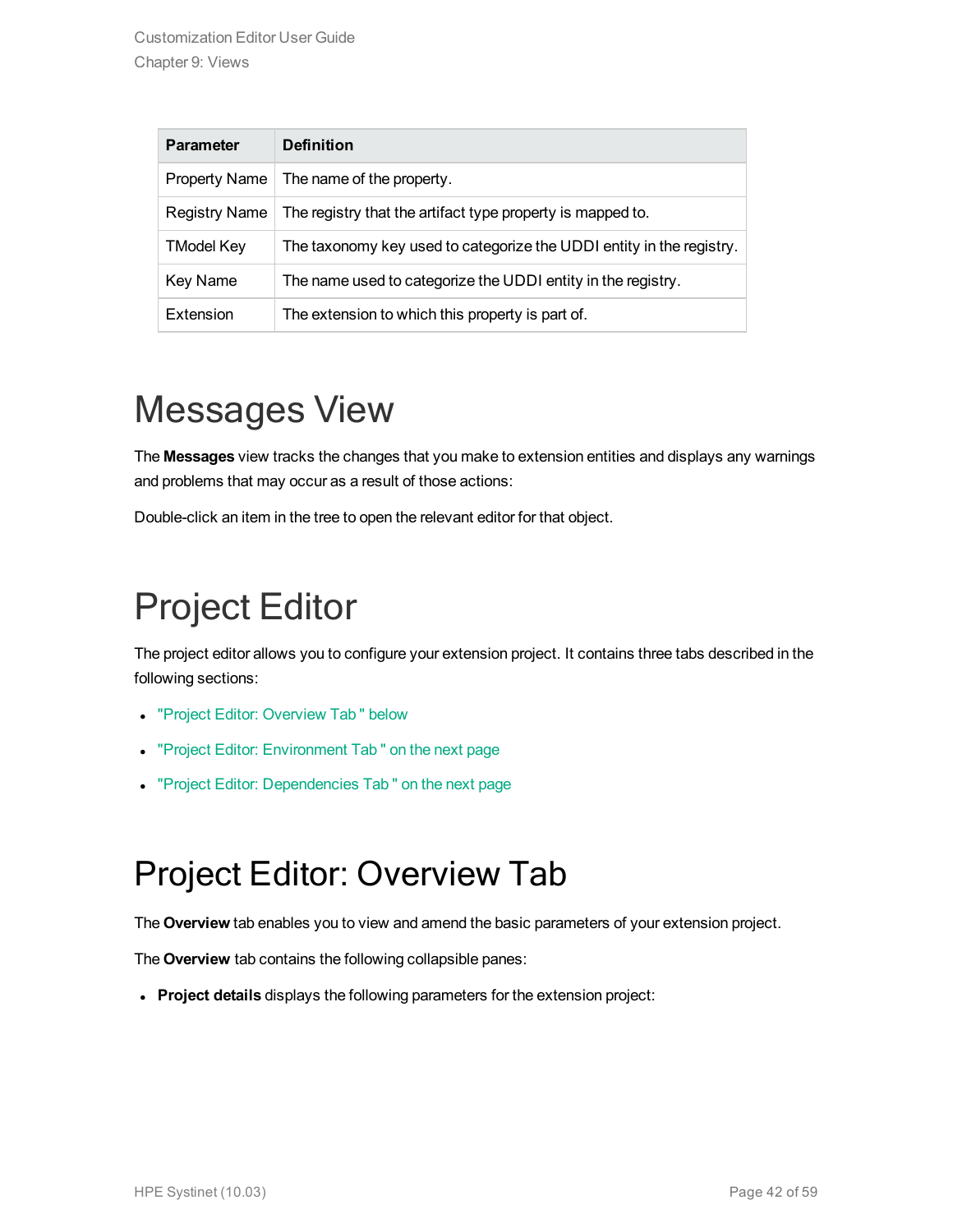| <b>Parameter</b>     | <b>Definition</b>                                                    |
|----------------------|----------------------------------------------------------------------|
| <b>Property Name</b> | The name of the property.                                            |
| <b>Registry Name</b> | The registry that the artifact type property is mapped to.           |
| <b>TModel Key</b>    | The taxonomy key used to categorize the UDDI entity in the registry. |
| Key Name             | The name used to categorize the UDDI entity in the registry.         |
| Extension            | The extension to which this property is part of.                     |

## <span id="page-41-0"></span>Messages View

The **Messages** view tracks the changes that you make to extension entities and displays any warnings and problems that may occur as a result of those actions:

<span id="page-41-1"></span>Double-click an item in the tree to open the relevant editor for that object.

## Project Editor

The project editor allows you to configure your extension project. It contains three tabs described in the following sections:

- "Project Editor: [Overview](#page-41-2) Tab " below
- "Project Editor: [Environment](#page-42-0) Tab" on the next page
- <span id="page-41-2"></span>• "Project Editor: [Dependencies](#page-42-1) Tab" on the next page

### Project Editor: Overview Tab

The **Overview** tab enables you to view and amend the basic parameters of your extension project.

The **Overview** tab contains the following collapsible panes:

**Project details** displays the following parameters for the extension project: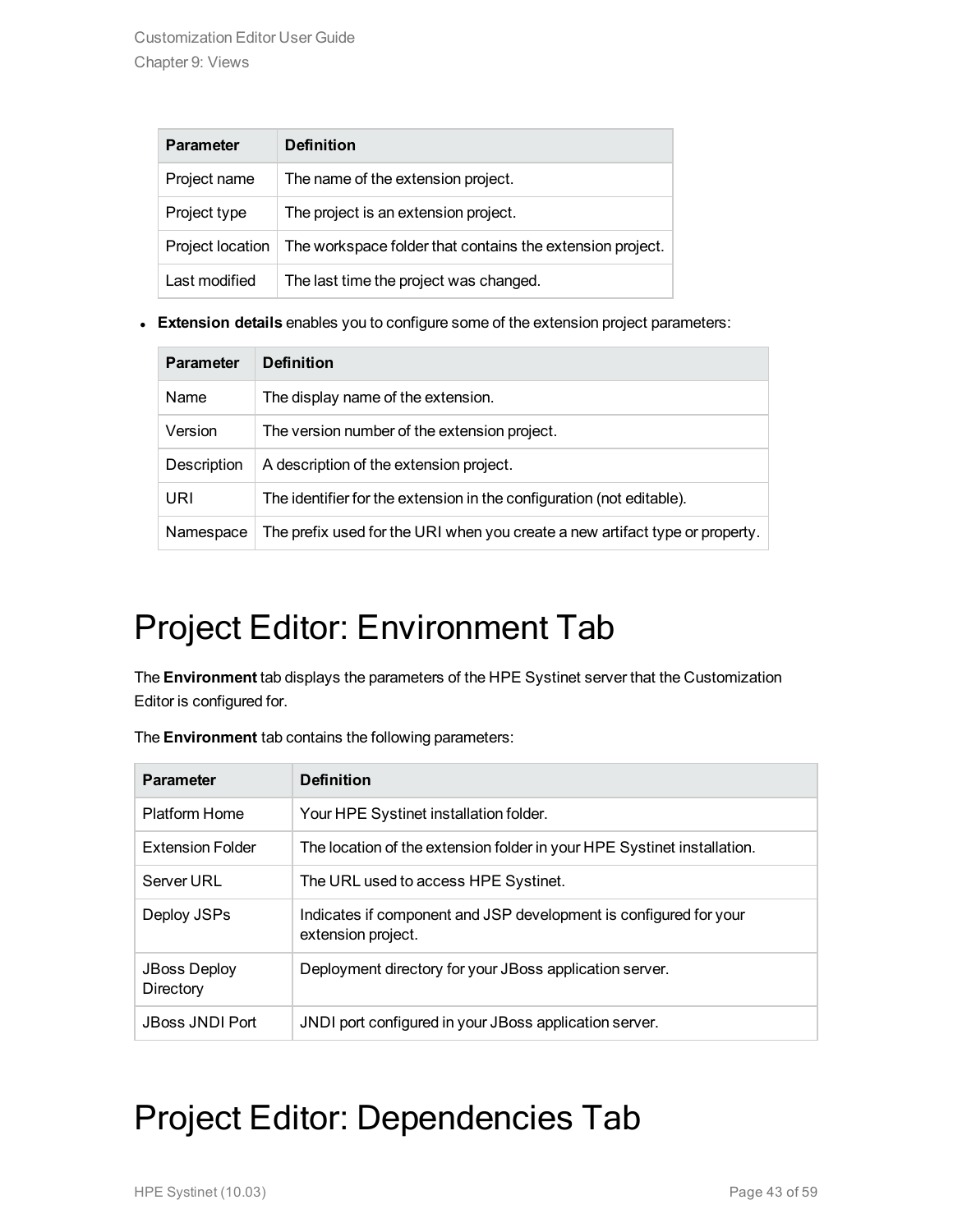| <b>Parameter</b> | <b>Definition</b>                                         |
|------------------|-----------------------------------------------------------|
| Project name     | The name of the extension project.                        |
| Project type     | The project is an extension project.                      |
| Project location | The workspace folder that contains the extension project. |
| Last modified    | The last time the project was changed.                    |

**Extension details** enables you to configure some of the extension project parameters:

| <b>Parameter</b> | <b>Definition</b>                                                            |
|------------------|------------------------------------------------------------------------------|
| Name             | The display name of the extension.                                           |
| Version          | The version number of the extension project.                                 |
| Description      | A description of the extension project.                                      |
| URI              | The identifier for the extension in the configuration (not editable).        |
| Namespace        | The prefix used for the URI when you create a new artifact type or property. |

## <span id="page-42-0"></span>Project Editor: Environment Tab

The **Environment** tab displays the parameters of the HPE Systinet server that the Customization Editor is configured for.

| <b>Parameter</b>                 | <b>Definition</b>                                                                       |
|----------------------------------|-----------------------------------------------------------------------------------------|
| Platform Home                    | Your HPE Systinet installation folder.                                                  |
| Extension Folder                 | The location of the extension folder in your HPE Systinet installation.                 |
| Server URL                       | The URL used to access HPE Systinet.                                                    |
| Deploy JSPs                      | Indicates if component and JSP development is configured for your<br>extension project. |
| <b>JBoss Deploy</b><br>Directory | Deployment directory for your JBoss application server.                                 |
| <b>JBoss JNDI Port</b>           | JNDI port configured in your JBoss application server.                                  |
|                                  |                                                                                         |

The **Environment** tab contains the following parameters:

## <span id="page-42-1"></span>Project Editor: Dependencies Tab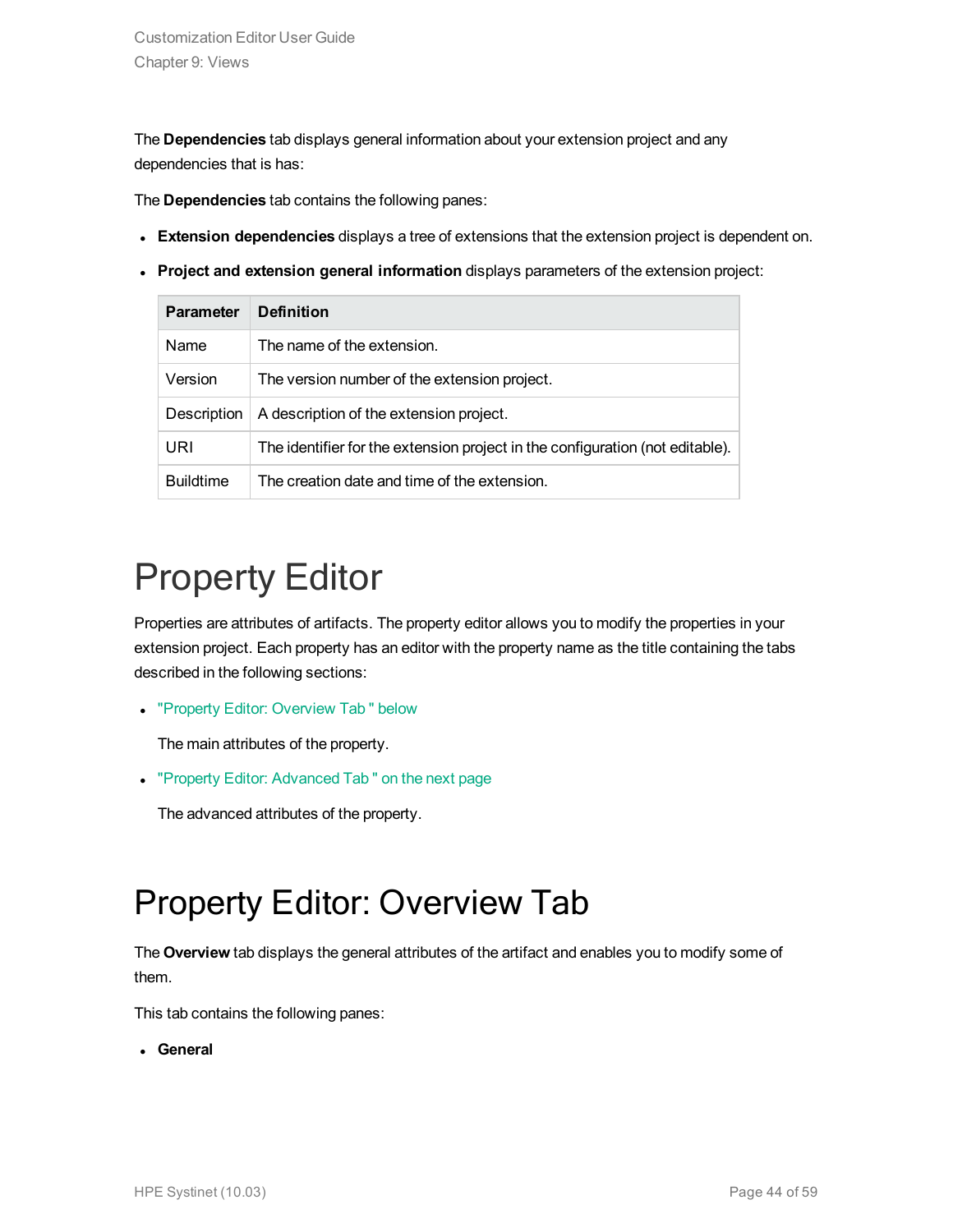The **Dependencies** tab displays general information about your extension project and any dependencies that is has:

The **Dependencies** tab contains the following panes:

- **Extension dependencies** displays a tree of extensions that the extension project is dependent on.
- <sup>l</sup> **Project and extension general information** displays parameters of the extension project:

| <b>Parameter</b> | <b>Definition</b>                                                             |
|------------------|-------------------------------------------------------------------------------|
| Name             | The name of the extension.                                                    |
| Version          | The version number of the extension project.                                  |
| Description      | A description of the extension project.                                       |
| URI              | The identifier for the extension project in the configuration (not editable). |
| <b>Buildtime</b> | The creation date and time of the extension.                                  |

## <span id="page-43-0"></span>Property Editor

Properties are attributes of artifacts. The property editor allows you to modify the properties in your extension project. Each property has an editor with the property name as the title containing the tabs described in the following sections:

• "Property Editor: [Overview](#page-43-1) Tab " below

The main attributes of the property.

• "Property Editor: [Advanced](#page-44-0) Tab" on the next page

<span id="page-43-1"></span>The advanced attributes of the property.

### Property Editor: Overview Tab

The **Overview** tab displays the general attributes of the artifact and enables you to modify some of them.

This tab contains the following panes:

**.** General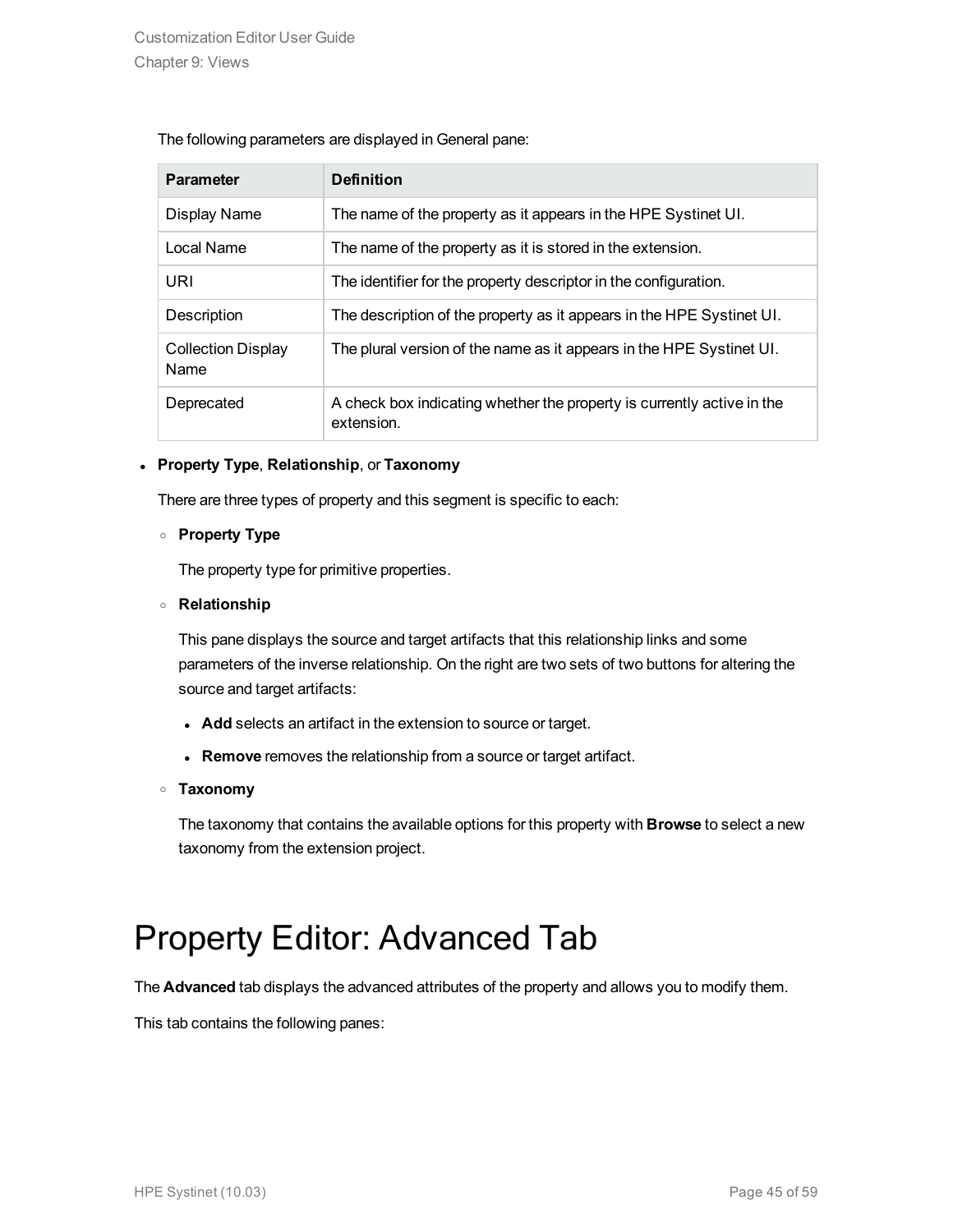#### The following parameters are displayed in General pane:

| <b>Parameter</b>                  | <b>Definition</b>                                                                    |
|-----------------------------------|--------------------------------------------------------------------------------------|
| Display Name                      | The name of the property as it appears in the HPE Systinet UI.                       |
| Local Name                        | The name of the property as it is stored in the extension.                           |
| URI                               | The identifier for the property descriptor in the configuration.                     |
| Description                       | The description of the property as it appears in the HPE Systinet UI.                |
| <b>Collection Display</b><br>Name | The plural version of the name as it appears in the HPE Systinet UI.                 |
| Deprecated                        | A check box indicating whether the property is currently active in the<br>extension. |

#### <sup>l</sup> **Property Type**, **Relationship**, or **Taxonomy**

There are three types of property and this segment is specific to each:

#### <sup>o</sup> **Property Type**

The property type for primitive properties.

#### <sup>o</sup> **Relationship**

This pane displays the source and target artifacts that this relationship links and some parameters of the inverse relationship. On the right are two sets of two buttons for altering the source and target artifacts:

- **Add** selects an artifact in the extension to source or target.
- **Remove** removes the relationship from a source or target artifact.

#### <sup>o</sup> **Taxonomy**

The taxonomy that contains the available options for this property with **Browse** to select a new taxonomy from the extension project.

### <span id="page-44-0"></span>Property Editor: Advanced Tab

The **Advanced** tab displays the advanced attributes of the property and allows you to modify them.

This tab contains the following panes: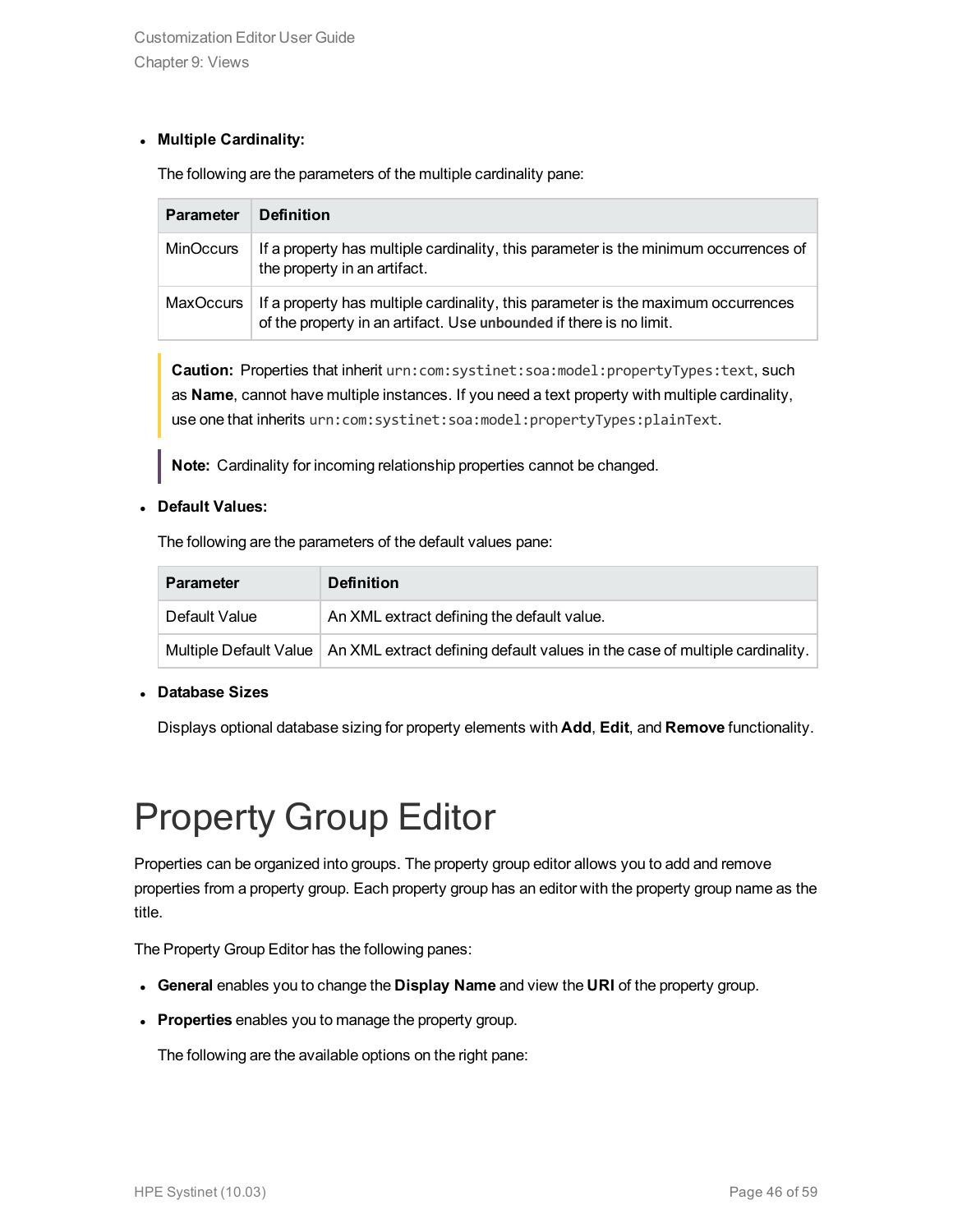#### <sup>l</sup> **Multiple Cardinality:**

The following are the parameters of the multiple cardinality pane:

| <b>Parameter</b> | <b>Definition</b>                                                                                                                                        |
|------------------|----------------------------------------------------------------------------------------------------------------------------------------------------------|
| <b>MinOccurs</b> | If a property has multiple cardinality, this parameter is the minimum occurrences of<br>the property in an artifact.                                     |
| MaxOccurs        | If a property has multiple cardinality, this parameter is the maximum occurrences<br>of the property in an artifact. Use unbounded if there is no limit. |

**Caution:** Properties that inherit urn:com:systinet:soa:model:propertyTypes:text, such as **Name**, cannot have multiple instances. If you need a text property with multiple cardinality, use one that inherits urn:com:systinet:soa:model:propertyTypes:plainText.

**Note:** Cardinality for incoming relationship properties cannot be changed.

#### <sup>l</sup> **Default Values:**

The following are the parameters of the default values pane:

| <b>Parameter</b> | <b>Definition</b>                                                                                         |
|------------------|-----------------------------------------------------------------------------------------------------------|
| Default Value    | An XML extract defining the default value.                                                                |
|                  | Multiple Default Value $\mid$ An XML extract defining default values in the case of multiple cardinality. |

#### <sup>l</sup> **Database Sizes**

<span id="page-45-0"></span>Displays optional database sizing for property elements with **Add**, **Edit**, and **Remove** functionality.

## Property Group Editor

Properties can be organized into groups. The property group editor allows you to add and remove properties from a property group. Each property group has an editor with the property group name as the title.

The Property Group Editor has the following panes:

- <sup>l</sup> **General** enables you to change the **Display Name** and view the **URI** of the property group.
- **Properties** enables you to manage the property group.

The following are the available options on the right pane: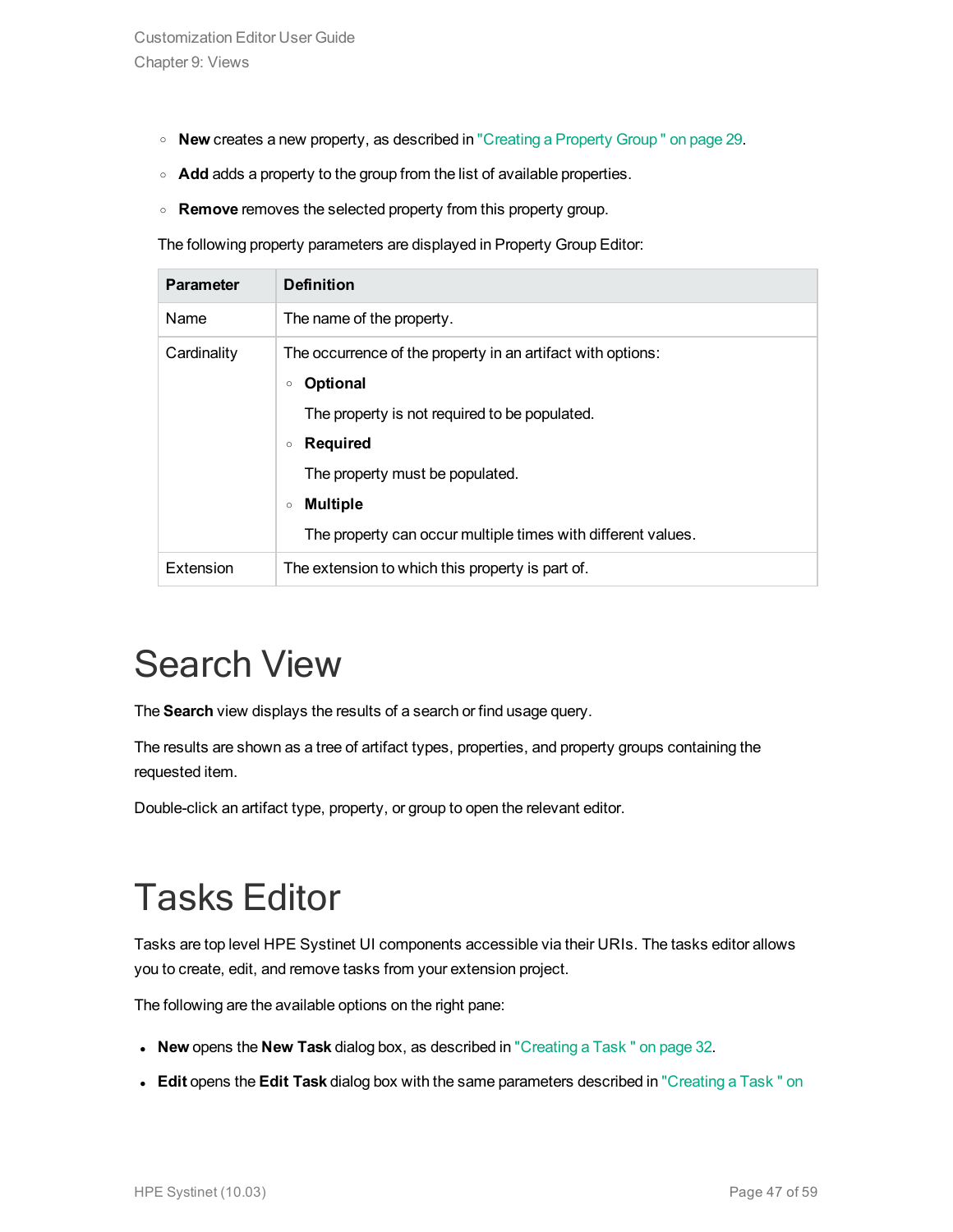- <sup>o</sup> **New** creates a new property, as described in ["Creating](#page-28-1) a Property Group " on page 29.
- **Add** adds a property to the group from the list of available properties.
- <sup>o</sup> **Remove** removes the selected property from this property group.

The following property parameters are displayed in Property Group Editor:

| <b>Parameter</b> | <b>Definition</b>                                                                                                                                                                                                                                                                                         |
|------------------|-----------------------------------------------------------------------------------------------------------------------------------------------------------------------------------------------------------------------------------------------------------------------------------------------------------|
| Name             | The name of the property.                                                                                                                                                                                                                                                                                 |
| Cardinality      | The occurrence of the property in an artifact with options:<br><b>Optional</b><br>$\circ$<br>The property is not required to be populated.<br><b>Required</b><br>$\circ$<br>The property must be populated.<br><b>Multiple</b><br>$\circ$<br>The property can occur multiple times with different values. |
| Extension        | The extension to which this property is part of.                                                                                                                                                                                                                                                          |

## <span id="page-46-0"></span>Search View

The **Search** view displays the results of a search or find usage query.

The results are shown as a tree of artifact types, properties, and property groups containing the requested item.

<span id="page-46-1"></span>Double-click an artifact type, property, or group to open the relevant editor.

## Tasks Editor

Tasks are top level HPE Systinet UI components accessible via their URIs. The tasks editor allows you to create, edit, and remove tasks from your extension project.

The following are the available options on the right pane:

- **New** opens the **New Task** dialog box, as described in ["Creating](#page-31-0) a Task " on page 32.
- **Edit** opens the Edit Task dialog box with the same parameters described in ["Creating](#page-31-0) a Task " on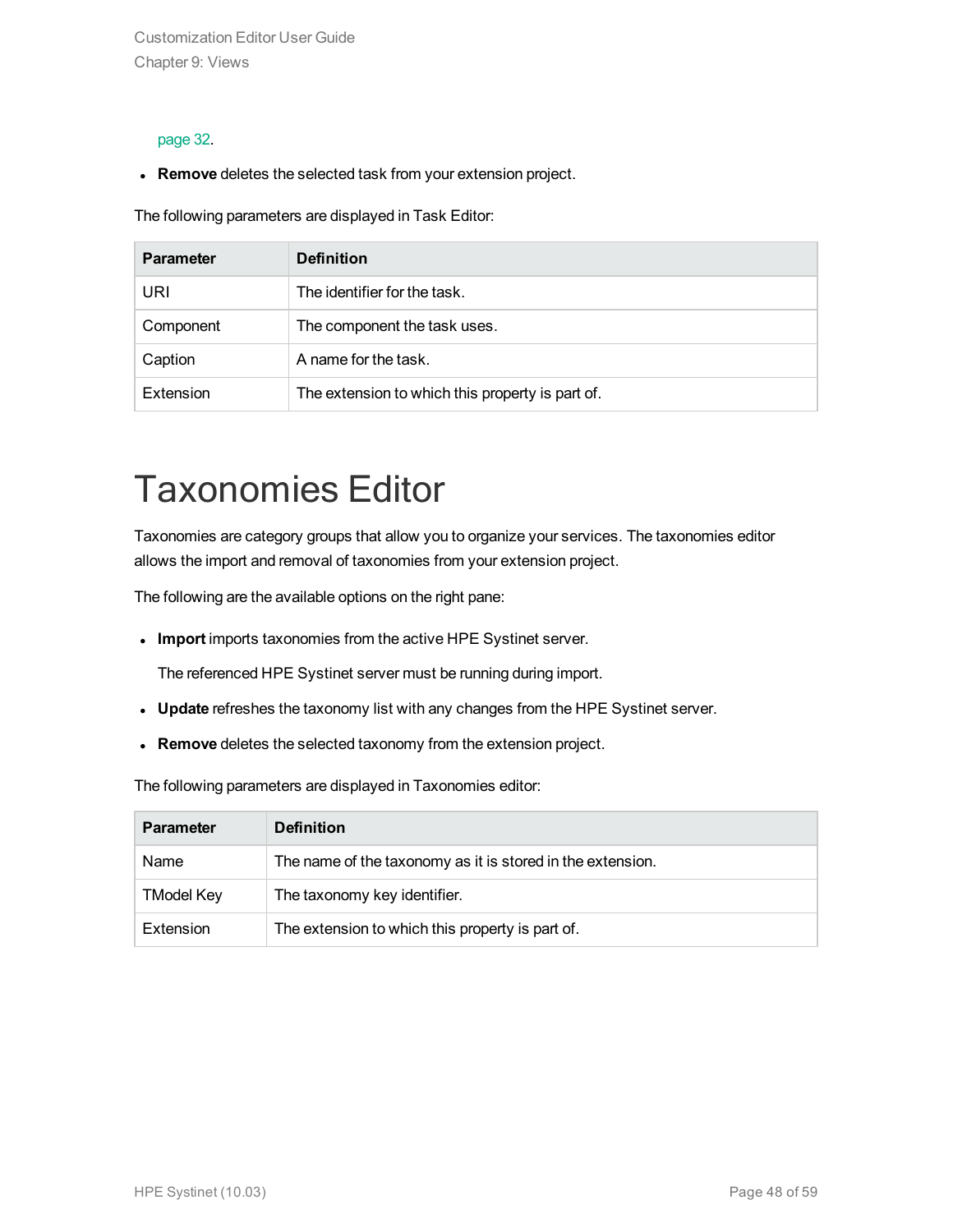Customization Editor User Guide Chapter 9: Views

#### [page](#page-31-0) 32.

**Remove** deletes the selected task from your extension project.

The following parameters are displayed in Task Editor:

| <b>Parameter</b> | <b>Definition</b>                                |
|------------------|--------------------------------------------------|
| URI              | The identifier for the task.                     |
| Component        | The component the task uses.                     |
| Caption          | A name for the task.                             |
| Extension        | The extension to which this property is part of. |

## <span id="page-47-0"></span>Taxonomies Editor

Taxonomies are category groups that allow you to organize your services. The taxonomies editor allows the import and removal of taxonomies from your extension project.

The following are the available options on the right pane:

<sup>l</sup> **Import** imports taxonomies from the active HPE Systinet server.

The referenced HPE Systinet server must be running during import.

- **Update** refreshes the taxonomy list with any changes from the HPE Systinet server.
- **Remove** deletes the selected taxonomy from the extension project.

The following parameters are displayed in Taxonomies editor:

| <b>Parameter</b>  | <b>Definition</b>                                          |
|-------------------|------------------------------------------------------------|
| Name              | The name of the taxonomy as it is stored in the extension. |
| <b>TModel Key</b> | The taxonomy key identifier.                               |
| Extension         | The extension to which this property is part of.           |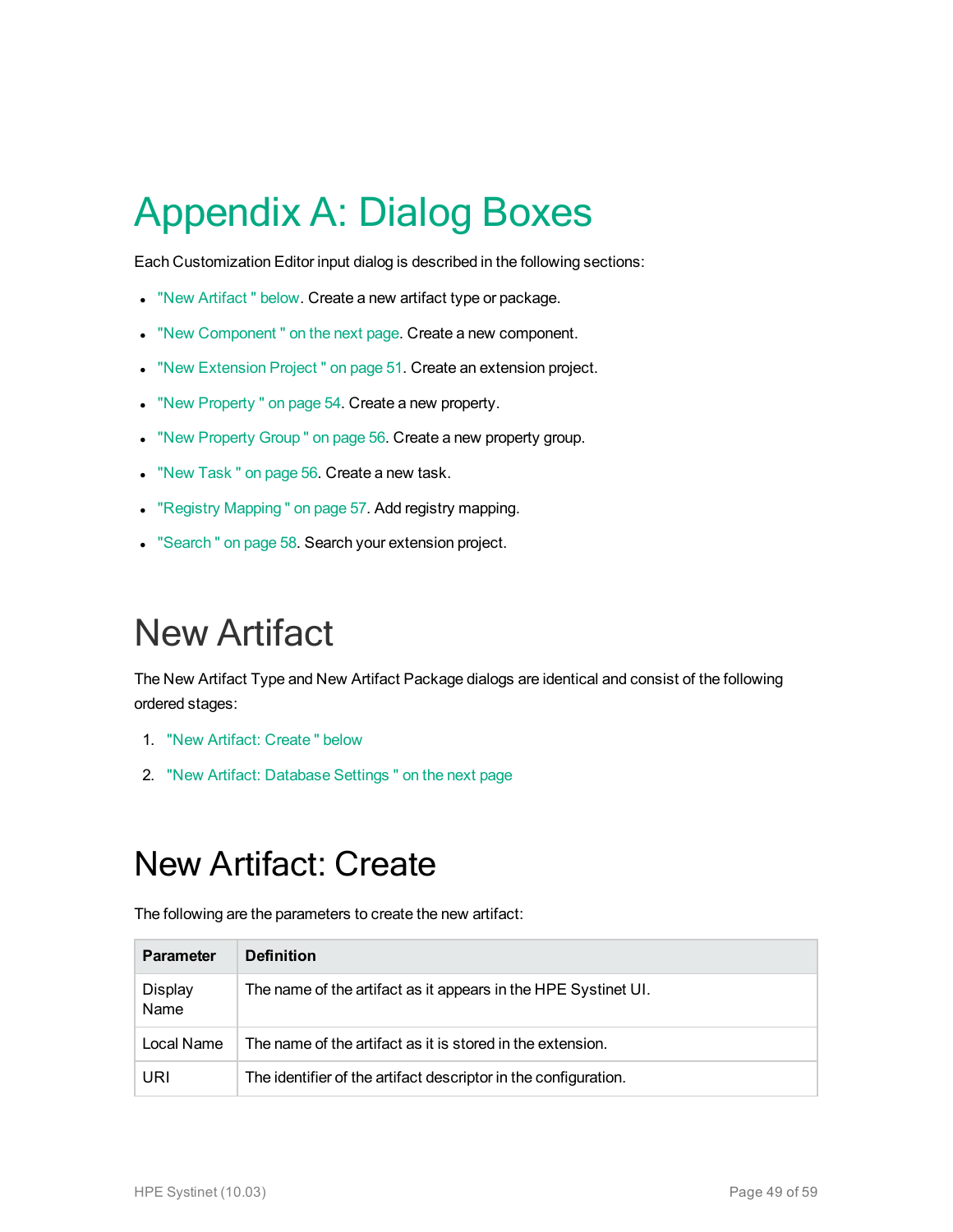# <span id="page-48-0"></span>Appendix A: Dialog Boxes

Each Customization Editor input dialog is described in the following sections:

- . "New Artifact" below. Create a new artifact type or package.
- . "New Component" on the next page. Create a new component.
- . "New [Extension](#page-50-0) Project" on page 51. Create an extension project.
- . "New [Property "](#page-53-0) on page 54. Create a new property.
- . "New [Property](#page-55-0) Group " on page 56. Create a new property group.
- . "New Task" on page 56. Create a new task.
- "Registry [Mapping "](#page-56-0) on page 57. Add registry mapping.
- <span id="page-48-1"></span>• ["Search "](#page-57-0) on page 58. Search your extension project.

## New Artifact

The New Artifact Type and New Artifact Package dialogs are identical and consist of the following ordered stages:

- 1. "New Artifact: [Create "](#page-48-2) below
- <span id="page-48-2"></span>2. "New Artifact: [Database](#page-49-0) Settings " on the next page

### New Artifact: Create

The following are the parameters to create the new artifact:

| <b>Parameter</b>       | <b>Definition</b>                                               |
|------------------------|-----------------------------------------------------------------|
| <b>Display</b><br>Name | The name of the artifact as it appears in the HPE Systinet UI.  |
| Local Name             | The name of the artifact as it is stored in the extension.      |
| URI                    | The identifier of the artifact descriptor in the configuration. |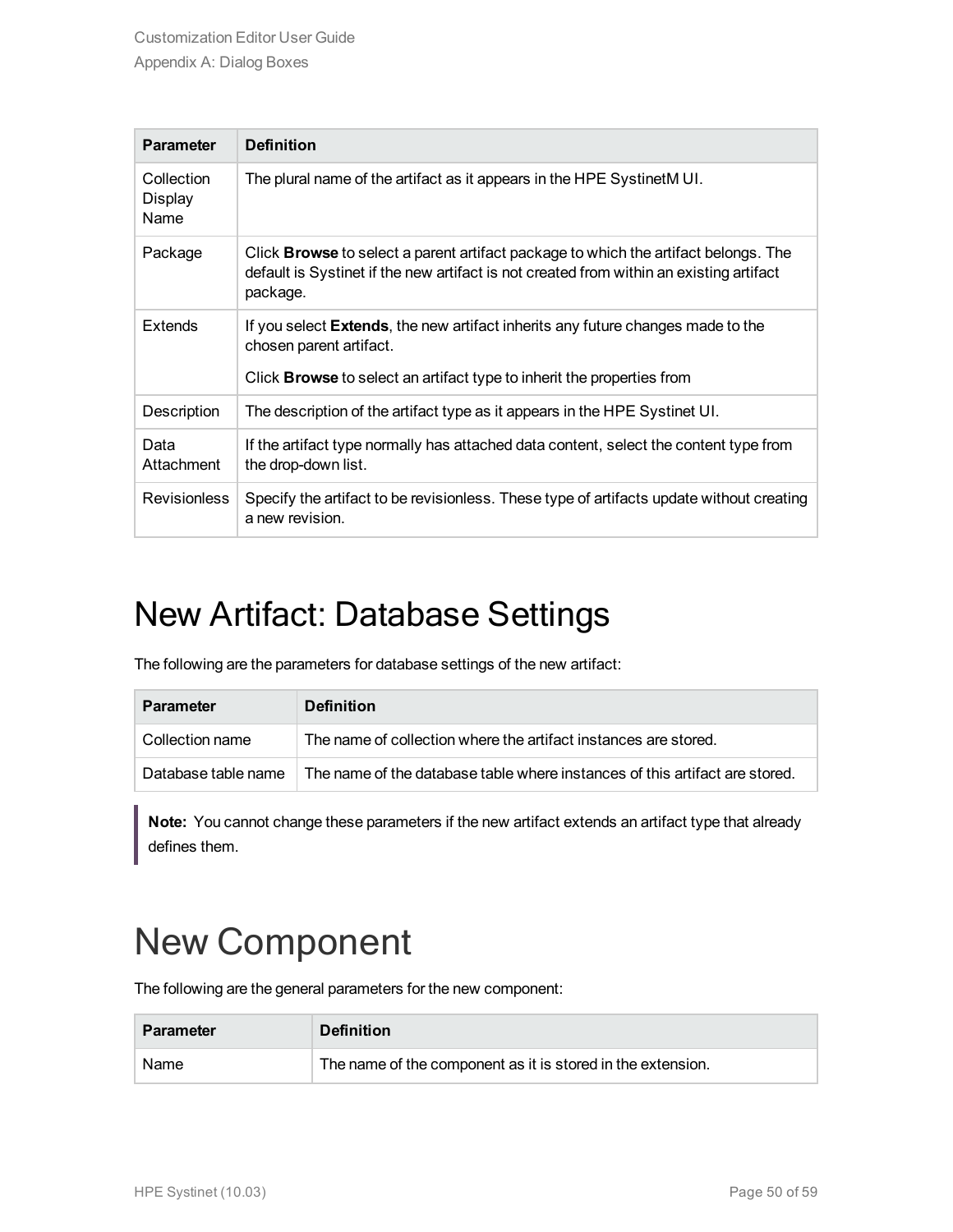| <b>Parameter</b>              | <b>Definition</b>                                                                                                                                                                                   |
|-------------------------------|-----------------------------------------------------------------------------------------------------------------------------------------------------------------------------------------------------|
| Collection<br>Display<br>Name | The plural name of the artifact as it appears in the HPE SystinetM UI.                                                                                                                              |
| Package                       | Click <b>Browse</b> to select a parent artifact package to which the artifact belongs. The<br>default is Systinet if the new artifact is not created from within an existing artifact<br>package.   |
| <b>Extends</b>                | If you select <b>Extends</b> , the new artifact inherits any future changes made to the<br>chosen parent artifact.<br>Click <b>Browse</b> to select an artifact type to inherit the properties from |
|                               |                                                                                                                                                                                                     |
| Description                   | The description of the artifact type as it appears in the HPE Systinet UI.                                                                                                                          |
| Data<br>Attachment            | If the artifact type normally has attached data content, select the content type from<br>the drop-down list.                                                                                        |
| <b>Revisionless</b>           | Specify the artifact to be revisionless. These type of artifacts update without creating<br>a new revision.                                                                                         |

### <span id="page-49-0"></span>New Artifact: Database Settings

The following are the parameters for database settings of the new artifact:

| <b>Parameter</b>    | <b>Definition</b>                                                           |
|---------------------|-----------------------------------------------------------------------------|
| Collection name     | The name of collection where the artifact instances are stored.             |
| Database table name | The name of the database table where instances of this artifact are stored. |

**Note:** You cannot change these parameters if the new artifact extends an artifact type that already defines them.

## <span id="page-49-1"></span>New Component

The following are the general parameters for the new component:

| <b>Parameter</b> | <b>Definition</b>                                           |
|------------------|-------------------------------------------------------------|
| Name             | The name of the component as it is stored in the extension. |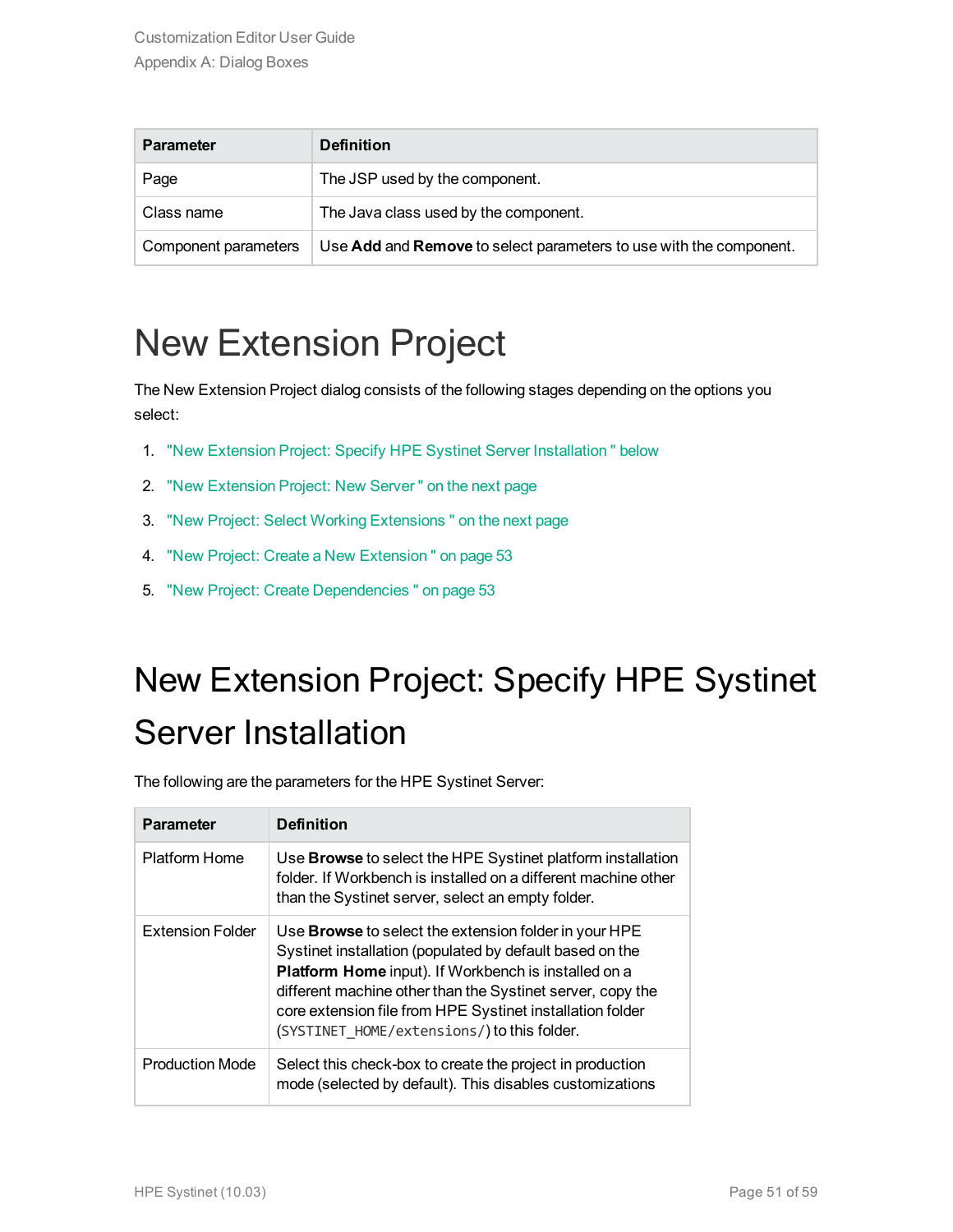| <b>Parameter</b>     | <b>Definition</b>                                                                |
|----------------------|----------------------------------------------------------------------------------|
| Page                 | The JSP used by the component.                                                   |
| Class name           | The Java class used by the component.                                            |
| Component parameters | Use <b>Add</b> and <b>Remove</b> to select parameters to use with the component. |

## <span id="page-50-0"></span>New Extension Project

The New Extension Project dialog consists of the following stages depending on the options you select:

- 1. "New Extension Project: Specify HPE Systinet Server [Installation "](#page-50-1) below
- 2. "New [Extension](#page-51-0) Project: New Server " on the next page
- 3. "New Project: Select Working [Extensions "](#page-51-1) on the next page
- 4. "New Project: Create a New [Extension "](#page-52-0) on page 53
- <span id="page-50-1"></span>5. "New Project: Create [Dependencies "](#page-52-1) on page 53

## New Extension Project: Specify HPE Systinet Server Installation

The following are the parameters for the HPE Systinet Server:

| <b>Parameter</b>        | <b>Definition</b>                                                                                                                                                                                                                                                                                                                                          |
|-------------------------|------------------------------------------------------------------------------------------------------------------------------------------------------------------------------------------------------------------------------------------------------------------------------------------------------------------------------------------------------------|
| <b>Platform Home</b>    | Use <b>Browse</b> to select the HPE Systinet platform installation<br>folder. If Workbench is installed on a different machine other<br>than the Systinet server, select an empty folder.                                                                                                                                                                  |
| <b>Extension Folder</b> | Use <b>Browse</b> to select the extension folder in your HPE<br>Systinet installation (populated by default based on the<br>Platform Home input). If Workbench is installed on a<br>different machine other than the Systinet server, copy the<br>core extension file from HPE Systinet installation folder<br>(SYSTINET HOME/extensions/) to this folder. |
| <b>Production Mode</b>  | Select this check-box to create the project in production<br>mode (selected by default). This disables customizations                                                                                                                                                                                                                                      |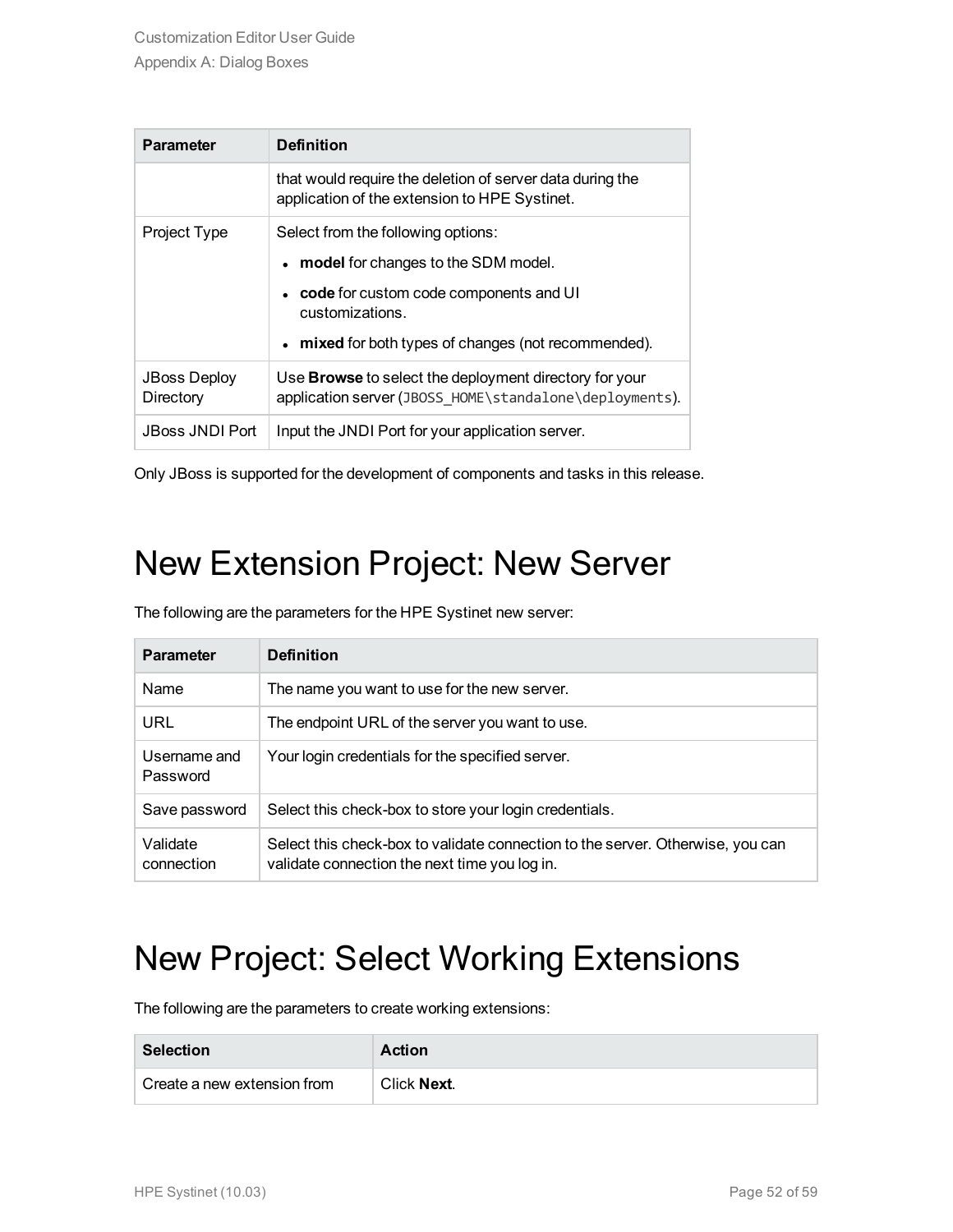| <b>Parameter</b>                 | <b>Definition</b>                                                                                                        |
|----------------------------------|--------------------------------------------------------------------------------------------------------------------------|
|                                  | that would require the deletion of server data during the<br>application of the extension to HPE Systinet.               |
| Project Type                     | Select from the following options:                                                                                       |
|                                  | • model for changes to the SDM model.                                                                                    |
|                                  | code for custom code components and UI<br>customizations.                                                                |
|                                  | • mixed for both types of changes (not recommended).                                                                     |
| <b>JBoss Deploy</b><br>Directory | Use <b>Browse</b> to select the deployment directory for your<br>application server (JBOSS_HOME\standalone\deployments). |
| <b>JBoss JNDI Port</b>           | Input the JNDI Port for your application server.                                                                         |

<span id="page-51-0"></span>Only JBoss is supported for the development of components and tasks in this release.

### New Extension Project: New Server

The following are the parameters for the HPE Systinet new server:

| <b>Parameter</b>         | <b>Definition</b>                                                                                                               |
|--------------------------|---------------------------------------------------------------------------------------------------------------------------------|
| <b>Name</b>              | The name you want to use for the new server.                                                                                    |
| URL                      | The endpoint URL of the server you want to use.                                                                                 |
| Username and<br>Password | Your login credentials for the specified server.                                                                                |
| Save password            | Select this check-box to store your login credentials.                                                                          |
| Validate<br>connection   | Select this check-box to validate connection to the server. Otherwise, you can<br>validate connection the next time you log in. |

### <span id="page-51-1"></span>New Project: Select Working Extensions

The following are the parameters to create working extensions:

| <b>Selection</b>            | Action      |
|-----------------------------|-------------|
| Create a new extension from | Click Next. |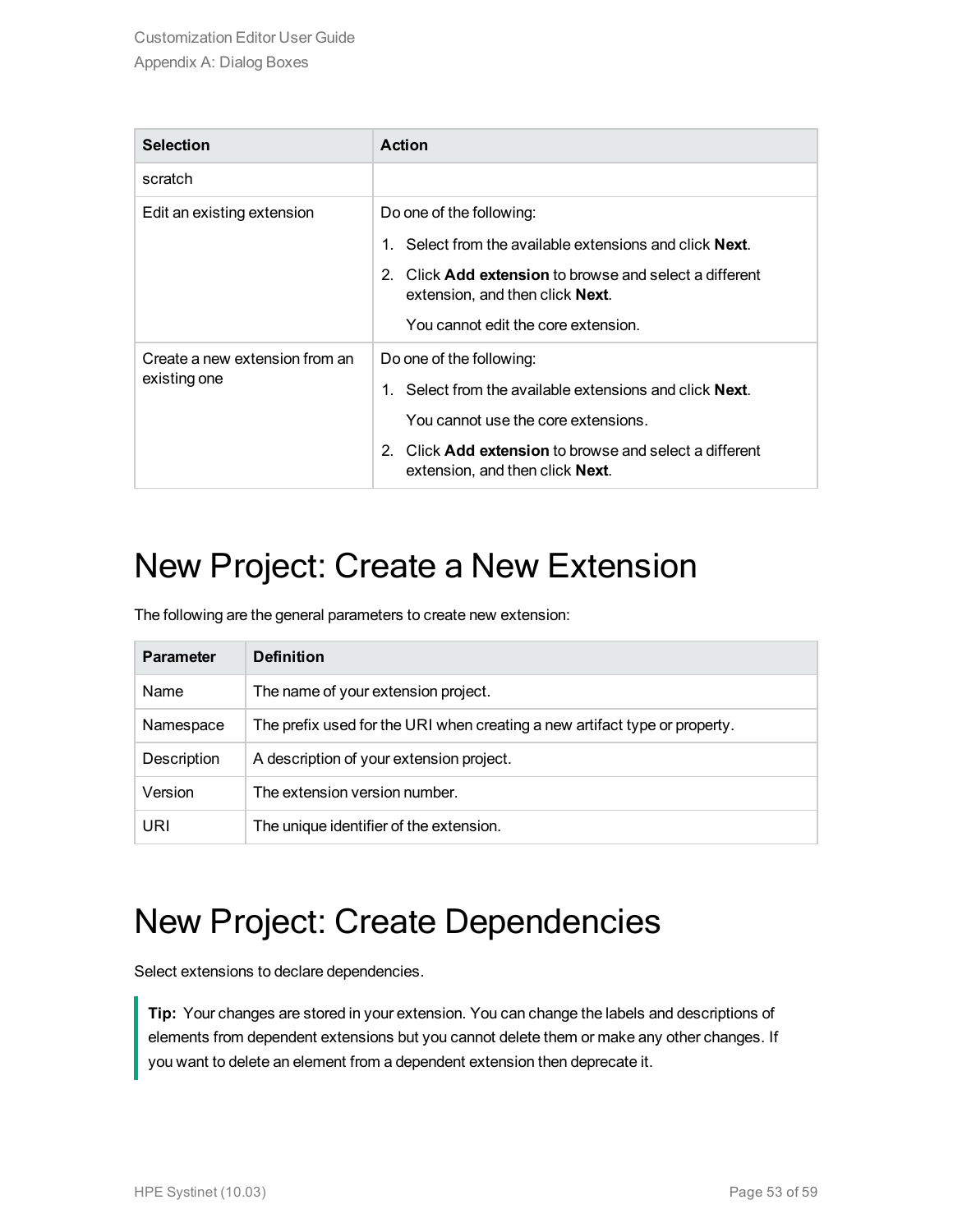| <b>Selection</b>                               | Action                                                                                                                                                                                                                                          |
|------------------------------------------------|-------------------------------------------------------------------------------------------------------------------------------------------------------------------------------------------------------------------------------------------------|
| scratch                                        |                                                                                                                                                                                                                                                 |
| Edit an existing extension                     | Do one of the following:<br>1. Select from the available extensions and click <b>Next</b> .<br>2. Click <b>Add extension</b> to browse and select a different<br>extension, and then click <b>Next</b> .<br>You cannot edit the core extension. |
| Create a new extension from an<br>existing one | Do one of the following:<br>1. Select from the available extensions and click <b>Next</b> .<br>You cannot use the core extensions.<br>2. Click <b>Add extension</b> to browse and select a different<br>extension, and then click <b>Next</b> . |

### <span id="page-52-0"></span>New Project: Create a New Extension

The following are the general parameters to create new extension:

| <b>Parameter</b> | <b>Definition</b>                                                          |
|------------------|----------------------------------------------------------------------------|
| Name             | The name of your extension project.                                        |
| Namespace        | The prefix used for the URI when creating a new artifact type or property. |
| Description      | A description of your extension project.                                   |
| Version          | The extension version number.                                              |
| URI              | The unique identifier of the extension.                                    |

### <span id="page-52-1"></span>New Project: Create Dependencies

Select extensions to declare dependencies.

**Tip:** Your changes are stored in your extension. You can change the labels and descriptions of elements from dependent extensions but you cannot delete them or make any other changes. If you want to delete an element from a dependent extension then deprecate it.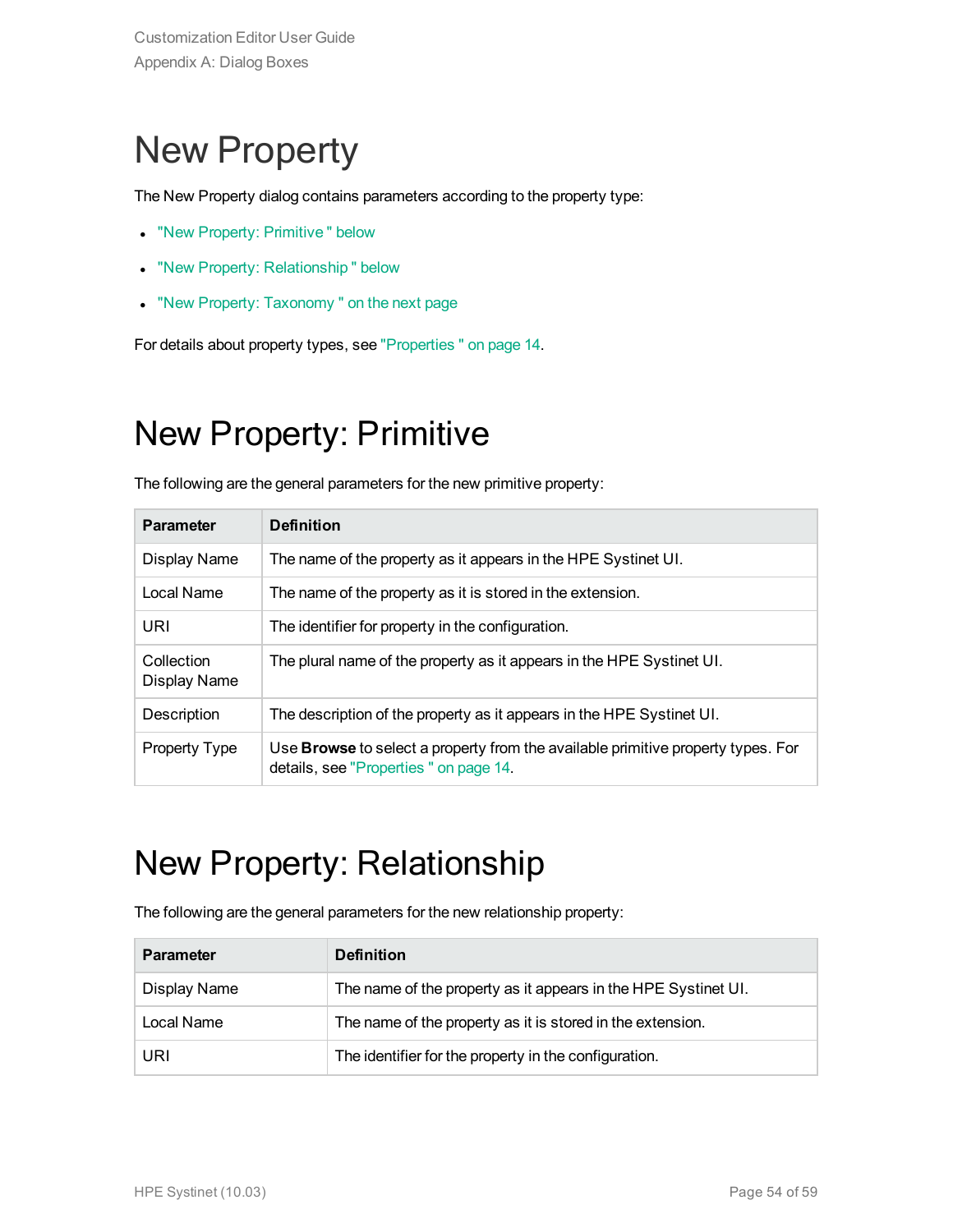## <span id="page-53-0"></span>New Property

The New Property dialog contains parameters according to the property type:

- "New Property: Primitive" below
- "New Property: Relationship" below
- "New Property: Taxonomy" on the next page

<span id="page-53-1"></span>For details about property types, see ["Properties "](#page-13-2) on page 14.

### New Property: Primitive

The following are the general parameters for the new primitive property:

| <b>Parameter</b>           | <b>Definition</b>                                                                                                         |
|----------------------------|---------------------------------------------------------------------------------------------------------------------------|
| Display Name               | The name of the property as it appears in the HPE Systinet UI.                                                            |
| Local Name                 | The name of the property as it is stored in the extension.                                                                |
| URI                        | The identifier for property in the configuration.                                                                         |
| Collection<br>Display Name | The plural name of the property as it appears in the HPE Systinet UI.                                                     |
| Description                | The description of the property as it appears in the HPE Systinet UI.                                                     |
| Property Type              | Use Browse to select a property from the available primitive property types. For<br>details, see "Properties" on page 14. |

### <span id="page-53-2"></span>New Property: Relationship

The following are the general parameters for the new relationship property:

| <b>Parameter</b> | <b>Definition</b>                                              |
|------------------|----------------------------------------------------------------|
| Display Name     | The name of the property as it appears in the HPE Systinet UI. |
| Local Name       | The name of the property as it is stored in the extension.     |
| URI              | The identifier for the property in the configuration.          |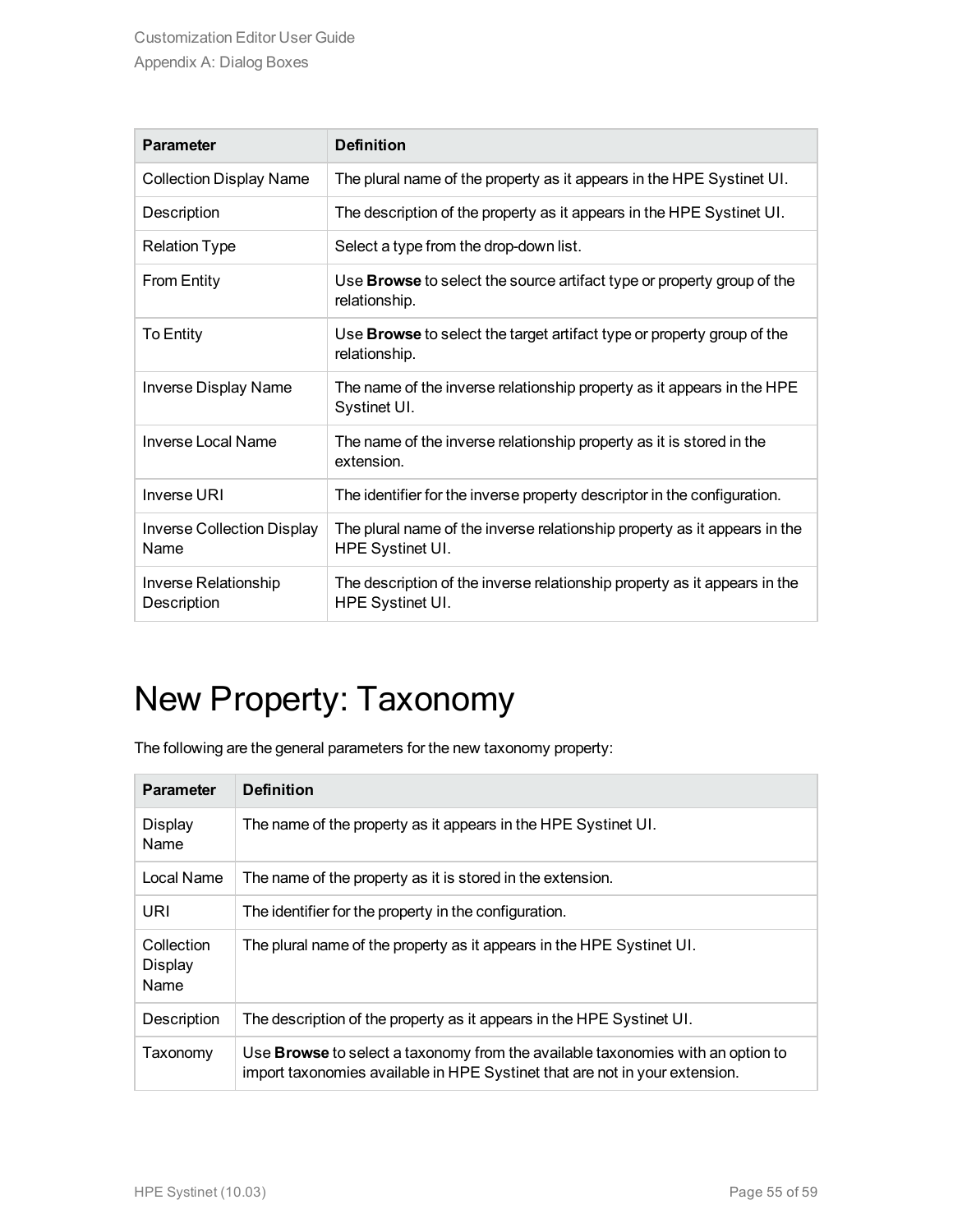| <b>Parameter</b>                          | <b>Definition</b>                                                                              |
|-------------------------------------------|------------------------------------------------------------------------------------------------|
| <b>Collection Display Name</b>            | The plural name of the property as it appears in the HPE Systinet UI.                          |
| Description                               | The description of the property as it appears in the HPE Systinet UI.                          |
| <b>Relation Type</b>                      | Select a type from the drop-down list.                                                         |
| <b>From Entity</b>                        | Use Browse to select the source artifact type or property group of the<br>relationship.        |
| To Entity                                 | Use <b>Browse</b> to select the target artifact type or property group of the<br>relationship. |
| <b>Inverse Display Name</b>               | The name of the inverse relationship property as it appears in the HPE<br>Systinet UI.         |
| <b>Inverse Local Name</b>                 | The name of the inverse relationship property as it is stored in the<br>extension.             |
| Inverse URI                               | The identifier for the inverse property descriptor in the configuration.                       |
| <b>Inverse Collection Display</b><br>Name | The plural name of the inverse relationship property as it appears in the<br>HPE Systinet UI.  |
| Inverse Relationship<br>Description       | The description of the inverse relationship property as it appears in the<br>HPE Systinet UI.  |

## <span id="page-54-0"></span>New Property: Taxonomy

The following are the general parameters for the new taxonomy property:

| <b>Parameter</b>              | <b>Definition</b>                                                                                                                                                     |
|-------------------------------|-----------------------------------------------------------------------------------------------------------------------------------------------------------------------|
| Display<br>Name               | The name of the property as it appears in the HPE Systinet UI.                                                                                                        |
| Local Name                    | The name of the property as it is stored in the extension.                                                                                                            |
| URI                           | The identifier for the property in the configuration.                                                                                                                 |
| Collection<br>Display<br>Name | The plural name of the property as it appears in the HPE Systinet UI.                                                                                                 |
| Description                   | The description of the property as it appears in the HPE Systinet UI.                                                                                                 |
| Taxonomy                      | Use <b>Browse</b> to select a taxonomy from the available taxonomies with an option to<br>import taxonomies available in HPE Systinet that are not in your extension. |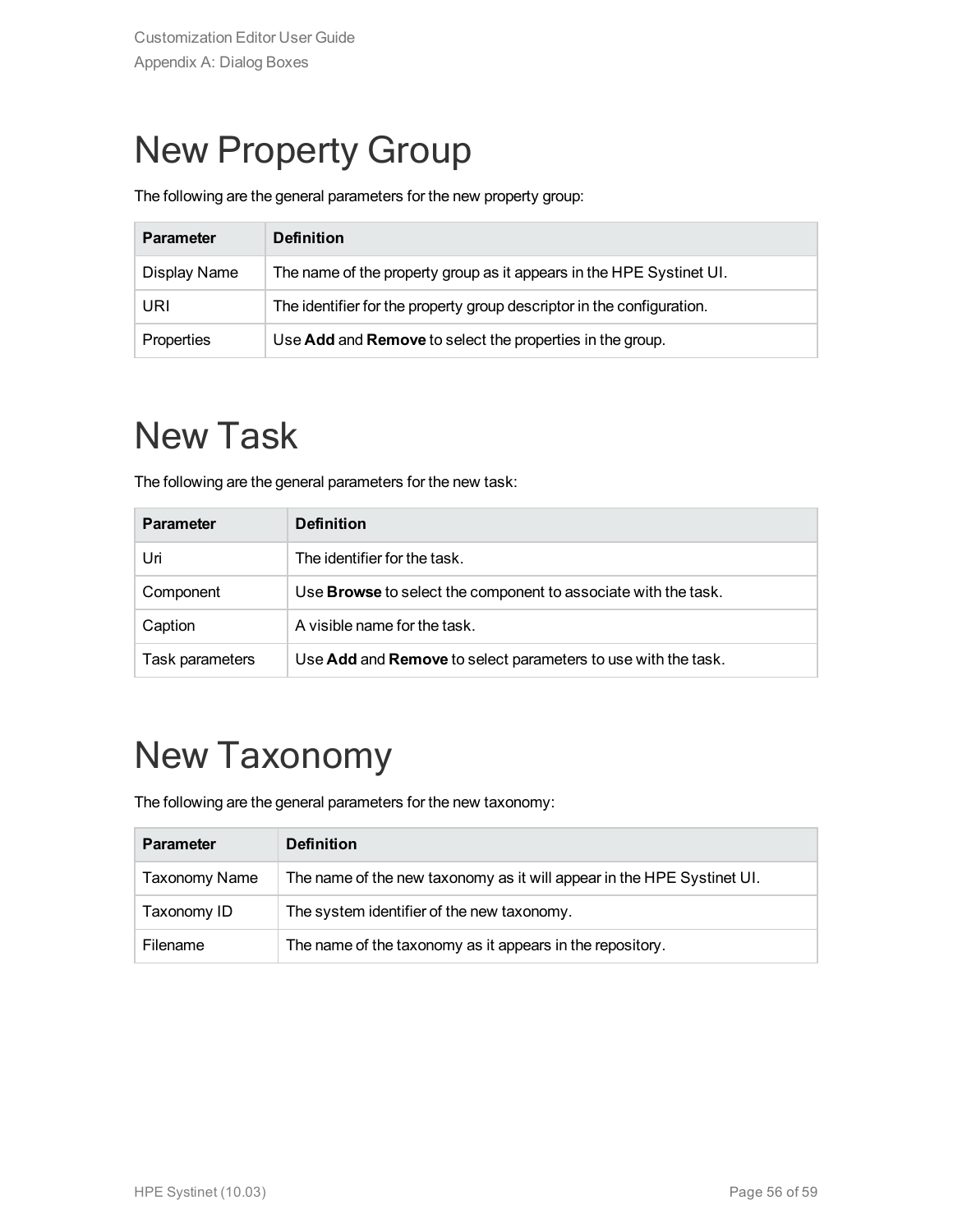## <span id="page-55-0"></span>New Property Group

The following are the general parameters for the new property group:

| <b>Parameter</b> | <b>Definition</b>                                                      |
|------------------|------------------------------------------------------------------------|
| Display Name     | The name of the property group as it appears in the HPE Systinet UI.   |
| URI              | The identifier for the property group descriptor in the configuration. |
| Properties       | Use Add and Remove to select the properties in the group.              |

## <span id="page-55-1"></span>New Task

The following are the general parameters for the new task:

| <b>Parameter</b> | <b>Definition</b>                                                     |
|------------------|-----------------------------------------------------------------------|
| Uri              | The identifier for the task.                                          |
| Component        | Use <b>Browse</b> to select the component to associate with the task. |
| Caption          | A visible name for the task.                                          |
| Task parameters  | Use Add and Remove to select parameters to use with the task.         |

## <span id="page-55-2"></span>New Taxonomy

The following are the general parameters for the new taxonomy:

| <b>Parameter</b> | <b>Definition</b>                                                      |
|------------------|------------------------------------------------------------------------|
| Taxonomy Name    | The name of the new taxonomy as it will appear in the HPE Systinet UI. |
| Taxonomy ID      | The system identifier of the new taxonomy.                             |
| Filename         | The name of the taxonomy as it appears in the repository.              |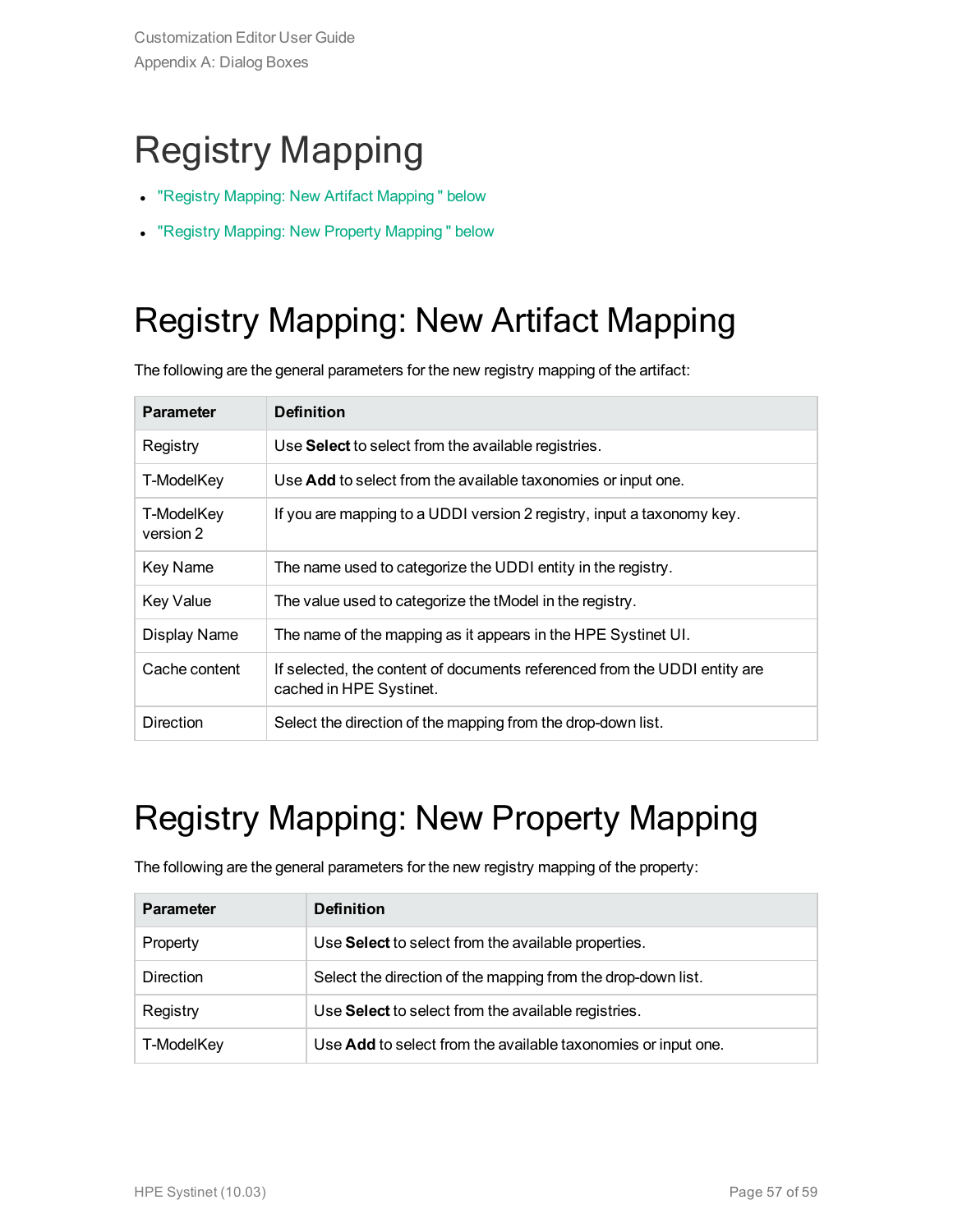## <span id="page-56-0"></span>Registry Mapping

- "Registry Mapping: New Artifact [Mapping "](#page-56-1) below
- <span id="page-56-1"></span>• "Registry Mapping: New Property [Mapping "](#page-56-2) below

## Registry Mapping: New Artifact Mapping

The following are the general parameters for the new registry mapping of the artifact:

| <b>Parameter</b>        | <b>Definition</b>                                                                                    |
|-------------------------|------------------------------------------------------------------------------------------------------|
| Registry                | Use Select to select from the available registries.                                                  |
| T-ModelKey              | Use Add to select from the available taxonomies or input one.                                        |
| T-ModelKey<br>version 2 | If you are mapping to a UDDI version 2 registry, input a taxonomy key.                               |
| Key Name                | The name used to categorize the UDDI entity in the registry.                                         |
| <b>Key Value</b>        | The value used to categorize the tModel in the registry.                                             |
| Display Name            | The name of the mapping as it appears in the HPE Systinet UI.                                        |
| Cache content           | If selected, the content of documents referenced from the UDDI entity are<br>cached in HPE Systinet. |
| <b>Direction</b>        | Select the direction of the mapping from the drop-down list.                                         |

## <span id="page-56-2"></span>Registry Mapping: New Property Mapping

The following are the general parameters for the new registry mapping of the property:

| <b>Parameter</b> | <b>Definition</b>                                             |
|------------------|---------------------------------------------------------------|
| Property         | Use Select to select from the available properties.           |
| Direction        | Select the direction of the mapping from the drop-down list.  |
| Registry         | Use Select to select from the available registries.           |
| T-ModelKey       | Use Add to select from the available taxonomies or input one. |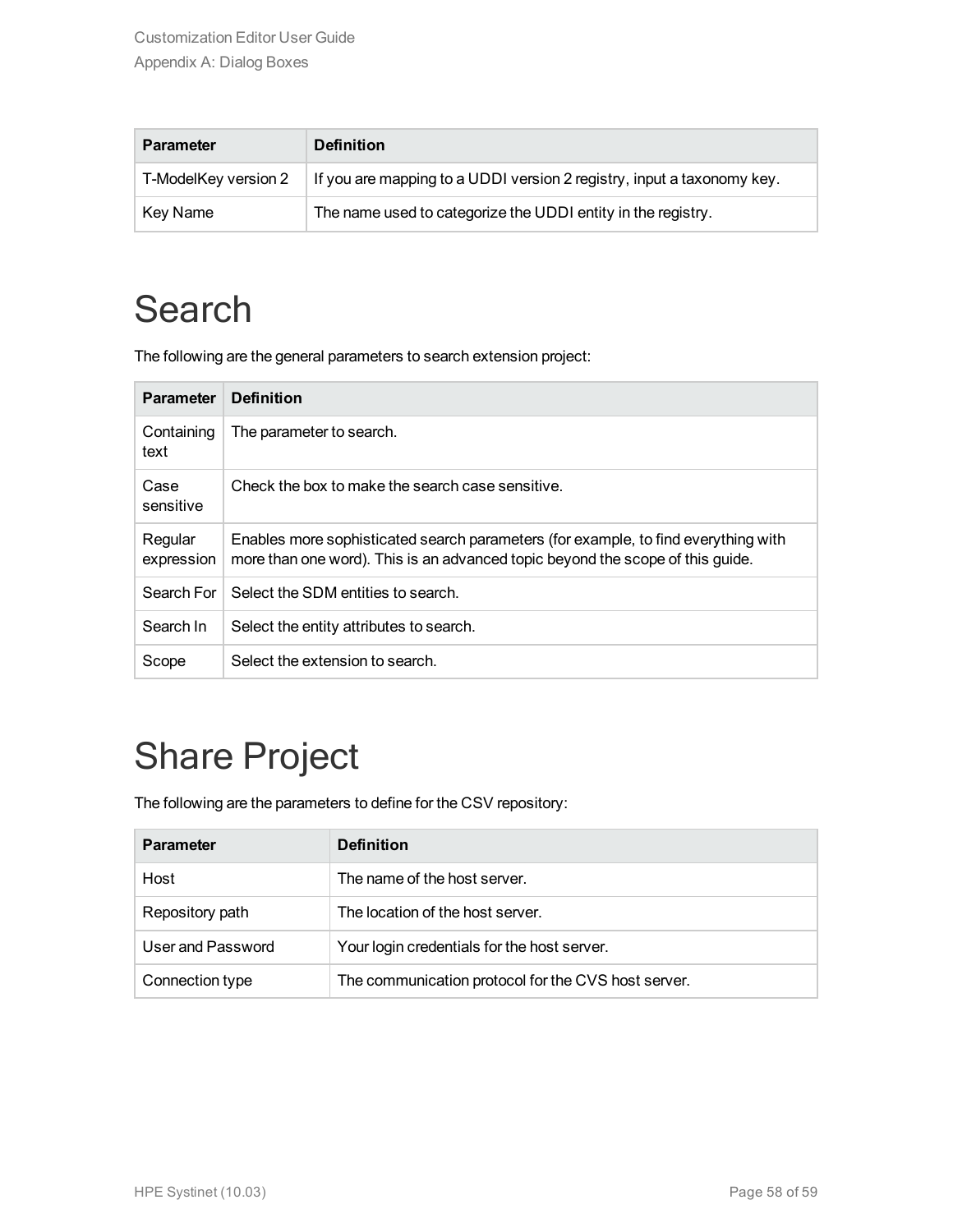| <b>Parameter</b>     | <b>Definition</b>                                                      |
|----------------------|------------------------------------------------------------------------|
| T-ModelKey version 2 | If you are mapping to a UDDI version 2 registry, input a taxonomy key. |
| Key Name             | The name used to categorize the UDDI entity in the registry.           |

## <span id="page-57-0"></span>**Search**

The following are the general parameters to search extension project:

| <b>Parameter</b>      | <b>Definition</b>                                                                                                                                                    |
|-----------------------|----------------------------------------------------------------------------------------------------------------------------------------------------------------------|
| Containing<br>text    | The parameter to search.                                                                                                                                             |
| Case<br>sensitive     | Check the box to make the search case sensitive.                                                                                                                     |
| Regular<br>expression | Enables more sophisticated search parameters (for example, to find everything with<br>more than one word). This is an advanced topic beyond the scope of this guide. |
| Search For            | Select the SDM entities to search.                                                                                                                                   |
| Search In             | Select the entity attributes to search.                                                                                                                              |
| Scope                 | Select the extension to search.                                                                                                                                      |

## <span id="page-57-1"></span>Share Project

The following are the parameters to define for the CSV repository:

| <b>Parameter</b>  | <b>Definition</b>                                   |
|-------------------|-----------------------------------------------------|
| Host              | The name of the host server.                        |
| Repository path   | The location of the host server.                    |
| User and Password | Your login credentials for the host server.         |
| Connection type   | The communication protocol for the CVS host server. |